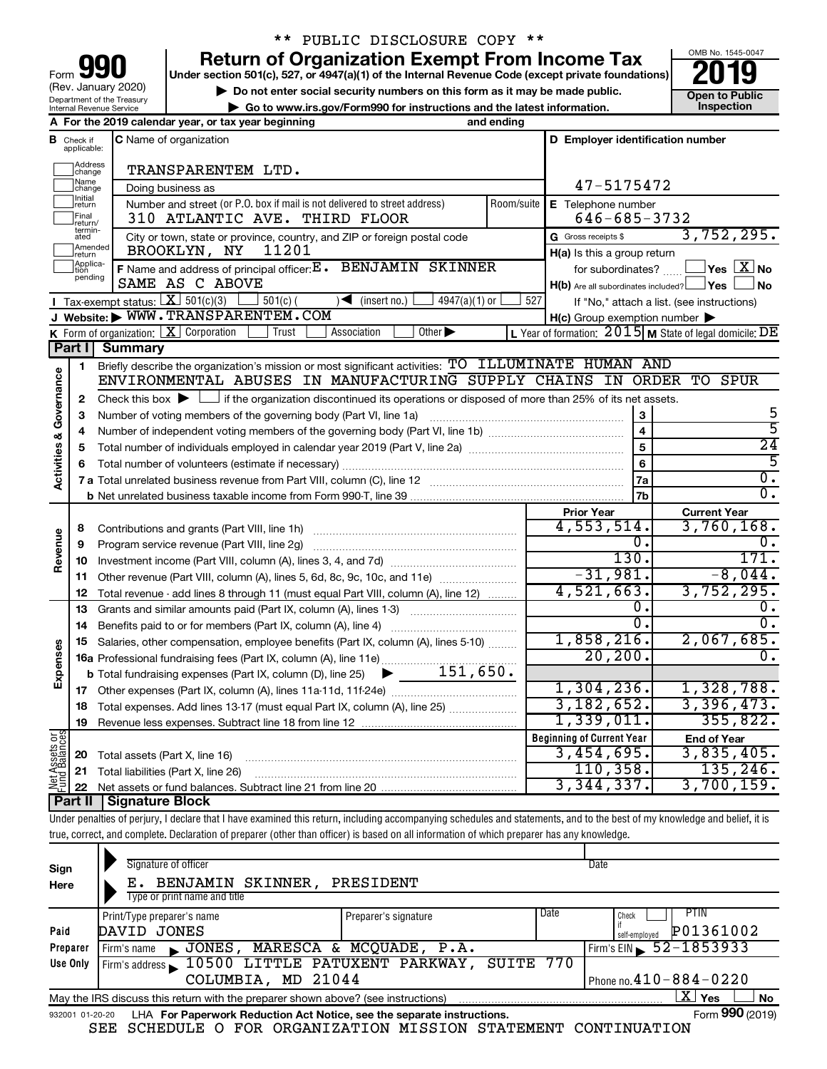| 190<br>Form                                            |
|--------------------------------------------------------|
| (Rev. January 2020)                                    |
| Department of the Treasury<br>Internal Revenue Service |

## \*\* PUBLIC DISCLOSURE COPY \*\*

**your Section 501(c), 527, or 4947(a)(1) of the Internal Revenue Code (except private foundations) 2019** 

**b** Do not enter social security numbers on this form as it may be made public.<br> **Go to www.irs.gov/Form990 for instructions and the latest information. This impection | Go to www.irs.gov/Form990 for instructions and the latest information. Inspection**

OMB No. 1545-0047

|                                |                               | A For the 2019 calendar year, or tax year beginning                                                                                         | and ending |                                                                              |                                                           |
|--------------------------------|-------------------------------|---------------------------------------------------------------------------------------------------------------------------------------------|------------|------------------------------------------------------------------------------|-----------------------------------------------------------|
|                                | <b>B</b> Check if applicable: | <b>C</b> Name of organization                                                                                                               |            | D Employer identification number                                             |                                                           |
|                                | Address<br>change             | TRANSPARENTEM LTD.                                                                                                                          |            |                                                                              |                                                           |
|                                | Name<br>change                | Doing business as                                                                                                                           |            | 47-5175472                                                                   |                                                           |
|                                | Initial<br>return             | Number and street (or P.O. box if mail is not delivered to street address)                                                                  | Room/suite | E Telephone number                                                           |                                                           |
|                                | Final<br>return/              | 310 ATLANTIC AVE. THIRD FLOOR                                                                                                               |            | $646 - 685 - 3732$                                                           |                                                           |
|                                | termin-<br>ated<br>Amended    | City or town, state or province, country, and ZIP or foreign postal code                                                                    |            | G Gross receipts \$                                                          | 3,752,295.                                                |
|                                | return<br>Applica-            | 11201<br>BROOKLYN, NY                                                                                                                       |            | H(a) Is this a group return                                                  |                                                           |
|                                | pending                       | F Name and address of principal officer: E. BENJAMIN SKINNER<br>SAME AS C ABOVE                                                             |            | for subordinates?<br>$H(b)$ Are all subordinates included? $\Box$ Yes $\Box$ | $\sqrt{}$ Yes $\sqrt{X}$ No<br>⊿ No                       |
|                                |                               | Tax-exempt status: $X \mid 501(c)(3)$<br>$\sqrt{\bullet}$ (insert no.)<br>$501(c)$ (<br>$4947(a)(1)$ or                                     | 527        |                                                                              | If "No," attach a list. (see instructions)                |
|                                |                               | J Website: WWW.TRANSPARENTEM.COM                                                                                                            |            | $H(c)$ Group exemption number $\blacktriangleright$                          |                                                           |
|                                |                               | K Form of organization: $X$ Corporation<br>Association<br>Other $\blacktriangleright$<br>Trust                                              |            |                                                                              | L Year of formation: $2015$ M State of legal domicile: DE |
|                                | Part I                        | <b>Summary</b>                                                                                                                              |            |                                                                              |                                                           |
|                                | 1                             | Briefly describe the organization's mission or most significant activities: TO ILLUMINATE HUMAN AND                                         |            |                                                                              |                                                           |
| Activities & Governance        |                               | ENVIRONMENTAL ABUSES IN MANUFACTURING SUPPLY CHAINS IN ORDER TO                                                                             |            |                                                                              | SPUR                                                      |
|                                | 2                             | Check this box $\blacktriangleright$ $\Box$ if the organization discontinued its operations or disposed of more than 25% of its net assets. |            |                                                                              |                                                           |
|                                | з                             | Number of voting members of the governing body (Part VI, line 1a)                                                                           |            | 3                                                                            | 5<br>$\overline{5}$                                       |
|                                | 4                             |                                                                                                                                             |            | $\overline{\mathbf{4}}$                                                      | $\overline{24}$                                           |
|                                | 5                             |                                                                                                                                             |            | 5                                                                            | 5                                                         |
|                                | 6                             |                                                                                                                                             |            | 6                                                                            | 0.                                                        |
|                                |                               |                                                                                                                                             |            | 7a<br>7 <sub>b</sub>                                                         | $\overline{0}$ .                                          |
|                                |                               |                                                                                                                                             |            | <b>Prior Year</b>                                                            | <b>Current Year</b>                                       |
|                                | 8                             | Contributions and grants (Part VIII, line 1h)                                                                                               |            | 4,553,514.                                                                   | 3,760,168.                                                |
| Revenue                        | 9                             | Program service revenue (Part VIII, line 2g)                                                                                                |            | 0.                                                                           | 0.                                                        |
|                                | 10                            |                                                                                                                                             |            | 130.                                                                         | 171.                                                      |
|                                | 11                            | Other revenue (Part VIII, column (A), lines 5, 6d, 8c, 9c, 10c, and 11e)                                                                    |            | $-31,981.$                                                                   | $-8,044.$                                                 |
|                                | 12                            | Total revenue - add lines 8 through 11 (must equal Part VIII, column (A), line 12)                                                          |            | 4,521,663.                                                                   | 3,752,295.                                                |
|                                | 13                            | Grants and similar amounts paid (Part IX, column (A), lines 1-3)                                                                            |            | 0.                                                                           | ο.                                                        |
|                                | 14                            |                                                                                                                                             |            | σ.                                                                           | 0.                                                        |
|                                | 15                            | Salaries, other compensation, employee benefits (Part IX, column (A), lines 5-10)                                                           |            | 1,858,216.                                                                   | 2,067,685.                                                |
| Expenses                       |                               |                                                                                                                                             |            | 20, 200.                                                                     | 0.                                                        |
|                                |                               |                                                                                                                                             |            |                                                                              |                                                           |
|                                |                               |                                                                                                                                             |            | 1,304,236.                                                                   | 1,328,788.                                                |
|                                | 18                            | Total expenses. Add lines 13-17 (must equal Part IX, column (A), line 25)                                                                   |            | 3, 182, 652.                                                                 | 3,396,473.                                                |
|                                | 19                            |                                                                                                                                             |            | 1,339,011.                                                                   | 355,822.                                                  |
| Net Assets or<br>Fund Balances |                               |                                                                                                                                             |            | <b>Beginning of Current Year</b>                                             | <b>End of Year</b>                                        |
|                                | 20                            | Total assets (Part X, line 16)                                                                                                              |            | 3,454,695.                                                                   | 3,835,405.                                                |
|                                | 21                            | Total liabilities (Part X, line 26)                                                                                                         |            | 110, 358.                                                                    | 135, 246.                                                 |
|                                | 22                            |                                                                                                                                             |            | 3,344,337.                                                                   | 3,700,159.                                                |
|                                | Part II                       | <b>Signature Block</b>                                                                                                                      |            |                                                                              |                                                           |

Under penalties of perjury, I declare that I have examined this return, including accompanying schedules and statements, and to the best of my knowledge and belief, it is true, correct, and complete. Declaration of preparer (other than officer) is based on all information of which preparer has any knowledge.

| Sign<br>Here | Signature of officer<br>E. BENJAMIN SKINNER,<br>Type or print name and title                                            | PRESIDENT               |        | Date                                |  |  |  |  |  |
|--------------|-------------------------------------------------------------------------------------------------------------------------|-------------------------|--------|-------------------------------------|--|--|--|--|--|
|              | Print/Type preparer's name                                                                                              | Preparer's signature    | l Date | PTIN<br>Check                       |  |  |  |  |  |
| Paid         | DAVID JONES                                                                                                             |                         |        | P01361002<br>self-employed          |  |  |  |  |  |
| Preparer     | JONES,<br>Firm's name<br>$\blacksquare$                                                                                 | MARESCA & MCQUADE, P.A. |        | Firm's EIN $\frac{52 - 1853933}{ }$ |  |  |  |  |  |
| Use Only     | Firm's address 10500 LITTLE PATUXENT PARKWAY,                                                                           | SUITE 770               |        |                                     |  |  |  |  |  |
|              | COLUMBIA, MD 21044                                                                                                      |                         |        | Phone no. $410 - 884 - 0220$        |  |  |  |  |  |
|              | $\mathbf{X}$<br>∣ Yes<br><b>No</b><br>May the IRS discuss this return with the preparer shown above? (see instructions) |                         |        |                                     |  |  |  |  |  |
|              | Form 990 (2019)<br>LHA For Paperwork Reduction Act Notice, see the separate instructions.<br>932001 01-20-20            |                         |        |                                     |  |  |  |  |  |

SEE SCHEDULE O FOR ORGANIZATION MISSION STATEMENT CONTINUATION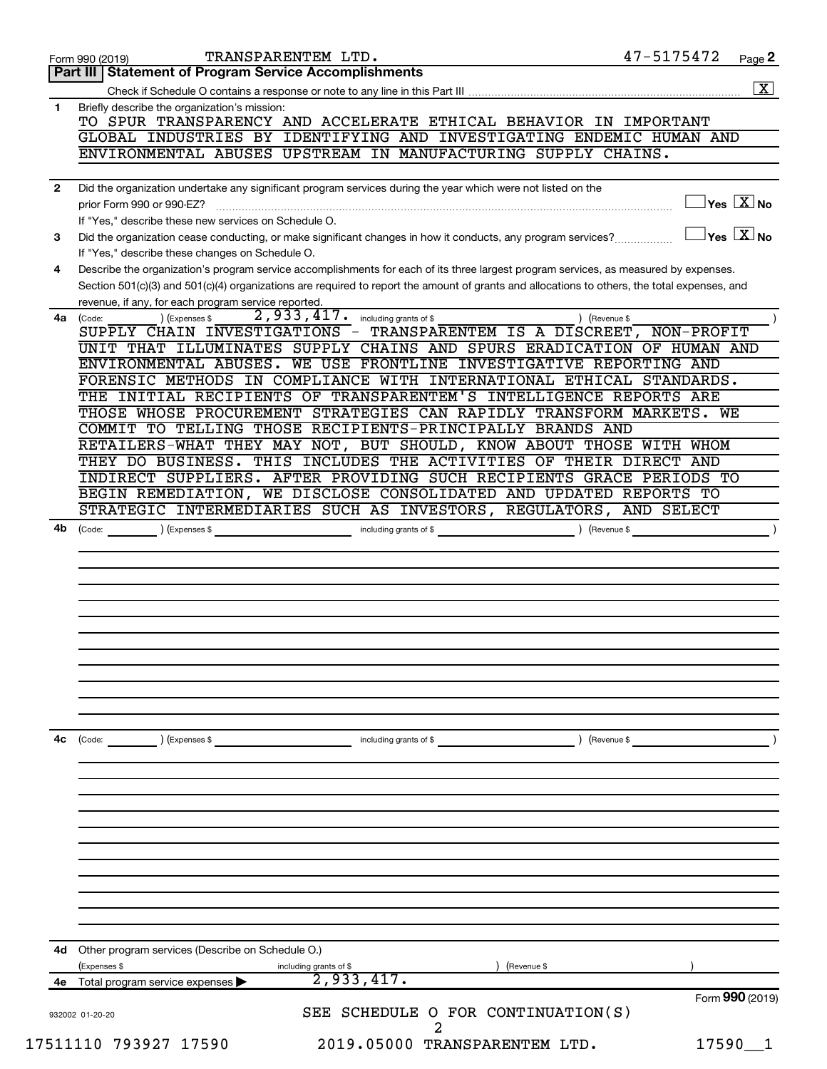|              | TRANSPARENTEM LTD.<br>Form 990 (2019)                                                                                                        | 47-5175472    | Page 2                                    |
|--------------|----------------------------------------------------------------------------------------------------------------------------------------------|---------------|-------------------------------------------|
|              | Part III   Statement of Program Service Accomplishments                                                                                      |               |                                           |
|              |                                                                                                                                              |               | $\boxed{\mathbf{X}}$                      |
| 1            | Briefly describe the organization's mission:                                                                                                 |               |                                           |
|              | TO SPUR TRANSPARENCY AND ACCELERATE ETHICAL BEHAVIOR IN IMPORTANT                                                                            |               |                                           |
|              | GLOBAL INDUSTRIES BY IDENTIFYING AND INVESTIGATING ENDEMIC HUMAN AND                                                                         |               |                                           |
|              | ENVIRONMENTAL ABUSES UPSTREAM IN MANUFACTURING SUPPLY CHAINS.                                                                                |               |                                           |
|              |                                                                                                                                              |               |                                           |
| $\mathbf{2}$ | Did the organization undertake any significant program services during the year which were not listed on the                                 |               |                                           |
|              | prior Form 990 or 990-EZ?                                                                                                                    |               | $\overline{\ }$ Yes $\overline{\rm X}$ No |
|              | If "Yes," describe these new services on Schedule O.                                                                                         |               | $\exists$ Yes $\boxed{\text{X}}$ No       |
| 3            | Did the organization cease conducting, or make significant changes in how it conducts, any program services?                                 |               |                                           |
|              | If "Yes," describe these changes on Schedule O.                                                                                              |               |                                           |
| 4            | Describe the organization's program service accomplishments for each of its three largest program services, as measured by expenses.         |               |                                           |
|              | Section 501(c)(3) and 501(c)(4) organizations are required to report the amount of grants and allocations to others, the total expenses, and |               |                                           |
|              | revenue, if any, for each program service reported.<br>2,933,417. including grants of \$<br>) (Expenses \$                                   | ) (Revenue \$ |                                           |
| 4a           | (Code:<br>SUPPLY CHAIN INVESTIGATIONS - TRANSPARENTEM IS A DISCREET, NON-PROFIT                                                              |               |                                           |
|              | UNIT THAT ILLUMINATES SUPPLY CHAINS AND SPURS ERADICATION OF HUMAN AND                                                                       |               |                                           |
|              | ENVIRONMENTAL ABUSES. WE USE FRONTLINE INVESTIGATIVE REPORTING AND                                                                           |               |                                           |
|              | FORENSIC METHODS IN COMPLIANCE WITH INTERNATIONAL ETHICAL STANDARDS.                                                                         |               |                                           |
|              | THE INITIAL RECIPIENTS OF TRANSPARENTEM'S INTELLIGENCE REPORTS ARE                                                                           |               |                                           |
|              | THOSE WHOSE PROCUREMENT STRATEGIES CAN RAPIDLY TRANSFORM MARKETS. WE                                                                         |               |                                           |
|              | COMMIT TO TELLING THOSE RECIPIENTS-PRINCIPALLY BRANDS AND                                                                                    |               |                                           |
|              | RETAILERS-WHAT THEY MAY NOT, BUT SHOULD, KNOW ABOUT THOSE WITH WHOM                                                                          |               |                                           |
|              | THEY DO BUSINESS. THIS INCLUDES THE ACTIVITIES OF THEIR DIRECT AND                                                                           |               |                                           |
|              | INDIRECT SUPPLIERS. AFTER PROVIDING SUCH RECIPIENTS GRACE PERIODS TO                                                                         |               |                                           |
|              | BEGIN REMEDIATION, WE DISCLOSE CONSOLIDATED AND UPDATED REPORTS TO                                                                           |               |                                           |
|              | STRATEGIC INTERMEDIARIES SUCH AS INVESTORS, REGULATORS, AND SELECT                                                                           |               |                                           |
| 4b           |                                                                                                                                              |               |                                           |
|              |                                                                                                                                              |               |                                           |
|              |                                                                                                                                              |               |                                           |
|              |                                                                                                                                              |               |                                           |
|              |                                                                                                                                              |               |                                           |
|              |                                                                                                                                              |               |                                           |
|              |                                                                                                                                              |               |                                           |
|              |                                                                                                                                              |               |                                           |
|              |                                                                                                                                              |               |                                           |
|              |                                                                                                                                              |               |                                           |
|              |                                                                                                                                              |               |                                           |
|              |                                                                                                                                              |               |                                           |
|              |                                                                                                                                              |               |                                           |
| 4c           | (Code:<br>(Expenses \$<br>including grants of \$                                                                                             | ) (Revenue \$ |                                           |
|              |                                                                                                                                              |               |                                           |
|              |                                                                                                                                              |               |                                           |
|              |                                                                                                                                              |               |                                           |
|              |                                                                                                                                              |               |                                           |
|              |                                                                                                                                              |               |                                           |
|              |                                                                                                                                              |               |                                           |
|              |                                                                                                                                              |               |                                           |
|              |                                                                                                                                              |               |                                           |
|              |                                                                                                                                              |               |                                           |
|              |                                                                                                                                              |               |                                           |
|              |                                                                                                                                              |               |                                           |
| 4d           | Other program services (Describe on Schedule O.)                                                                                             |               |                                           |
|              | (Expenses \$<br>including grants of \$<br>) (Revenue \$                                                                                      |               |                                           |
|              | 2,933,417.<br>4e Total program service expenses                                                                                              |               |                                           |
|              |                                                                                                                                              |               | Form 990 (2019)                           |
|              | SEE SCHEDULE O FOR CONTINUATION(S)<br>932002 01-20-20                                                                                        |               |                                           |
|              |                                                                                                                                              |               |                                           |
|              | 2019.05000 TRANSPARENTEM LTD.<br>17511110 793927 17590                                                                                       |               | $17590 - 1$                               |
|              |                                                                                                                                              |               |                                           |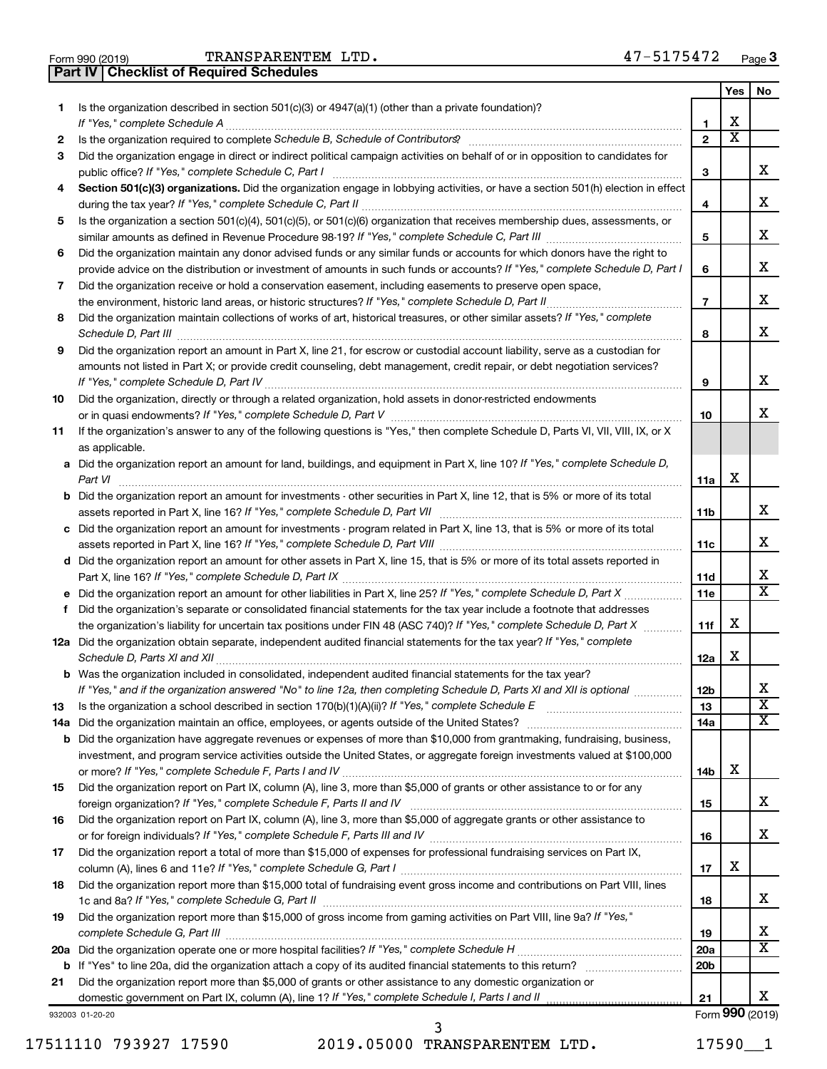**Part IV Checklist of Required Schedules**

|     |                                                                                                                                       |                          | Yes                     | No                      |
|-----|---------------------------------------------------------------------------------------------------------------------------------------|--------------------------|-------------------------|-------------------------|
| 1.  | Is the organization described in section 501(c)(3) or 4947(a)(1) (other than a private foundation)?                                   |                          |                         |                         |
|     |                                                                                                                                       | 1                        | X                       |                         |
| 2   |                                                                                                                                       | $\mathbf{2}$             | $\overline{\textbf{x}}$ |                         |
| 3   | Did the organization engage in direct or indirect political campaign activities on behalf of or in opposition to candidates for       |                          |                         |                         |
|     |                                                                                                                                       | 3                        |                         | x                       |
| 4   | Section 501(c)(3) organizations. Did the organization engage in lobbying activities, or have a section 501(h) election in effect      |                          |                         |                         |
|     |                                                                                                                                       | 4                        |                         | х                       |
| 5   | Is the organization a section 501(c)(4), 501(c)(5), or 501(c)(6) organization that receives membership dues, assessments, or          |                          |                         | х                       |
|     |                                                                                                                                       | 5                        |                         |                         |
| 6   | Did the organization maintain any donor advised funds or any similar funds or accounts for which donors have the right to             |                          |                         | х                       |
|     | provide advice on the distribution or investment of amounts in such funds or accounts? If "Yes," complete Schedule D, Part I          | 6                        |                         |                         |
| 7   | Did the organization receive or hold a conservation easement, including easements to preserve open space,                             |                          |                         | х                       |
|     |                                                                                                                                       | $\overline{\phantom{a}}$ |                         |                         |
| 8   | Did the organization maintain collections of works of art, historical treasures, or other similar assets? If "Yes," complete          |                          |                         | х                       |
|     |                                                                                                                                       | 8                        |                         |                         |
| 9   | Did the organization report an amount in Part X, line 21, for escrow or custodial account liability, serve as a custodian for         |                          |                         |                         |
|     | amounts not listed in Part X; or provide credit counseling, debt management, credit repair, or debt negotiation services?             |                          |                         | x                       |
|     |                                                                                                                                       | 9                        |                         |                         |
| 10  | Did the organization, directly or through a related organization, hold assets in donor-restricted endowments                          |                          |                         | x                       |
|     | If the organization's answer to any of the following questions is "Yes," then complete Schedule D, Parts VI, VII, VIII, IX, or X      | 10                       |                         |                         |
| 11  | as applicable.                                                                                                                        |                          |                         |                         |
|     | a Did the organization report an amount for land, buildings, and equipment in Part X, line 10? If "Yes," complete Schedule D,         |                          |                         |                         |
|     |                                                                                                                                       | 11a                      | X                       |                         |
|     | <b>b</b> Did the organization report an amount for investments - other securities in Part X, line 12, that is 5% or more of its total |                          |                         |                         |
|     |                                                                                                                                       | 11b                      |                         | х                       |
|     | c Did the organization report an amount for investments - program related in Part X, line 13, that is 5% or more of its total         |                          |                         |                         |
|     |                                                                                                                                       | 11c                      |                         | х                       |
|     | d Did the organization report an amount for other assets in Part X, line 15, that is 5% or more of its total assets reported in       |                          |                         |                         |
|     |                                                                                                                                       | 11d                      |                         | х                       |
|     |                                                                                                                                       | 11e                      |                         | $\overline{\text{x}}$   |
| f.  | Did the organization's separate or consolidated financial statements for the tax year include a footnote that addresses               |                          |                         |                         |
|     | the organization's liability for uncertain tax positions under FIN 48 (ASC 740)? If "Yes," complete Schedule D, Part X                | 11f                      | X                       |                         |
|     | 12a Did the organization obtain separate, independent audited financial statements for the tax year? If "Yes," complete               |                          |                         |                         |
|     |                                                                                                                                       | 12a                      | X                       |                         |
|     | <b>b</b> Was the organization included in consolidated, independent audited financial statements for the tax year?                    |                          |                         |                         |
|     | If "Yes," and if the organization answered "No" to line 12a, then completing Schedule D, Parts XI and XII is optional                 | 12 <sub>b</sub>          |                         | х                       |
| 13  |                                                                                                                                       | 13                       |                         | $\overline{\textbf{x}}$ |
| 14a |                                                                                                                                       | 14a                      |                         | x                       |
|     | <b>b</b> Did the organization have aggregate revenues or expenses of more than \$10,000 from grantmaking, fundraising, business,      |                          |                         |                         |
|     | investment, and program service activities outside the United States, or aggregate foreign investments valued at \$100,000            |                          |                         |                         |
|     |                                                                                                                                       | 14b                      | х                       |                         |
| 15  | Did the organization report on Part IX, column (A), line 3, more than \$5,000 of grants or other assistance to or for any             |                          |                         |                         |
|     |                                                                                                                                       | 15                       |                         | х                       |
| 16  | Did the organization report on Part IX, column (A), line 3, more than \$5,000 of aggregate grants or other assistance to              |                          |                         |                         |
|     |                                                                                                                                       | 16                       |                         | x                       |
| 17  | Did the organization report a total of more than \$15,000 of expenses for professional fundraising services on Part IX,               |                          |                         |                         |
|     |                                                                                                                                       | 17                       | х                       |                         |
| 18  | Did the organization report more than \$15,000 total of fundraising event gross income and contributions on Part VIII, lines          | 18                       |                         | х                       |
| 19  | Did the organization report more than \$15,000 of gross income from gaming activities on Part VIII, line 9a? If "Yes,"                |                          |                         |                         |
|     |                                                                                                                                       | 19                       |                         | х                       |
| 20a |                                                                                                                                       | 20a                      |                         | х                       |
|     |                                                                                                                                       | 20 <sub>b</sub>          |                         |                         |
| 21  | Did the organization report more than \$5,000 of grants or other assistance to any domestic organization or                           |                          |                         | x.                      |
|     | domestic government on Part IX, column (A), line 1? If "Yes," complete Schedule I, Parts I and II                                     | 21                       |                         | Form 990 (2019)         |
|     | 932003 01-20-20                                                                                                                       |                          |                         |                         |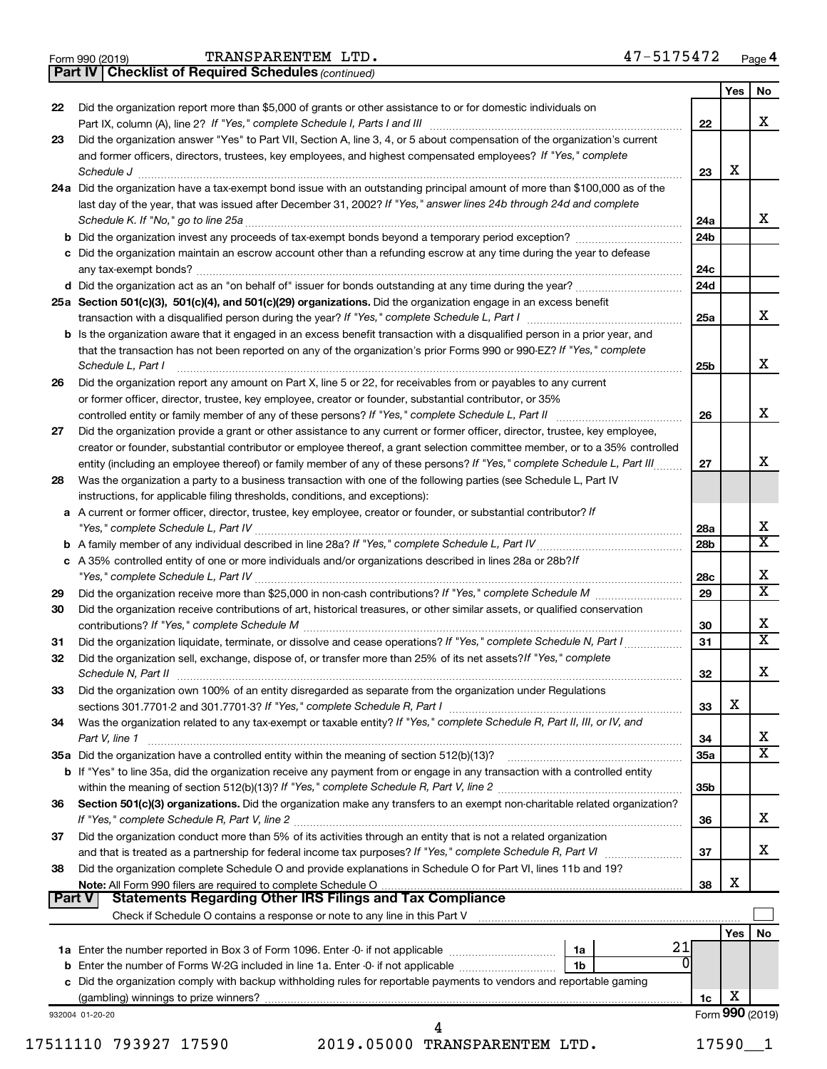|  | Form 990 (2019) |
|--|-----------------|

*(continued)* **Part IV Checklist of Required Schedules**

|               |                                                                                                                                                                                                                                              |                 | Yes | No                      |
|---------------|----------------------------------------------------------------------------------------------------------------------------------------------------------------------------------------------------------------------------------------------|-----------------|-----|-------------------------|
| 22            | Did the organization report more than \$5,000 of grants or other assistance to or for domestic individuals on                                                                                                                                |                 |     |                         |
|               |                                                                                                                                                                                                                                              | 22              |     | x                       |
| 23            | Did the organization answer "Yes" to Part VII, Section A, line 3, 4, or 5 about compensation of the organization's current<br>and former officers, directors, trustees, key employees, and highest compensated employees? If "Yes," complete |                 |     |                         |
|               | Schedule J                                                                                                                                                                                                                                   | 23              | х   |                         |
|               | 24a Did the organization have a tax-exempt bond issue with an outstanding principal amount of more than \$100,000 as of the                                                                                                                  |                 |     |                         |
|               | last day of the year, that was issued after December 31, 2002? If "Yes," answer lines 24b through 24d and complete                                                                                                                           |                 |     |                         |
|               | Schedule K. If "No," go to line 25a                                                                                                                                                                                                          | 24a             |     | x                       |
|               | <b>b</b> Did the organization invest any proceeds of tax-exempt bonds beyond a temporary period exception?                                                                                                                                   | 24b             |     |                         |
|               | c Did the organization maintain an escrow account other than a refunding escrow at any time during the year to defease                                                                                                                       |                 |     |                         |
|               | any tax-exempt bonds?                                                                                                                                                                                                                        | 24c             |     |                         |
|               | d Did the organization act as an "on behalf of" issuer for bonds outstanding at any time during the year?                                                                                                                                    | 24 <sub>d</sub> |     |                         |
|               | 25a Section 501(c)(3), 501(c)(4), and 501(c)(29) organizations. Did the organization engage in an excess benefit                                                                                                                             |                 |     |                         |
|               |                                                                                                                                                                                                                                              | 25a             |     | x                       |
|               | <b>b</b> Is the organization aware that it engaged in an excess benefit transaction with a disqualified person in a prior year, and                                                                                                          |                 |     |                         |
|               | that the transaction has not been reported on any of the organization's prior Forms 990 or 990-EZ? If "Yes," complete                                                                                                                        |                 |     |                         |
|               | Schedule L, Part I                                                                                                                                                                                                                           | 25b             |     | x                       |
| 26            | Did the organization report any amount on Part X, line 5 or 22, for receivables from or payables to any current                                                                                                                              |                 |     |                         |
|               | or former officer, director, trustee, key employee, creator or founder, substantial contributor, or 35%                                                                                                                                      |                 |     |                         |
|               | controlled entity or family member of any of these persons? If "Yes," complete Schedule L, Part II                                                                                                                                           | 26              |     | x                       |
| 27            | Did the organization provide a grant or other assistance to any current or former officer, director, trustee, key employee,                                                                                                                  |                 |     |                         |
|               | creator or founder, substantial contributor or employee thereof, a grant selection committee member, or to a 35% controlled                                                                                                                  |                 |     |                         |
|               | entity (including an employee thereof) or family member of any of these persons? If "Yes," complete Schedule L, Part III                                                                                                                     | 27              |     | x                       |
| 28            | Was the organization a party to a business transaction with one of the following parties (see Schedule L, Part IV                                                                                                                            |                 |     |                         |
|               | instructions, for applicable filing thresholds, conditions, and exceptions):                                                                                                                                                                 |                 |     |                         |
|               | a A current or former officer, director, trustee, key employee, creator or founder, or substantial contributor? If                                                                                                                           | 28a             |     | x                       |
|               |                                                                                                                                                                                                                                              | 28b             |     | $\overline{\mathtt{x}}$ |
|               | c A 35% controlled entity of one or more individuals and/or organizations described in lines 28a or 28b? <i>If</i>                                                                                                                           |                 |     |                         |
|               |                                                                                                                                                                                                                                              | 28c             |     | х                       |
| 29            |                                                                                                                                                                                                                                              | 29              |     | $\overline{\mathtt{x}}$ |
| 30            | Did the organization receive contributions of art, historical treasures, or other similar assets, or qualified conservation                                                                                                                  |                 |     |                         |
|               |                                                                                                                                                                                                                                              | 30              |     | х                       |
| 31            | Did the organization liquidate, terminate, or dissolve and cease operations? If "Yes," complete Schedule N, Part I                                                                                                                           | 31              |     | $\overline{\mathtt{x}}$ |
| 32            | Did the organization sell, exchange, dispose of, or transfer more than 25% of its net assets? If "Yes," complete                                                                                                                             |                 |     |                         |
|               | Schedule N, Part II                                                                                                                                                                                                                          | 32              |     | X                       |
| 33            | Did the organization own 100% of an entity disregarded as separate from the organization under Regulations                                                                                                                                   |                 |     |                         |
|               |                                                                                                                                                                                                                                              | 33              | х   |                         |
| 34            | Was the organization related to any tax-exempt or taxable entity? If "Yes," complete Schedule R, Part II, III, or IV, and                                                                                                                    |                 |     |                         |
|               | Part V, line 1                                                                                                                                                                                                                               | 34              |     | x                       |
|               |                                                                                                                                                                                                                                              | 35a             |     | $\overline{\mathtt{x}}$ |
|               | b If "Yes" to line 35a, did the organization receive any payment from or engage in any transaction with a controlled entity                                                                                                                  |                 |     |                         |
|               |                                                                                                                                                                                                                                              | 35b             |     |                         |
| 36            | Section 501(c)(3) organizations. Did the organization make any transfers to an exempt non-charitable related organization?                                                                                                                   |                 |     |                         |
|               |                                                                                                                                                                                                                                              | 36              |     | x                       |
| 37            | Did the organization conduct more than 5% of its activities through an entity that is not a related organization                                                                                                                             |                 |     | x                       |
|               | and that is treated as a partnership for federal income tax purposes? If "Yes," complete Schedule R, Part VI                                                                                                                                 | 37              |     |                         |
| 38            | Did the organization complete Schedule O and provide explanations in Schedule O for Part VI, lines 11b and 19?                                                                                                                               | 38              | х   |                         |
| <b>Part V</b> | <b>Statements Regarding Other IRS Filings and Tax Compliance</b>                                                                                                                                                                             |                 |     |                         |
|               | Check if Schedule O contains a response or note to any line in this Part V [11] [12] Check if Schedule O contains a response or note to any line in this Part V                                                                              |                 |     |                         |
|               |                                                                                                                                                                                                                                              |                 | Yes | No                      |
|               | 21<br>1a                                                                                                                                                                                                                                     |                 |     |                         |
|               | $\Omega$<br><b>b</b> Enter the number of Forms W-2G included in line 1a. Enter -0- if not applicable <i>manumerane in</i> the setting<br>1 <sub>b</sub>                                                                                      |                 |     |                         |
|               | c Did the organization comply with backup withholding rules for reportable payments to vendors and reportable gaming                                                                                                                         |                 |     |                         |
|               |                                                                                                                                                                                                                                              | 1c              | х   |                         |
|               | 932004 01-20-20                                                                                                                                                                                                                              |                 |     | Form 990 (2019)         |
|               | 4                                                                                                                                                                                                                                            |                 |     |                         |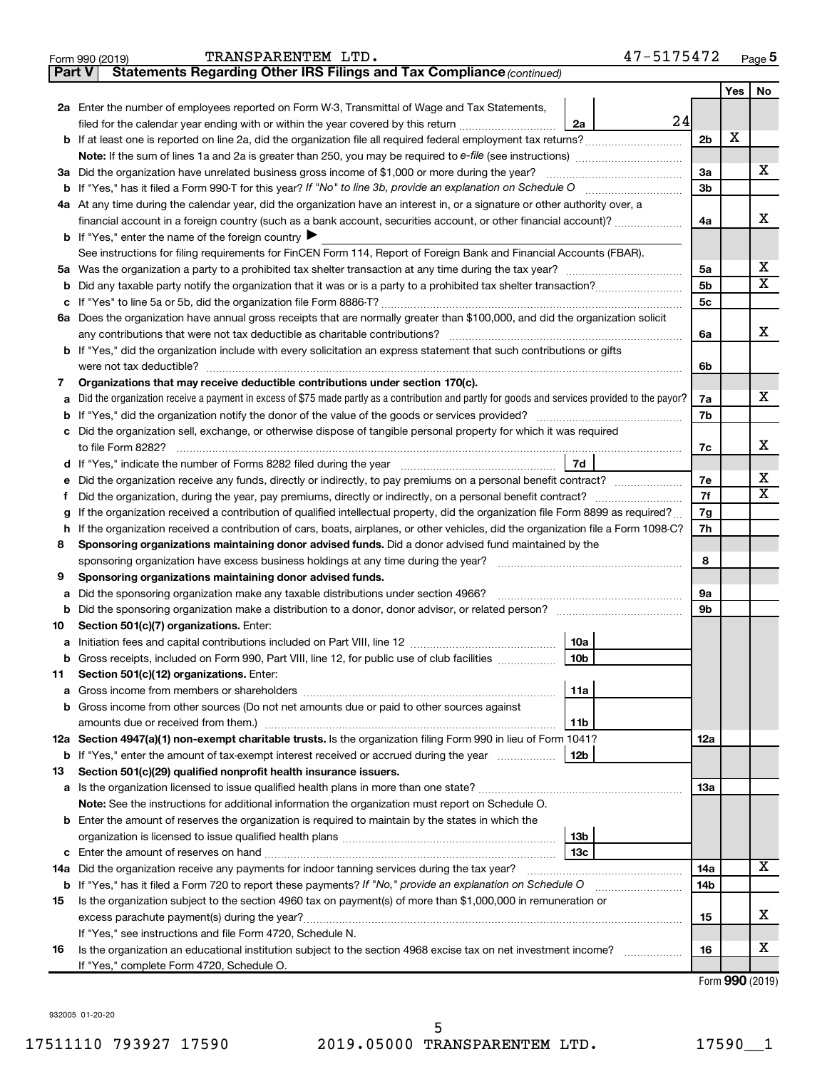| TRANSPARENTEM LTD. | 47-5175472 |
|--------------------|------------|
|--------------------|------------|

| Part V | Statements Regarding Other IRS Filings and Tax Compliance (continued)                                                                                      |                |     |                         |
|--------|------------------------------------------------------------------------------------------------------------------------------------------------------------|----------------|-----|-------------------------|
|        |                                                                                                                                                            |                | Yes | No                      |
|        | 2a Enter the number of employees reported on Form W-3, Transmittal of Wage and Tax Statements,                                                             |                |     |                         |
|        | 24<br>filed for the calendar year ending with or within the year covered by this return<br>2a                                                              |                |     |                         |
|        | <b>b</b> If at least one is reported on line 2a, did the organization file all required federal employment tax returns?                                    | 2 <sub>b</sub> | X   |                         |
|        |                                                                                                                                                            |                |     |                         |
|        | 3a Did the organization have unrelated business gross income of \$1,000 or more during the year?                                                           | За             |     | х                       |
|        |                                                                                                                                                            | 3b             |     |                         |
|        | 4a At any time during the calendar year, did the organization have an interest in, or a signature or other authority over, a                               |                |     |                         |
|        | financial account in a foreign country (such as a bank account, securities account, or other financial account)?                                           | 4a             |     | х                       |
|        | <b>b</b> If "Yes," enter the name of the foreign country $\blacktriangleright$                                                                             |                |     |                         |
|        | See instructions for filing requirements for FinCEN Form 114, Report of Foreign Bank and Financial Accounts (FBAR).                                        |                |     |                         |
| 5a     |                                                                                                                                                            | 5a             |     | x                       |
| b      |                                                                                                                                                            | 5b             |     | $\overline{\textbf{x}}$ |
|        |                                                                                                                                                            | 5с             |     |                         |
|        | 6a Does the organization have annual gross receipts that are normally greater than \$100,000, and did the organization solicit                             |                |     |                         |
|        |                                                                                                                                                            | 6a             |     | х                       |
|        | b If "Yes," did the organization include with every solicitation an express statement that such contributions or gifts                                     |                |     |                         |
|        | were not tax deductible?                                                                                                                                   | 6b             |     |                         |
| 7      | Organizations that may receive deductible contributions under section 170(c).                                                                              |                |     |                         |
| a      | Did the organization receive a payment in excess of \$75 made partly as a contribution and partly for goods and services provided to the payor?            | 7a             |     | х                       |
| b      |                                                                                                                                                            | 7b             |     |                         |
| c      | Did the organization sell, exchange, or otherwise dispose of tangible personal property for which it was required                                          |                |     |                         |
|        |                                                                                                                                                            | 7c             |     | х                       |
| d      | 7d                                                                                                                                                         |                |     |                         |
|        | Did the organization receive any funds, directly or indirectly, to pay premiums on a personal benefit contract?                                            | 7e             |     | х                       |
| f      |                                                                                                                                                            | 7f             |     | $\overline{\mathbf{X}}$ |
| g      | If the organization received a contribution of qualified intellectual property, did the organization file Form 8899 as required?                           | 7g             |     |                         |
| h      | If the organization received a contribution of cars, boats, airplanes, or other vehicles, did the organization file a Form 1098-C?                         | 7h             |     |                         |
| 8      | Sponsoring organizations maintaining donor advised funds. Did a donor advised fund maintained by the                                                       |                |     |                         |
|        |                                                                                                                                                            | 8              |     |                         |
| 9      | Sponsoring organizations maintaining donor advised funds.                                                                                                  |                |     |                         |
| а      | Did the sponsoring organization make any taxable distributions under section 4966?                                                                         | 9а             |     |                         |
| b      |                                                                                                                                                            | 9b             |     |                         |
| 10     | Section 501(c)(7) organizations. Enter:                                                                                                                    |                |     |                         |
| а      | 10a                                                                                                                                                        |                |     |                         |
|        | <b>b</b> Gross receipts, included on Form 990, Part VIII, line 12, for public use of club facilities <i>manument</i><br>10b                                |                |     |                         |
| 11     | Section 501(c)(12) organizations. Enter:                                                                                                                   |                |     |                         |
|        | 11a                                                                                                                                                        |                |     |                         |
|        | Gross income from other sources (Do not net amounts due or paid to other sources against                                                                   |                |     |                         |
|        | amounts due or received from them.)<br>11b                                                                                                                 |                |     |                         |
|        | 12a Section 4947(a)(1) non-exempt charitable trusts. Is the organization filing Form 990 in lieu of Form 1041?<br>12b                                      | 12a            |     |                         |
|        | <b>b</b> If "Yes," enter the amount of tax-exempt interest received or accrued during the year                                                             |                |     |                         |
| 13     | Section 501(c)(29) qualified nonprofit health insurance issuers.<br>a Is the organization licensed to issue qualified health plans in more than one state? | 13a            |     |                         |
|        | Note: See the instructions for additional information the organization must report on Schedule O.                                                          |                |     |                         |
|        | <b>b</b> Enter the amount of reserves the organization is required to maintain by the states in which the                                                  |                |     |                         |
|        | 13b                                                                                                                                                        |                |     |                         |
| c      | 13c                                                                                                                                                        |                |     |                         |
|        | 14a Did the organization receive any payments for indoor tanning services during the tax year?                                                             | 14a            |     | x                       |
|        | <b>b</b> If "Yes," has it filed a Form 720 to report these payments? If "No," provide an explanation on Schedule O                                         | 14b            |     |                         |
| 15     | Is the organization subject to the section 4960 tax on payment(s) of more than \$1,000,000 in remuneration or                                              |                |     |                         |
|        | excess parachute payment(s) during the year?                                                                                                               | 15             |     | х                       |
|        | If "Yes," see instructions and file Form 4720, Schedule N.                                                                                                 |                |     |                         |
| 16     | Is the organization an educational institution subject to the section 4968 excise tax on net investment income?                                            | 16             |     | x                       |
|        | If "Yes," complete Form 4720, Schedule O.                                                                                                                  |                |     |                         |

Form (2019) **990**

932005 01-20-20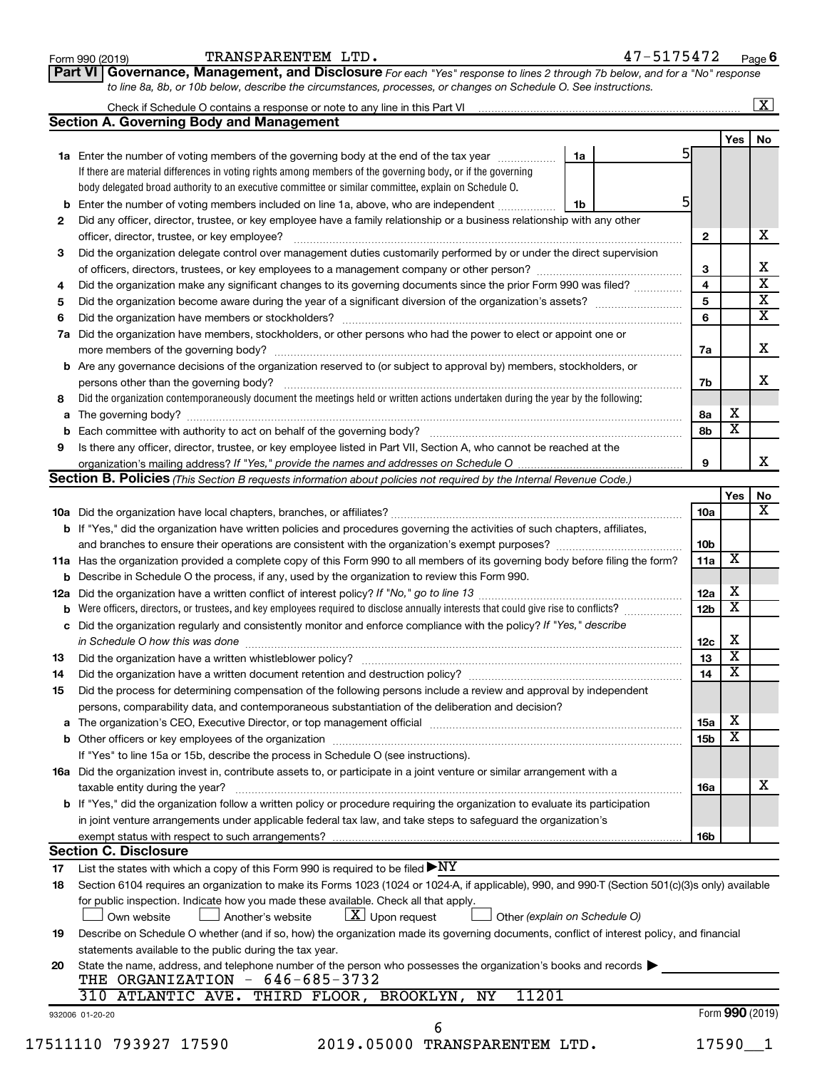| Form 990 (2019) |  |
|-----------------|--|
|-----------------|--|

Form 990 (2019) Page TRANSPARENTEM LTD. 47-5175472

**Part VI** Governance, Management, and Disclosure For each "Yes" response to lines 2 through 7b below, and for a "No" response *to line 8a, 8b, or 10b below, describe the circumstances, processes, or changes on Schedule O. See instructions.*

|     | Check if Schedule O contains a response or note to any line in this Part VI [1] [1] [1] [1] [1] [1] [1] [1] [1                                                                      |    |                 |                         | $\mathbf{X}$ |
|-----|-------------------------------------------------------------------------------------------------------------------------------------------------------------------------------------|----|-----------------|-------------------------|--------------|
|     | <b>Section A. Governing Body and Management</b>                                                                                                                                     |    |                 |                         |              |
|     |                                                                                                                                                                                     |    |                 | Yes $ $                 | No           |
|     | 1a Enter the number of voting members of the governing body at the end of the tax year <i>manumum</i>                                                                               | 1a | 51              |                         |              |
|     | If there are material differences in voting rights among members of the governing body, or if the governing                                                                         |    |                 |                         |              |
|     | body delegated broad authority to an executive committee or similar committee, explain on Schedule O.                                                                               |    |                 |                         |              |
| b   | Enter the number of voting members included on line 1a, above, who are independent                                                                                                  | 1b | 51              |                         |              |
| 2   | Did any officer, director, trustee, or key employee have a family relationship or a business relationship with any other                                                            |    |                 |                         |              |
|     | officer, director, trustee, or key employee?                                                                                                                                        |    | $\mathbf{2}$    |                         |              |
| 3   | Did the organization delegate control over management duties customarily performed by or under the direct supervision                                                               |    |                 |                         |              |
|     |                                                                                                                                                                                     |    | 3               |                         |              |
| 4   | Did the organization make any significant changes to its governing documents since the prior Form 990 was filed?                                                                    |    | 4               |                         |              |
| 5   |                                                                                                                                                                                     |    | 5               |                         |              |
| 6   |                                                                                                                                                                                     |    | 6               |                         |              |
| 7a  | Did the organization have members, stockholders, or other persons who had the power to elect or appoint one or                                                                      |    |                 |                         |              |
|     |                                                                                                                                                                                     |    | 7а              |                         |              |
|     | Are any governance decisions of the organization reserved to (or subject to approval by) members, stockholders, or                                                                  |    |                 |                         |              |
| b   |                                                                                                                                                                                     |    |                 |                         |              |
|     |                                                                                                                                                                                     |    | 7b              |                         |              |
| 8   | Did the organization contemporaneously document the meetings held or written actions undertaken during the year by the following:                                                   |    |                 |                         |              |
| а   |                                                                                                                                                                                     |    | 8а              | х                       |              |
| b   |                                                                                                                                                                                     |    | 8b              | $\overline{\textbf{x}}$ |              |
| 9   | Is there any officer, director, trustee, or key employee listed in Part VII, Section A, who cannot be reached at the                                                                |    |                 |                         |              |
|     |                                                                                                                                                                                     |    | 9               |                         |              |
|     | <b>Section B. Policies</b> (This Section B requests information about policies not required by the Internal Revenue Code.)                                                          |    |                 |                         |              |
|     |                                                                                                                                                                                     |    |                 | Yes                     |              |
|     |                                                                                                                                                                                     |    | 10a             |                         |              |
|     | b If "Yes," did the organization have written policies and procedures governing the activities of such chapters, affiliates,                                                        |    |                 |                         |              |
|     |                                                                                                                                                                                     |    | 10 <sub>b</sub> |                         |              |
|     | 11a Has the organization provided a complete copy of this Form 990 to all members of its governing body before filing the form?                                                     |    | 11a             | х                       |              |
|     | <b>b</b> Describe in Schedule O the process, if any, used by the organization to review this Form 990.                                                                              |    |                 |                         |              |
| 12a |                                                                                                                                                                                     |    | 12a             | X                       |              |
| b   | Were officers, directors, or trustees, and key employees required to disclose annually interests that could give rise to conflicts?                                                 |    | 12 <sub>b</sub> | $\overline{\textbf{x}}$ |              |
| с   | Did the organization regularly and consistently monitor and enforce compliance with the policy? If "Yes," describe                                                                  |    |                 |                         |              |
|     |                                                                                                                                                                                     |    | 12c             | х                       |              |
| 13  |                                                                                                                                                                                     |    | 13              | $\overline{\mathbf{x}}$ |              |
| 14  | Did the organization have a written document retention and destruction policy? [11] manufaction model of the organization have a written document retention and destruction policy? |    | 14              | $\overline{\mathbf{x}}$ |              |
| 15  | Did the process for determining compensation of the following persons include a review and approval by independent                                                                  |    |                 |                         |              |
|     | persons, comparability data, and contemporaneous substantiation of the deliberation and decision?                                                                                   |    |                 |                         |              |
|     |                                                                                                                                                                                     |    |                 | X                       |              |
| а   |                                                                                                                                                                                     |    | <b>15a</b>      | х                       |              |
|     |                                                                                                                                                                                     |    | 15 <sub>b</sub> |                         |              |
|     | If "Yes" to line 15a or 15b, describe the process in Schedule O (see instructions).                                                                                                 |    |                 |                         |              |
|     | 16a Did the organization invest in, contribute assets to, or participate in a joint venture or similar arrangement with a                                                           |    |                 |                         |              |
|     | taxable entity during the year?                                                                                                                                                     |    | 16a             |                         |              |
|     | b If "Yes," did the organization follow a written policy or procedure requiring the organization to evaluate its participation                                                      |    |                 |                         |              |
|     | in joint venture arrangements under applicable federal tax law, and take steps to safeguard the organization's                                                                      |    |                 |                         |              |
|     | exempt status with respect to such arrangements?                                                                                                                                    |    | 16 <sub>b</sub> |                         |              |
|     | <b>Section C. Disclosure</b>                                                                                                                                                        |    |                 |                         |              |
| 17  | List the states with which a copy of this Form 990 is required to be filed $\blacktriangleright\text{NY}$                                                                           |    |                 |                         |              |
| 18  | Section 6104 requires an organization to make its Forms 1023 (1024 or 1024-A, if applicable), 990, and 990-T (Section 501(c)(3)s only) available                                    |    |                 |                         |              |
|     | for public inspection. Indicate how you made these available. Check all that apply.                                                                                                 |    |                 |                         |              |
|     | $\lfloor x \rfloor$ Upon request<br>Other (explain on Schedule O)<br>Own website<br>Another's website                                                                               |    |                 |                         |              |
| 19  | Describe on Schedule O whether (and if so, how) the organization made its governing documents, conflict of interest policy, and financial                                           |    |                 |                         |              |
|     | statements available to the public during the tax year.                                                                                                                             |    |                 |                         |              |
| 20  | State the name, address, and telephone number of the person who possesses the organization's books and records                                                                      |    |                 |                         |              |
|     | THE ORGANIZATION - 646-685-3732                                                                                                                                                     |    |                 |                         |              |
|     | 11201<br>310 ATLANTIC AVE. THIRD FLOOR, BROOKLYN,<br>ΝY                                                                                                                             |    |                 |                         |              |
|     | 932006 01-20-20                                                                                                                                                                     |    |                 | Form 990 (2019)         |              |
|     | 6                                                                                                                                                                                   |    |                 |                         |              |
|     | 2019.05000 TRANSPARENTEM LTD.<br>17511110 793927 17590                                                                                                                              |    |                 | $17590 - 1$             |              |
|     |                                                                                                                                                                                     |    |                 |                         |              |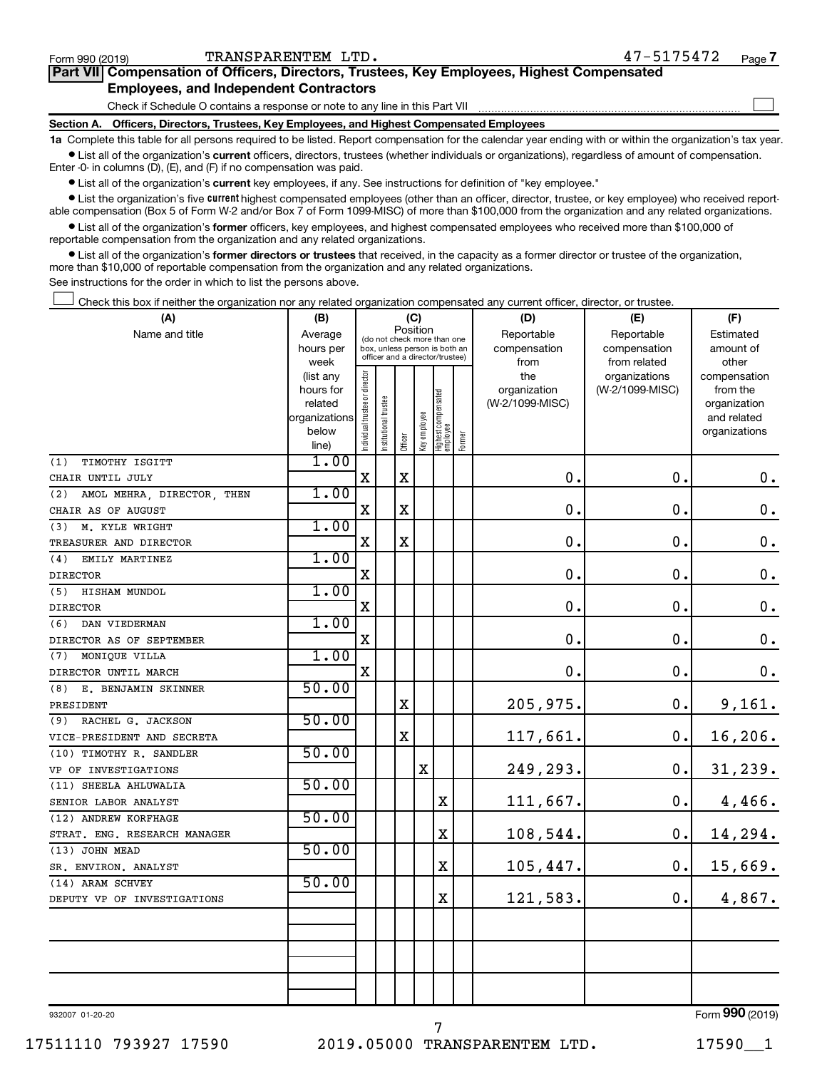| TRANSPARENTEM LTD.<br>Form 990 (2019)                                                             | 47-5175472 | Page |
|---------------------------------------------------------------------------------------------------|------------|------|
| <b>Part VII</b> Compensation of Officers, Directors, Trustees, Key Employees, Highest Compensated |            |      |
| <b>Employees, and Independent Contractors</b>                                                     |            |      |
| Check if Schedule O contains a response or note to any line in this Part VII                      |            |      |
|                                                                                                   |            |      |

**Section A. Officers, Directors, Trustees, Key Employees, and Highest Compensated Employees**

**1a**  Complete this table for all persons required to be listed. Report compensation for the calendar year ending with or within the organization's tax year.  $\bullet$  List all of the organization's current officers, directors, trustees (whether individuals or organizations), regardless of amount of compensation.

Enter -0- in columns (D), (E), and (F) if no compensation was paid.

**•** List all of the organization's current key employees, if any. See instructions for definition of "key employee."

• List the organization's five *current* highest compensated employees (other than an officer, director, trustee, or key employee) who received reportable compensation (Box 5 of Form W-2 and/or Box 7 of Form 1099-MISC) of more than \$100,000 from the organization and any related organizations.

 $\bullet$  List all of the organization's former officers, key employees, and highest compensated employees who received more than \$100,000 of reportable compensation from the organization and any related organizations.

**•** List all of the organization's former directors or trustees that received, in the capacity as a former director or trustee of the organization, more than \$10,000 of reportable compensation from the organization and any related organizations.

See instructions for the order in which to list the persons above.

Check this box if neither the organization nor any related organization compensated any current officer, director, or trustee.  $\Box$ 

| (A)                               |                        | (B)<br>(C)                     |                                                                  |             |              |                                 |            | (D)                 | (E)                              | (F)                      |  |  |  |
|-----------------------------------|------------------------|--------------------------------|------------------------------------------------------------------|-------------|--------------|---------------------------------|------------|---------------------|----------------------------------|--------------------------|--|--|--|
| Name and title                    | Average                | (do not check more than one    |                                                                  | Position    |              |                                 | Reportable | Reportable          | Estimated                        |                          |  |  |  |
|                                   | hours per              |                                | box, unless person is both an<br>officer and a director/trustee) |             |              |                                 |            | compensation        | compensation                     | amount of                |  |  |  |
|                                   | week                   |                                |                                                                  |             |              |                                 |            | from                | from related                     | other                    |  |  |  |
|                                   | (list any<br>hours for |                                |                                                                  |             |              |                                 |            | the<br>organization | organizations<br>(W-2/1099-MISC) | compensation<br>from the |  |  |  |
|                                   | related                |                                |                                                                  |             |              |                                 |            | (W-2/1099-MISC)     |                                  | organization             |  |  |  |
|                                   | organizations          |                                |                                                                  |             |              |                                 |            |                     |                                  | and related              |  |  |  |
|                                   | below                  | Individual trustee or director | Institutional trustee                                            |             | Key employee |                                 |            |                     |                                  | organizations            |  |  |  |
|                                   | line)                  |                                |                                                                  | Officer     |              | Highest compensated<br>employee | Former     |                     |                                  |                          |  |  |  |
| (1)<br>TIMOTHY ISGITT             | 1.00                   |                                |                                                                  |             |              |                                 |            |                     |                                  |                          |  |  |  |
| CHAIR UNTIL JULY                  |                        | X                              |                                                                  | X           |              |                                 |            | 0.                  | $\mathbf 0$ .                    | $0$ .                    |  |  |  |
| (2)<br>AMOL MEHRA, DIRECTOR, THEN | 1.00                   |                                |                                                                  |             |              |                                 |            |                     |                                  |                          |  |  |  |
| CHAIR AS OF AUGUST                |                        | X                              |                                                                  | $\mathbf X$ |              |                                 |            | $\mathbf 0$         | 0.                               | 0.                       |  |  |  |
| M. KYLE WRIGHT<br>(3)             | 1.00                   |                                |                                                                  |             |              |                                 |            |                     |                                  |                          |  |  |  |
| TREASURER AND DIRECTOR            |                        | X                              |                                                                  | $\mathbf X$ |              |                                 |            | $\mathbf 0$         | $\mathbf 0$ .                    | $0\cdot$                 |  |  |  |
| (4)<br>EMILY MARTINEZ             | 1.00                   |                                |                                                                  |             |              |                                 |            |                     |                                  |                          |  |  |  |
| <b>DIRECTOR</b>                   |                        | $\mathbf X$                    |                                                                  |             |              |                                 |            | 0.                  | $\mathbf 0$ .                    | 0.                       |  |  |  |
| (5)<br>HISHAM MUNDOL              | 1.00                   |                                |                                                                  |             |              |                                 |            |                     |                                  |                          |  |  |  |
| <b>DIRECTOR</b>                   |                        | $\mathbf X$                    |                                                                  |             |              |                                 |            | $\mathbf 0$         | $\mathbf 0$ .                    | $\mathbf 0$ .            |  |  |  |
| DAN VIEDERMAN<br>(6)              | 1.00                   |                                |                                                                  |             |              |                                 |            |                     |                                  |                          |  |  |  |
| DIRECTOR AS OF SEPTEMBER          |                        | $\mathbf X$                    |                                                                  |             |              |                                 |            | $\mathbf 0$         | $\mathbf 0$ .                    | 0.                       |  |  |  |
| MONIQUE VILLA<br>(7)              | 1.00                   |                                |                                                                  |             |              |                                 |            |                     |                                  |                          |  |  |  |
| DIRECTOR UNTIL MARCH              |                        | $\mathbf X$                    |                                                                  |             |              |                                 |            | $\mathbf 0$ .       | $\mathbf 0$ .                    | 0.                       |  |  |  |
| (8)<br>E. BENJAMIN SKINNER        | 50.00                  |                                |                                                                  |             |              |                                 |            |                     |                                  |                          |  |  |  |
| PRESIDENT                         |                        |                                |                                                                  | $\mathbf X$ |              |                                 |            | 205,975.            | $\mathbf 0$ .                    | 9,161.                   |  |  |  |
| (9) RACHEL G. JACKSON             | 50.00                  |                                |                                                                  |             |              |                                 |            |                     |                                  |                          |  |  |  |
| VICE-PRESIDENT AND SECRETA        |                        |                                |                                                                  | $\mathbf X$ |              |                                 |            | 117,661.            | 0.                               | 16,206.                  |  |  |  |
| (10) TIMOTHY R. SANDLER           | 50.00                  |                                |                                                                  |             |              |                                 |            |                     |                                  |                          |  |  |  |
| VP OF INVESTIGATIONS              |                        |                                |                                                                  |             | X            |                                 |            | 249,293.            | $\mathbf 0$ .                    | 31, 239.                 |  |  |  |
| (11) SHEELA AHLUWALIA             | 50.00                  |                                |                                                                  |             |              |                                 |            |                     |                                  |                          |  |  |  |
| SENIOR LABOR ANALYST              |                        |                                |                                                                  |             |              | X                               |            | 111,667.            | 0.                               | 4,466.                   |  |  |  |
| (12) ANDREW KORFHAGE              | 50.00                  |                                |                                                                  |             |              |                                 |            |                     |                                  |                          |  |  |  |
| STRAT. ENG. RESEARCH MANAGER      |                        |                                |                                                                  |             |              | X                               |            | 108,544.            | 0.                               | 14,294.                  |  |  |  |
| (13) JOHN MEAD                    | 50.00                  |                                |                                                                  |             |              |                                 |            |                     |                                  |                          |  |  |  |
| SR. ENVIRON. ANALYST              |                        |                                |                                                                  |             |              | X                               |            | 105,447.            | 0.                               | 15,669.                  |  |  |  |
| (14) ARAM SCHVEY                  | 50.00                  |                                |                                                                  |             |              |                                 |            |                     |                                  |                          |  |  |  |
| DEPUTY VP OF INVESTIGATIONS       |                        |                                |                                                                  |             |              | X                               |            | 121,583.            | 0.                               | 4,867.                   |  |  |  |
|                                   |                        |                                |                                                                  |             |              |                                 |            |                     |                                  |                          |  |  |  |
|                                   |                        |                                |                                                                  |             |              |                                 |            |                     |                                  |                          |  |  |  |
|                                   |                        |                                |                                                                  |             |              |                                 |            |                     |                                  |                          |  |  |  |
|                                   |                        |                                |                                                                  |             |              |                                 |            |                     |                                  |                          |  |  |  |
|                                   |                        |                                |                                                                  |             |              |                                 |            |                     |                                  |                          |  |  |  |
|                                   |                        |                                |                                                                  |             |              |                                 |            |                     |                                  |                          |  |  |  |

932007 01-20-20

**7**

 $\Box$ 

7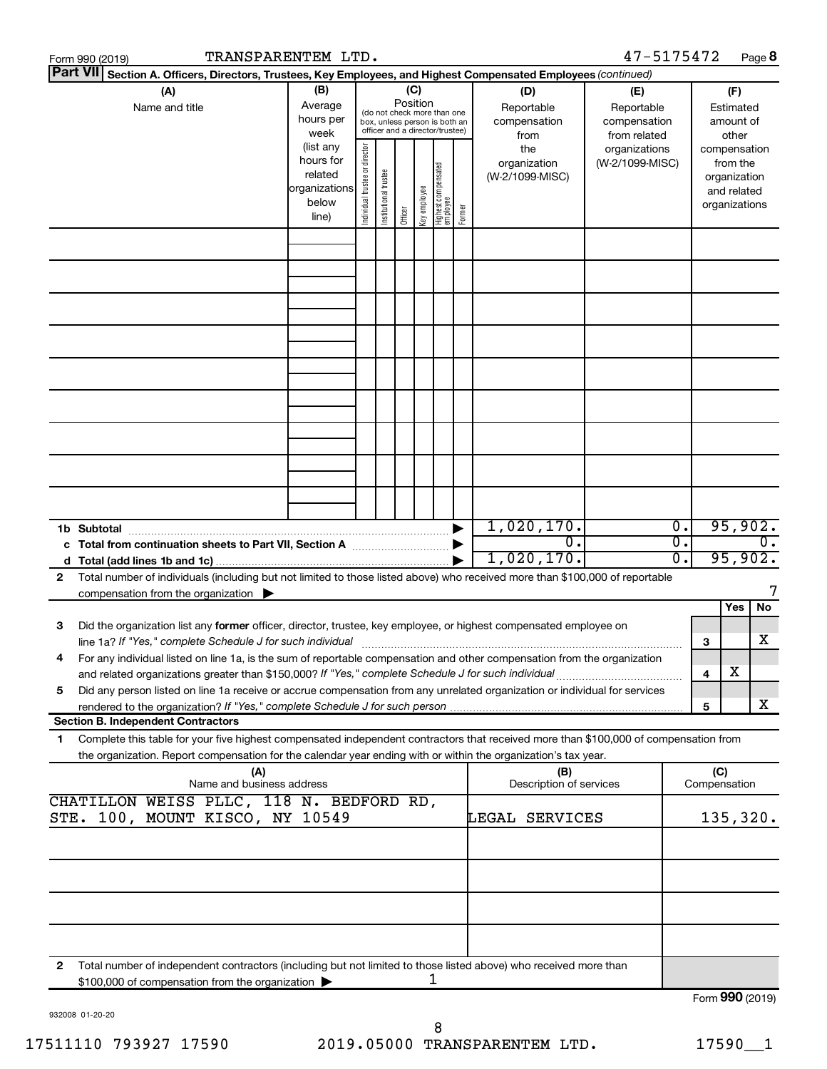|   | 47-5175472<br>TRANSPARENTEM LTD.<br>Page 8<br>Form 990 (2019)                                                                                                                                                                                          |                                                                       |                                                                                                 |                       |         |              |                                   |        |                                           |                                                   |          |                 |                                                                          |                  |
|---|--------------------------------------------------------------------------------------------------------------------------------------------------------------------------------------------------------------------------------------------------------|-----------------------------------------------------------------------|-------------------------------------------------------------------------------------------------|-----------------------|---------|--------------|-----------------------------------|--------|-------------------------------------------|---------------------------------------------------|----------|-----------------|--------------------------------------------------------------------------|------------------|
|   | Part VII Section A. Officers, Directors, Trustees, Key Employees, and Highest Compensated Employees (continued)                                                                                                                                        |                                                                       |                                                                                                 |                       | (C)     |              |                                   |        |                                           |                                                   |          |                 |                                                                          |                  |
|   | (A)<br>Name and title                                                                                                                                                                                                                                  | (B)<br>Average<br>hours per<br>week                                   | (do not check more than one<br>box, unless person is both an<br>officer and a director/trustee) |                       |         |              |                                   |        | (D)<br>Reportable<br>compensation<br>from | (E)<br>Reportable<br>compensation<br>from related |          |                 | (F)<br>Estimated<br>amount of<br>other                                   |                  |
|   |                                                                                                                                                                                                                                                        | (list any<br>hours for<br>related<br> organizations<br>below<br>line) | Individual trustee or director                                                                  | Institutional trustee | Officer | key employee | Highest compensated<br>  employee | Former | the<br>organization<br>(W-2/1099-MISC)    | organizations<br>(W-2/1099-MISC)                  |          |                 | compensation<br>from the<br>organization<br>and related<br>organizations |                  |
|   |                                                                                                                                                                                                                                                        |                                                                       |                                                                                                 |                       |         |              |                                   |        |                                           |                                                   |          |                 |                                                                          |                  |
|   |                                                                                                                                                                                                                                                        |                                                                       |                                                                                                 |                       |         |              |                                   |        |                                           |                                                   |          |                 |                                                                          |                  |
|   |                                                                                                                                                                                                                                                        |                                                                       |                                                                                                 |                       |         |              |                                   |        |                                           |                                                   |          |                 |                                                                          |                  |
|   |                                                                                                                                                                                                                                                        |                                                                       |                                                                                                 |                       |         |              |                                   |        |                                           |                                                   |          |                 |                                                                          |                  |
|   |                                                                                                                                                                                                                                                        |                                                                       |                                                                                                 |                       |         |              |                                   |        |                                           |                                                   |          |                 |                                                                          |                  |
|   |                                                                                                                                                                                                                                                        |                                                                       |                                                                                                 |                       |         |              |                                   |        |                                           |                                                   |          |                 |                                                                          |                  |
|   |                                                                                                                                                                                                                                                        |                                                                       |                                                                                                 |                       |         |              |                                   |        | 1,020,170.                                |                                                   | о.       |                 | 95,902.                                                                  |                  |
|   | c Total from continuation sheets to Part VII, Section A manufactured by                                                                                                                                                                                |                                                                       |                                                                                                 |                       |         |              |                                   |        | 0.<br>1,020,170.                          |                                                   | σ.<br>σ. |                 | 95,902.                                                                  | $\overline{0}$ . |
| 2 | Total number of individuals (including but not limited to those listed above) who received more than \$100,000 of reportable<br>compensation from the organization $\blacktriangleright$                                                               |                                                                       |                                                                                                 |                       |         |              |                                   |        |                                           |                                                   |          |                 |                                                                          |                  |
| з | Did the organization list any former officer, director, trustee, key employee, or highest compensated employee on                                                                                                                                      |                                                                       |                                                                                                 |                       |         |              |                                   |        |                                           |                                                   |          |                 | Yes                                                                      | No.              |
| 4 | line 1a? If "Yes," complete Schedule J for such individual<br>For any individual listed on line 1a, is the sum of reportable compensation and other compensation from the organization                                                                 |                                                                       |                                                                                                 |                       |         |              |                                   |        |                                           |                                                   |          | 3               |                                                                          | х                |
| 5 | Did any person listed on line 1a receive or accrue compensation from any unrelated organization or individual for services                                                                                                                             |                                                                       |                                                                                                 |                       |         |              |                                   |        |                                           |                                                   |          | 4               | х                                                                        |                  |
|   | <b>Section B. Independent Contractors</b>                                                                                                                                                                                                              |                                                                       |                                                                                                 |                       |         |              |                                   |        |                                           |                                                   |          | 5               |                                                                          | X                |
| 1 | Complete this table for your five highest compensated independent contractors that received more than \$100,000 of compensation from<br>the organization. Report compensation for the calendar year ending with or within the organization's tax year. |                                                                       |                                                                                                 |                       |         |              |                                   |        |                                           |                                                   |          |                 |                                                                          |                  |
|   | (A)<br>Name and business address                                                                                                                                                                                                                       |                                                                       |                                                                                                 |                       |         |              |                                   |        | (B)<br>Description of services            |                                                   |          | (C)             | Compensation                                                             |                  |
|   | CHATILLON WEISS PLLC, 118 N. BEDFORD RD,<br>STE. 100, MOUNT KISCO, NY 10549                                                                                                                                                                            |                                                                       |                                                                                                 |                       |         |              |                                   |        | LEGAL<br>SERVICES                         |                                                   |          |                 | 135,320.                                                                 |                  |
|   |                                                                                                                                                                                                                                                        |                                                                       |                                                                                                 |                       |         |              |                                   |        |                                           |                                                   |          |                 |                                                                          |                  |
|   |                                                                                                                                                                                                                                                        |                                                                       |                                                                                                 |                       |         |              |                                   |        |                                           |                                                   |          |                 |                                                                          |                  |
|   |                                                                                                                                                                                                                                                        |                                                                       |                                                                                                 |                       |         |              |                                   |        |                                           |                                                   |          |                 |                                                                          |                  |
| 2 | Total number of independent contractors (including but not limited to those listed above) who received more than<br>\$100,000 of compensation from the organization                                                                                    |                                                                       |                                                                                                 |                       |         | ı            |                                   |        |                                           |                                                   |          |                 |                                                                          |                  |
|   |                                                                                                                                                                                                                                                        |                                                                       |                                                                                                 |                       |         |              |                                   |        |                                           |                                                   |          | Form 990 (2019) |                                                                          |                  |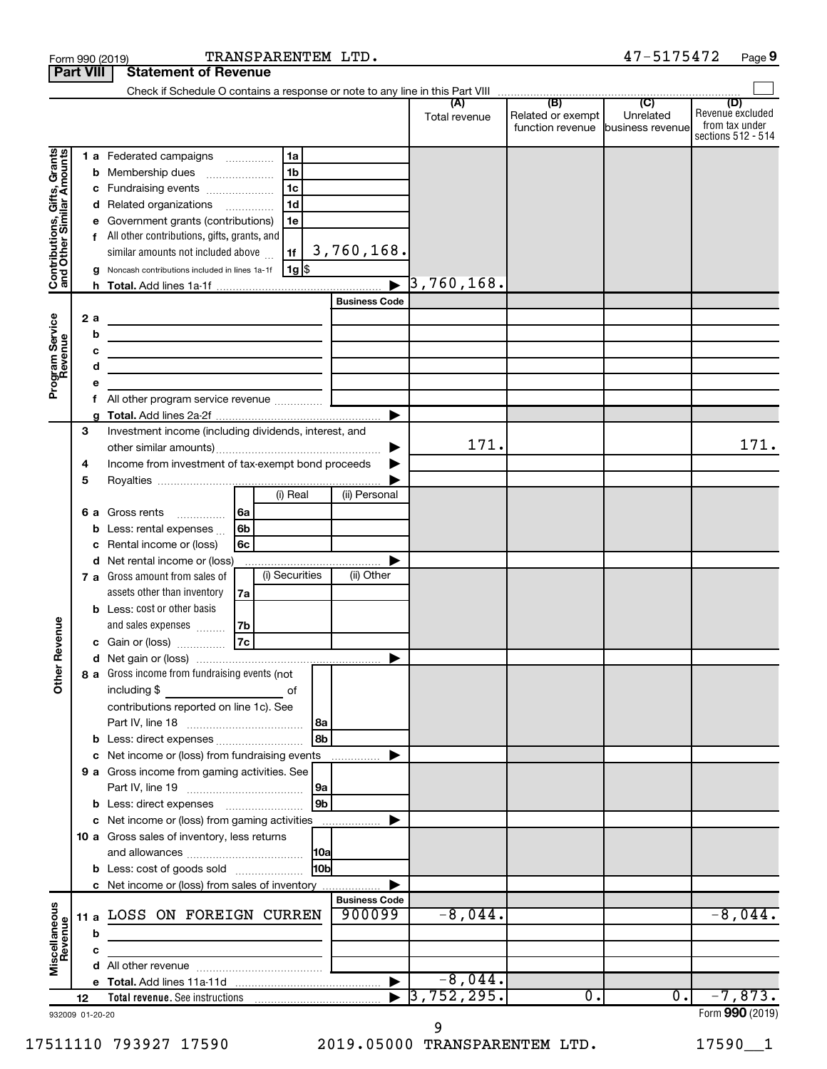|                                                                                         | <b>Part VIII</b>                            | <b>Statement of Revenue</b>                                                                                                                                                                                                                                                                                                                                                                                                                                                                                                                                                                                                                                                                                               |                                     |                                                        |           |                                                                 |
|-----------------------------------------------------------------------------------------|---------------------------------------------|---------------------------------------------------------------------------------------------------------------------------------------------------------------------------------------------------------------------------------------------------------------------------------------------------------------------------------------------------------------------------------------------------------------------------------------------------------------------------------------------------------------------------------------------------------------------------------------------------------------------------------------------------------------------------------------------------------------------------|-------------------------------------|--------------------------------------------------------|-----------|-----------------------------------------------------------------|
|                                                                                         |                                             |                                                                                                                                                                                                                                                                                                                                                                                                                                                                                                                                                                                                                                                                                                                           |                                     |                                                        |           |                                                                 |
|                                                                                         |                                             |                                                                                                                                                                                                                                                                                                                                                                                                                                                                                                                                                                                                                                                                                                                           | Total revenue                       | Related or exempt<br>function revenue business revenue | Unrelated | (D)<br>Revenue excluded<br>from tax under<br>sections 512 - 514 |
| Contributions, Gifts, Grants<br>and Other Similar Amounts<br>Program Service<br>Revenue | b<br>с<br>d<br>f<br>h.<br>2a<br>b<br>с<br>d | 1 a Federated campaigns<br>1a<br>1 <sub>b</sub><br>Membership dues<br>$\ldots \ldots \ldots \ldots \ldots$<br>1 <sub>c</sub><br>Fundraising events<br>1 <sub>d</sub><br>Related organizations<br>Government grants (contributions)<br>1e<br>All other contributions, gifts, grants, and<br>3,760,168.<br>similar amounts not included above<br>1f<br>1g  \$<br>Noncash contributions included in lines 1a-1f<br><b>Business Code</b><br>the control of the control of the control of the control of the control of<br>the control of the control of the control of the control of the control of<br>the control of the control of the control of the control of the control of<br><u> 1989 - Johann Barbara, martin a</u> | $\overline{\phantom{1}}$ 3,760,168. |                                                        |           |                                                                 |
|                                                                                         |                                             |                                                                                                                                                                                                                                                                                                                                                                                                                                                                                                                                                                                                                                                                                                                           |                                     |                                                        |           |                                                                 |
|                                                                                         | f                                           |                                                                                                                                                                                                                                                                                                                                                                                                                                                                                                                                                                                                                                                                                                                           |                                     |                                                        |           |                                                                 |
|                                                                                         | 3<br>4                                      | Investment income (including dividends, interest, and<br>Income from investment of tax-exempt bond proceeds                                                                                                                                                                                                                                                                                                                                                                                                                                                                                                                                                                                                               | ▶<br>171.                           |                                                        |           | 171.                                                            |
|                                                                                         | 5<br>6а<br>b                                | (i) Real<br>(ii) Personal<br>Gross rents<br>  6a<br>.<br>6b<br>Less: rental expenses                                                                                                                                                                                                                                                                                                                                                                                                                                                                                                                                                                                                                                      |                                     |                                                        |           |                                                                 |
|                                                                                         | d                                           | 6с<br>Rental income or (loss)<br>Net rental income or (loss)<br>(i) Securities<br>(ii) Other<br>7 a Gross amount from sales of<br>assets other than inventory<br>7a                                                                                                                                                                                                                                                                                                                                                                                                                                                                                                                                                       |                                     |                                                        |           |                                                                 |
| Revenue                                                                                 |                                             | <b>b</b> Less: cost or other basis<br>and sales expenses<br>7b<br> 7c <br>c Gain or (loss)                                                                                                                                                                                                                                                                                                                                                                                                                                                                                                                                                                                                                                |                                     |                                                        |           |                                                                 |
| ৯<br>Ĕ                                                                                  |                                             | 8 a Gross income from fundraising events (not<br>including \$<br>of<br>contributions reported on line 1c). See                                                                                                                                                                                                                                                                                                                                                                                                                                                                                                                                                                                                            |                                     |                                                        |           |                                                                 |
|                                                                                         |                                             | l 8a<br>8b<br>c Net income or (loss) from fundraising events<br>.<br>9 a Gross income from gaming activities. See                                                                                                                                                                                                                                                                                                                                                                                                                                                                                                                                                                                                         |                                     |                                                        |           |                                                                 |
|                                                                                         |                                             | 9a<br>9 <sub>b</sub><br><b>b</b> Less: direct expenses <b>manually</b><br>c Net income or (loss) from gaming activities                                                                                                                                                                                                                                                                                                                                                                                                                                                                                                                                                                                                   |                                     |                                                        |           |                                                                 |
|                                                                                         |                                             | 10 a Gross sales of inventory, less returns<br> 10a<br>10bl<br><b>b</b> Less: cost of goods sold                                                                                                                                                                                                                                                                                                                                                                                                                                                                                                                                                                                                                          |                                     |                                                        |           |                                                                 |
|                                                                                         |                                             | c Net income or (loss) from sales of inventory<br><b>Business Code</b>                                                                                                                                                                                                                                                                                                                                                                                                                                                                                                                                                                                                                                                    |                                     |                                                        |           |                                                                 |
| Miscellaneous<br>Revenue                                                                | 11a<br>b                                    | 900099<br>LOSS ON FOREIGN CURREN<br><u> 1989 - Johann Barn, mars ann an t-Amhain an t-Amhain an t-Amhain an t-Amhain an t-Amhain an t-Amhain an t-A</u>                                                                                                                                                                                                                                                                                                                                                                                                                                                                                                                                                                   | $-8,044.$                           |                                                        |           | $-8,044.$                                                       |
|                                                                                         | c                                           |                                                                                                                                                                                                                                                                                                                                                                                                                                                                                                                                                                                                                                                                                                                           |                                     |                                                        |           |                                                                 |
|                                                                                         |                                             |                                                                                                                                                                                                                                                                                                                                                                                                                                                                                                                                                                                                                                                                                                                           | $-8,044.$                           |                                                        |           |                                                                 |
|                                                                                         | 12                                          |                                                                                                                                                                                                                                                                                                                                                                                                                                                                                                                                                                                                                                                                                                                           | 3,752,295.                          | $\overline{\mathfrak{0}}$ .                            | 0.        | $-7,873.$                                                       |
|                                                                                         | 932009 01-20-20                             |                                                                                                                                                                                                                                                                                                                                                                                                                                                                                                                                                                                                                                                                                                                           |                                     |                                                        |           | Form 990 (2019)                                                 |

17511110 793927 17590 2019.05000 TRANSPARENTEM LTD. 17590\_\_1 9

Form 990 (2019) Page TRANSPARENTEM LTD. 47-5175472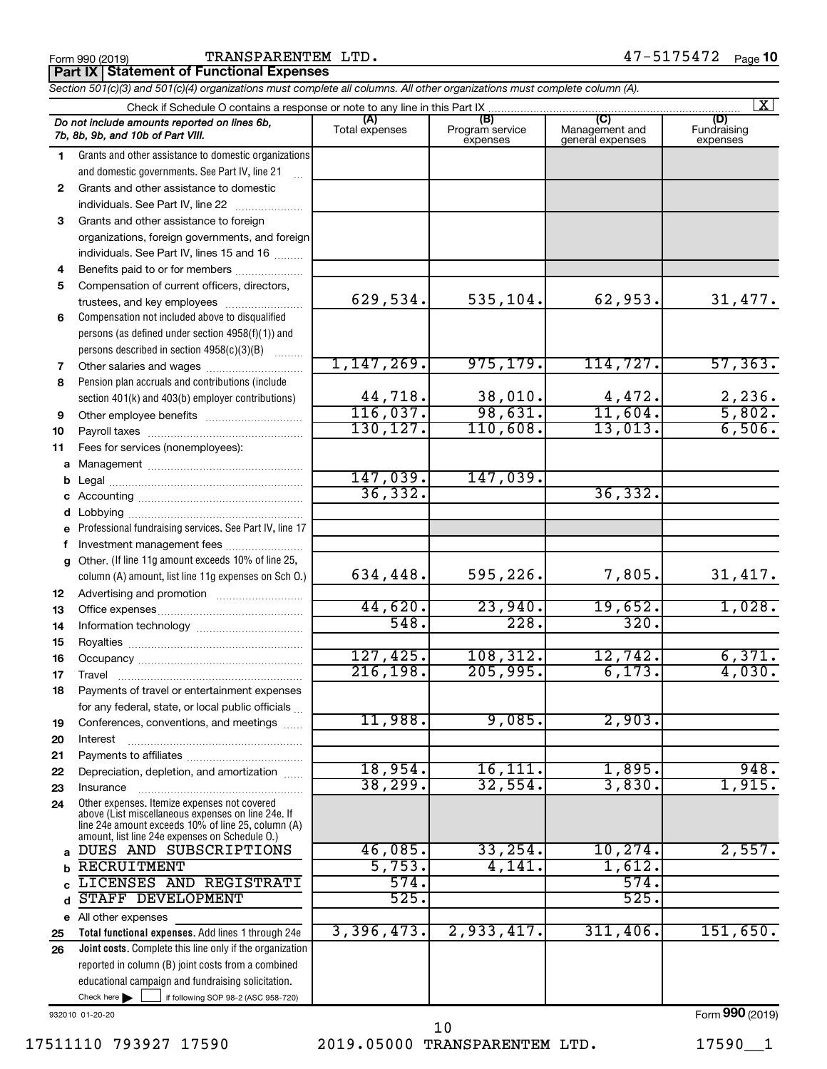Form 990 (2019) Page TRANSPARENTEM LTD. 47-5175472

**Part IX Statement of Functional Expenses**

|              | Section 501(c)(3) and 501(c)(4) organizations must complete all columns. All other organizations must complete column (A). |                            |                                    |                                           |                                |  |  |  |  |  |  |
|--------------|----------------------------------------------------------------------------------------------------------------------------|----------------------------|------------------------------------|-------------------------------------------|--------------------------------|--|--|--|--|--|--|
|              | $\vert$ X $\vert$<br>Check if Schedule O contains a response or note to any line in this Part IX.                          |                            |                                    |                                           |                                |  |  |  |  |  |  |
|              | Do not include amounts reported on lines 6b,<br>7b, 8b, 9b, and 10b of Part VIII.                                          | (A)<br>Total expenses      | (B)<br>Program service<br>expenses | (C)<br>Management and<br>general expenses | (D)<br>Fundraising<br>expenses |  |  |  |  |  |  |
| 1.           | Grants and other assistance to domestic organizations                                                                      |                            |                                    |                                           |                                |  |  |  |  |  |  |
|              | and domestic governments. See Part IV, line 21                                                                             |                            |                                    |                                           |                                |  |  |  |  |  |  |
| $\mathbf{2}$ | Grants and other assistance to domestic                                                                                    |                            |                                    |                                           |                                |  |  |  |  |  |  |
|              | individuals. See Part IV, line 22                                                                                          |                            |                                    |                                           |                                |  |  |  |  |  |  |
| 3            | Grants and other assistance to foreign                                                                                     |                            |                                    |                                           |                                |  |  |  |  |  |  |
|              | organizations, foreign governments, and foreign                                                                            |                            |                                    |                                           |                                |  |  |  |  |  |  |
|              | individuals. See Part IV, lines 15 and 16                                                                                  |                            |                                    |                                           |                                |  |  |  |  |  |  |
| 4            | Benefits paid to or for members                                                                                            |                            |                                    |                                           |                                |  |  |  |  |  |  |
| 5            | Compensation of current officers, directors,                                                                               |                            |                                    |                                           |                                |  |  |  |  |  |  |
|              | trustees, and key employees                                                                                                | 629,534.                   | 535,104.                           | 62,953.                                   | 31,477.                        |  |  |  |  |  |  |
| 6            | Compensation not included above to disqualified                                                                            |                            |                                    |                                           |                                |  |  |  |  |  |  |
|              | persons (as defined under section 4958(f)(1)) and                                                                          |                            |                                    |                                           |                                |  |  |  |  |  |  |
|              | persons described in section 4958(c)(3)(B)                                                                                 |                            |                                    |                                           |                                |  |  |  |  |  |  |
| 7            | Other salaries and wages                                                                                                   | 1,147,269.                 | 975, 179.                          | 114, 727.                                 | 57, 363.                       |  |  |  |  |  |  |
| 8            | Pension plan accruals and contributions (include                                                                           |                            |                                    |                                           |                                |  |  |  |  |  |  |
|              | section 401(k) and 403(b) employer contributions)                                                                          | 44,718.                    | $\frac{38,010}{98,631}$            | $\frac{4,472}{11,604}$                    | $\frac{2,236}{5,802}$          |  |  |  |  |  |  |
| 9            |                                                                                                                            | 116,037.                   |                                    |                                           |                                |  |  |  |  |  |  |
| 10           |                                                                                                                            | 130,127.                   | 110,608.                           | 13,013.                                   | 6,506.                         |  |  |  |  |  |  |
| 11           | Fees for services (nonemployees):                                                                                          |                            |                                    |                                           |                                |  |  |  |  |  |  |
|              |                                                                                                                            |                            |                                    |                                           |                                |  |  |  |  |  |  |
|              |                                                                                                                            | $\frac{147,039.}{36,332.}$ | 147,039.                           |                                           |                                |  |  |  |  |  |  |
|              |                                                                                                                            |                            |                                    | 36, 332.                                  |                                |  |  |  |  |  |  |
|              |                                                                                                                            |                            |                                    |                                           |                                |  |  |  |  |  |  |
| е            | Professional fundraising services. See Part IV, line 17                                                                    |                            |                                    |                                           |                                |  |  |  |  |  |  |
|              | Investment management fees                                                                                                 |                            |                                    |                                           |                                |  |  |  |  |  |  |
| g            | Other. (If line 11g amount exceeds 10% of line 25,                                                                         |                            |                                    |                                           |                                |  |  |  |  |  |  |
|              | column (A) amount, list line 11g expenses on Sch O.)                                                                       | 634,448.                   | 595,226.                           | 7,805.                                    | 31,417.                        |  |  |  |  |  |  |
| 12           |                                                                                                                            |                            |                                    |                                           |                                |  |  |  |  |  |  |
| 13           |                                                                                                                            | 44,620.                    | 23,940.                            | 19,652.                                   | 1,028.                         |  |  |  |  |  |  |
| 14           |                                                                                                                            | 548.                       | 228.                               | 320.                                      |                                |  |  |  |  |  |  |
| 15           |                                                                                                                            |                            |                                    |                                           |                                |  |  |  |  |  |  |
| 16           |                                                                                                                            | 127,425.<br>216, 198.      | 108, 312.<br>205,995.              | 12,742.<br>6,173.                         | 6,371.<br>4,030.               |  |  |  |  |  |  |
| 17           |                                                                                                                            |                            |                                    |                                           |                                |  |  |  |  |  |  |
| 18           | Payments of travel or entertainment expenses                                                                               |                            |                                    |                                           |                                |  |  |  |  |  |  |
|              | for any federal, state, or local public officials                                                                          | 11,988.                    | 9,085.                             | 2,903.                                    |                                |  |  |  |  |  |  |
| 19           | Conferences, conventions, and meetings                                                                                     |                            |                                    |                                           |                                |  |  |  |  |  |  |
| 20           | Interest                                                                                                                   |                            |                                    |                                           |                                |  |  |  |  |  |  |
| 21           | Depreciation, depletion, and amortization                                                                                  | 18,954.                    | 16, 111.                           | 1,895.                                    | 948.                           |  |  |  |  |  |  |
| 22           |                                                                                                                            | 38, 299.                   | 32,554.                            | 3,830.                                    | 1,915.                         |  |  |  |  |  |  |
| 23<br>24     | Insurance<br>Other expenses. Itemize expenses not covered                                                                  |                            |                                    |                                           |                                |  |  |  |  |  |  |
|              | above (List miscellaneous expenses on line 24e. If                                                                         |                            |                                    |                                           |                                |  |  |  |  |  |  |
|              | line 24e amount exceeds 10% of line 25, column (A)<br>amount, list line 24e expenses on Schedule O.)                       |                            |                                    |                                           |                                |  |  |  |  |  |  |
| a            | DUES AND SUBSCRIPTIONS                                                                                                     | 46,085.                    | 33, 254.                           | 10, 274.                                  | 2,557.                         |  |  |  |  |  |  |
|              | <b>RECRUITMENT</b>                                                                                                         | 5,753.                     | 4,141.                             | 1,612.                                    |                                |  |  |  |  |  |  |
|              | LICENSES AND REGISTRATI                                                                                                    | 574.                       |                                    | 574.                                      |                                |  |  |  |  |  |  |
|              | STAFF DEVELOPMENT                                                                                                          | 525.                       |                                    | 525.                                      |                                |  |  |  |  |  |  |
|              | e All other expenses                                                                                                       |                            |                                    |                                           |                                |  |  |  |  |  |  |
| 25           | Total functional expenses. Add lines 1 through 24e                                                                         | 3,396,473.                 | 2,933,417.                         | 311,406.                                  | 151,650.                       |  |  |  |  |  |  |
| 26           | Joint costs. Complete this line only if the organization                                                                   |                            |                                    |                                           |                                |  |  |  |  |  |  |
|              | reported in column (B) joint costs from a combined                                                                         |                            |                                    |                                           |                                |  |  |  |  |  |  |
|              | educational campaign and fundraising solicitation.                                                                         |                            |                                    |                                           |                                |  |  |  |  |  |  |
|              | Check here $\blacktriangleright$<br>if following SOP 98-2 (ASC 958-720)                                                    |                            |                                    |                                           |                                |  |  |  |  |  |  |

932010 01-20-20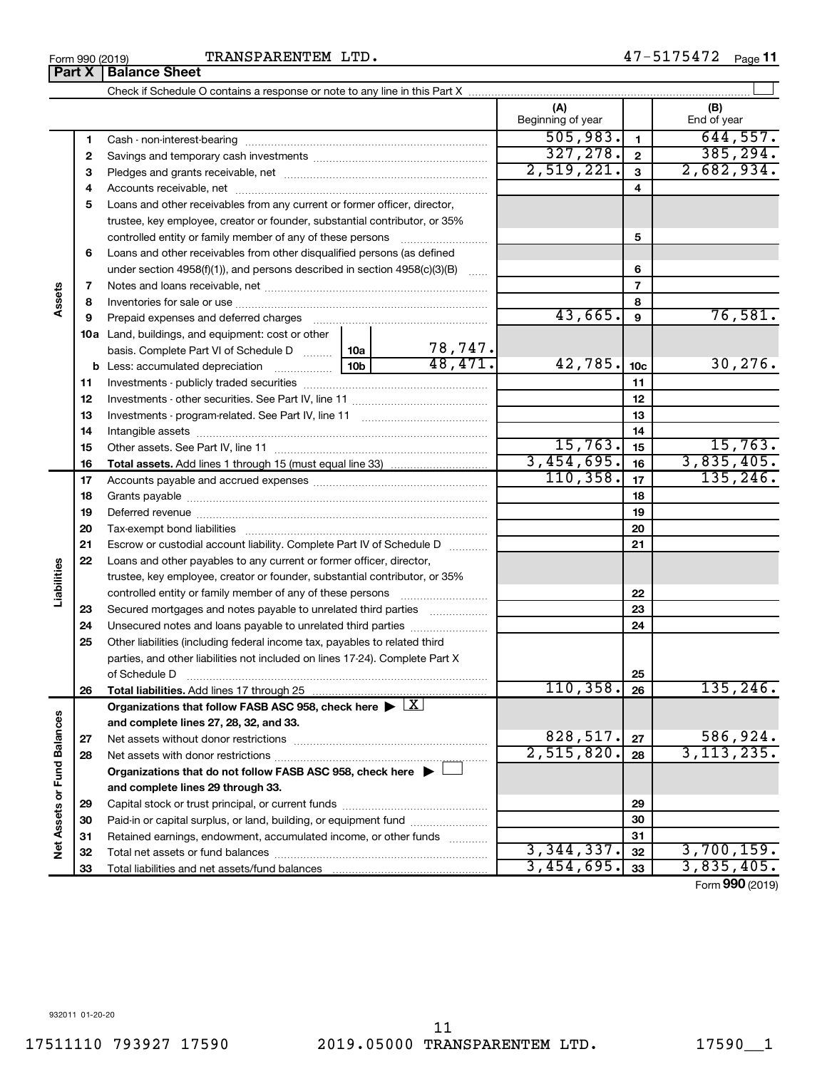TRANSPARENTEM LTD.

Form 990 (2019) Page **11** Check if Schedule O contains a response or note to any line in this Part X

 $\perp$ 

|                             |    |                                                                                                                                                                                                                                |  |         | (A)<br>Beginning of year |                 | (B)<br>End of year |
|-----------------------------|----|--------------------------------------------------------------------------------------------------------------------------------------------------------------------------------------------------------------------------------|--|---------|--------------------------|-----------------|--------------------|
|                             | 1  |                                                                                                                                                                                                                                |  |         | 505,983.                 | $\overline{1}$  | 644,557.           |
|                             | 2  |                                                                                                                                                                                                                                |  |         | 327, 278.                | $\overline{2}$  | 385, 294.          |
|                             | з  |                                                                                                                                                                                                                                |  |         | 2,519,221.               | $\mathbf{3}$    | 2,682,934.         |
|                             | 4  |                                                                                                                                                                                                                                |  |         |                          | 4               |                    |
|                             | 5  | Loans and other receivables from any current or former officer, director,                                                                                                                                                      |  |         |                          |                 |                    |
|                             |    | trustee, key employee, creator or founder, substantial contributor, or 35%                                                                                                                                                     |  |         |                          |                 |                    |
|                             |    | controlled entity or family member of any of these persons                                                                                                                                                                     |  |         |                          | 5               |                    |
|                             | 6  | Loans and other receivables from other disqualified persons (as defined                                                                                                                                                        |  |         |                          |                 |                    |
|                             |    | under section 4958(f)(1)), and persons described in section 4958(c)(3)(B)                                                                                                                                                      |  |         |                          | 6               |                    |
|                             | 7  |                                                                                                                                                                                                                                |  |         |                          | $\overline{7}$  |                    |
| Assets                      | 8  |                                                                                                                                                                                                                                |  | 8       |                          |                 |                    |
|                             | 9  | Prepaid expenses and deferred charges [11] matter continuum matter and referred charges [11] matter continuum matter continuum matter and continuum matter continuum matter continuum matter continuum matter continuum matter |  |         | 43,665.                  | 9               | 76,581.            |
|                             |    | 10a Land, buildings, and equipment: cost or other                                                                                                                                                                              |  |         |                          |                 |                    |
|                             |    | basis. Complete Part VI of Schedule D  10a                                                                                                                                                                                     |  | 78,747. |                          |                 |                    |
|                             |    |                                                                                                                                                                                                                                |  | 48,471. | 42,785.                  | 10 <sub>c</sub> | 30,276.            |
|                             | 11 |                                                                                                                                                                                                                                |  |         |                          | 11              |                    |
|                             | 12 |                                                                                                                                                                                                                                |  |         |                          | 12              |                    |
|                             | 13 |                                                                                                                                                                                                                                |  |         |                          | 13              |                    |
|                             | 14 | Intangible assets with an annumidation of the assets with an annumidation of the state of the state of the state of the state of the state of the state of the state of the state of the state of the state of the state of th |  |         |                          | 14              |                    |
|                             | 15 |                                                                                                                                                                                                                                |  |         | 15,763.                  | 15              | 15,763.            |
|                             | 16 |                                                                                                                                                                                                                                |  |         | 3,454,695.               | 16              | 3,835,405.         |
|                             | 17 |                                                                                                                                                                                                                                |  |         | 110, 358.                | 17              | 135, 246.          |
|                             | 18 |                                                                                                                                                                                                                                |  |         |                          | 18              |                    |
|                             | 19 |                                                                                                                                                                                                                                |  |         |                          | 19              |                    |
|                             | 20 |                                                                                                                                                                                                                                |  | 20      |                          |                 |                    |
|                             | 21 | Escrow or custodial account liability. Complete Part IV of Schedule D                                                                                                                                                          |  | 21      |                          |                 |                    |
|                             | 22 | Loans and other payables to any current or former officer, director,                                                                                                                                                           |  |         |                          |                 |                    |
| Liabilities                 |    | trustee, key employee, creator or founder, substantial contributor, or 35%                                                                                                                                                     |  |         |                          |                 |                    |
|                             |    |                                                                                                                                                                                                                                |  |         |                          | 22              |                    |
|                             | 23 | Secured mortgages and notes payable to unrelated third parties                                                                                                                                                                 |  |         |                          | 23              |                    |
|                             | 24 | Unsecured notes and loans payable to unrelated third parties                                                                                                                                                                   |  |         |                          | 24              |                    |
|                             | 25 | Other liabilities (including federal income tax, payables to related third                                                                                                                                                     |  |         |                          |                 |                    |
|                             |    | parties, and other liabilities not included on lines 17-24). Complete Part X                                                                                                                                                   |  |         |                          |                 |                    |
|                             |    | of Schedule D                                                                                                                                                                                                                  |  |         |                          | 25              |                    |
|                             | 26 |                                                                                                                                                                                                                                |  |         | 110, 358.                | 26              | 135, 246.          |
|                             |    | Organizations that follow FASB ASC 958, check here $\blacktriangleright \lfloor X \rfloor$                                                                                                                                     |  |         |                          |                 |                    |
|                             |    | and complete lines 27, 28, 32, and 33.                                                                                                                                                                                         |  |         |                          |                 |                    |
|                             | 27 | Net assets without donor restrictions                                                                                                                                                                                          |  |         | 828,517.                 | 27              | 586,924.           |
|                             | 28 |                                                                                                                                                                                                                                |  |         | 2,515,820.               | 28              | 3, 113, 235.       |
|                             |    | Organizations that do not follow FASB ASC 958, check here $\blacktriangleright$                                                                                                                                                |  |         |                          |                 |                    |
|                             |    | and complete lines 29 through 33.                                                                                                                                                                                              |  |         |                          |                 |                    |
| Net Assets or Fund Balances | 29 |                                                                                                                                                                                                                                |  |         |                          | 29              |                    |
|                             | 30 | Paid-in or capital surplus, or land, building, or equipment fund                                                                                                                                                               |  |         |                          | 30              |                    |
|                             | 31 | Retained earnings, endowment, accumulated income, or other funds                                                                                                                                                               |  |         | 31                       |                 |                    |
|                             | 32 |                                                                                                                                                                                                                                |  |         | 3,344,337.               | 32              | 3,700,159.         |
|                             | 33 |                                                                                                                                                                                                                                |  |         | 3,454,695.               | 33              | 3,835,405.         |

Form (2019) **990**

**Part X Balance Sheet**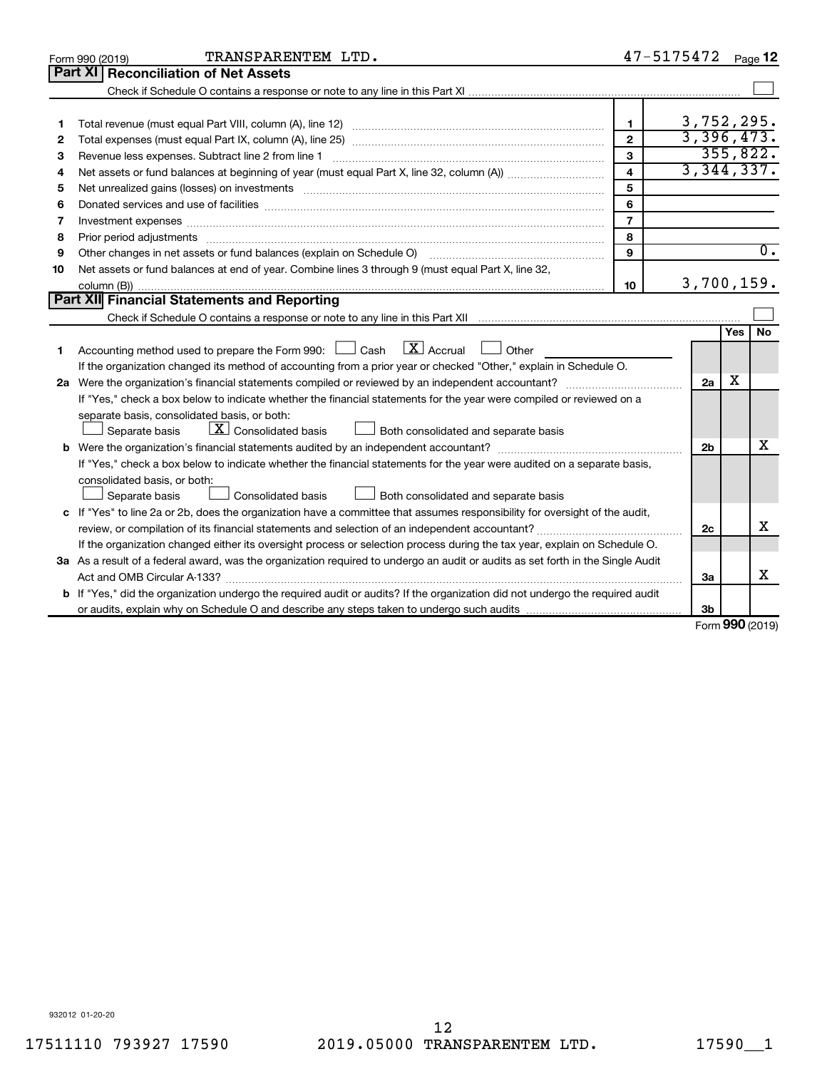|    | TRANSPARENTEM LTD.<br>Form 990 (2019)                                                                                                                                                                                         |                         | 47-5175472     |        | Page 12          |  |  |
|----|-------------------------------------------------------------------------------------------------------------------------------------------------------------------------------------------------------------------------------|-------------------------|----------------|--------|------------------|--|--|
|    | Part XI   Reconciliation of Net Assets                                                                                                                                                                                        |                         |                |        |                  |  |  |
|    |                                                                                                                                                                                                                               |                         |                |        |                  |  |  |
|    |                                                                                                                                                                                                                               |                         |                |        |                  |  |  |
| 1  |                                                                                                                                                                                                                               | $\mathbf{1}$            | 3,752,295.     |        |                  |  |  |
| 2  |                                                                                                                                                                                                                               | $\overline{2}$          | 3,396,473.     |        |                  |  |  |
| з  |                                                                                                                                                                                                                               | 3                       |                |        | 355,822.         |  |  |
| 4  |                                                                                                                                                                                                                               | $\overline{\mathbf{4}}$ | 3,344,337.     |        |                  |  |  |
| 5  |                                                                                                                                                                                                                               | 5                       |                |        |                  |  |  |
| 6  | Donated services and use of facilities [[111][12] matter is a series and service in the services and use of facilities [[11][11] matter is a service of facilities [[11] matter is a service of the service of the service of | 6                       |                |        |                  |  |  |
| 7  |                                                                                                                                                                                                                               | $\overline{7}$          |                |        |                  |  |  |
| 8  |                                                                                                                                                                                                                               | 8                       |                |        |                  |  |  |
| 9  | Other changes in net assets or fund balances (explain on Schedule O)                                                                                                                                                          | 9                       |                |        | $\overline{0}$ . |  |  |
| 10 | Net assets or fund balances at end of year. Combine lines 3 through 9 (must equal Part X, line 32,                                                                                                                            |                         |                |        |                  |  |  |
|    |                                                                                                                                                                                                                               | 10                      | 3,700,159.     |        |                  |  |  |
|    | Part XII Financial Statements and Reporting                                                                                                                                                                                   |                         |                |        |                  |  |  |
|    |                                                                                                                                                                                                                               |                         |                |        |                  |  |  |
|    |                                                                                                                                                                                                                               |                         |                | Yes    | No.              |  |  |
| 1  | $\lfloor x \rfloor$ Accrual<br>Accounting method used to prepare the Form 990: [130] Cash<br>$\Box$ Other                                                                                                                     |                         |                |        |                  |  |  |
|    | If the organization changed its method of accounting from a prior year or checked "Other," explain in Schedule O.                                                                                                             |                         |                |        |                  |  |  |
|    |                                                                                                                                                                                                                               |                         | 2a             | x      |                  |  |  |
|    | If "Yes," check a box below to indicate whether the financial statements for the year were compiled or reviewed on a                                                                                                          |                         |                |        |                  |  |  |
|    | separate basis, consolidated basis, or both:                                                                                                                                                                                  |                         |                |        |                  |  |  |
|    | $\lfloor \mathbf{X} \rfloor$ Consolidated basis<br>Both consolidated and separate basis<br>Separate basis                                                                                                                     |                         |                |        |                  |  |  |
|    |                                                                                                                                                                                                                               |                         | 2 <sub>b</sub> |        | х                |  |  |
|    | If "Yes," check a box below to indicate whether the financial statements for the year were audited on a separate basis,                                                                                                       |                         |                |        |                  |  |  |
|    | consolidated basis, or both:                                                                                                                                                                                                  |                         |                |        |                  |  |  |
|    | Consolidated basis<br>Separate basis<br>Both consolidated and separate basis                                                                                                                                                  |                         |                |        |                  |  |  |
|    | c If "Yes" to line 2a or 2b, does the organization have a committee that assumes responsibility for oversight of the audit,                                                                                                   |                         |                |        |                  |  |  |
|    |                                                                                                                                                                                                                               |                         | 2c             |        | x                |  |  |
|    | If the organization changed either its oversight process or selection process during the tax year, explain on Schedule O.                                                                                                     |                         |                |        |                  |  |  |
|    | 3a As a result of a federal award, was the organization required to undergo an audit or audits as set forth in the Single Audit                                                                                               |                         |                |        |                  |  |  |
|    |                                                                                                                                                                                                                               |                         | За             |        | x                |  |  |
|    | <b>b</b> If "Yes," did the organization undergo the required audit or audits? If the organization did not undergo the required audit                                                                                          |                         |                |        |                  |  |  |
|    |                                                                                                                                                                                                                               |                         | 3b             | $\sim$ |                  |  |  |

Form (2019) **990**

932012 01-20-20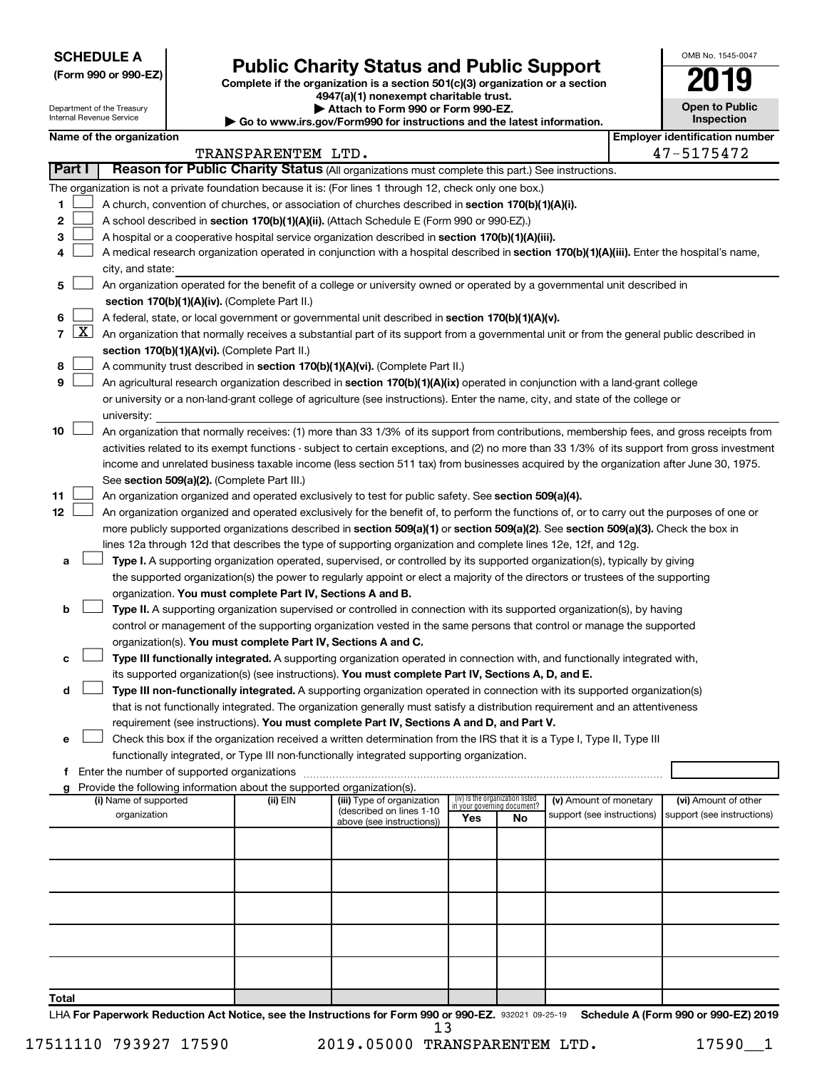**SCHEDULE A**

Department of the Treasury Internal Revenue Service

# Form 990 or 990-EZ) **Public Charity Status and Public Support**<br>
Complete if the organization is a section 501(c)(3) organization or a section<br> **2019**

**4947(a)(1) nonexempt charitable trust. | Attach to Form 990 or Form 990-EZ.** 

**| Go to www.irs.gov/Form990 for instructions and the latest information.**

| OMB No. 1545-0047                   |
|-------------------------------------|
| 2019                                |
| <b>Open to Public</b><br>Inspection |
| <b>Employer identification numb</b> |

|       |                     |                                                                                                                                                                                               | TRANSPARENTEM LTD.                                                                                                                    |                                                        |                                                                |    |                            |  | 47-5175472                 |  |  |  |  |
|-------|---------------------|-----------------------------------------------------------------------------------------------------------------------------------------------------------------------------------------------|---------------------------------------------------------------------------------------------------------------------------------------|--------------------------------------------------------|----------------------------------------------------------------|----|----------------------------|--|----------------------------|--|--|--|--|
|       | <b>Part I</b>       | Reason for Public Charity Status (All organizations must complete this part.) See instructions.                                                                                               |                                                                                                                                       |                                                        |                                                                |    |                            |  |                            |  |  |  |  |
|       |                     | The organization is not a private foundation because it is: (For lines 1 through 12, check only one box.)                                                                                     |                                                                                                                                       |                                                        |                                                                |    |                            |  |                            |  |  |  |  |
| 1.    |                     | A church, convention of churches, or association of churches described in section 170(b)(1)(A)(i).                                                                                            |                                                                                                                                       |                                                        |                                                                |    |                            |  |                            |  |  |  |  |
| 2     |                     | A school described in section 170(b)(1)(A)(ii). (Attach Schedule E (Form 990 or 990-EZ).)                                                                                                     |                                                                                                                                       |                                                        |                                                                |    |                            |  |                            |  |  |  |  |
| 3     |                     | A hospital or a cooperative hospital service organization described in section 170(b)(1)(A)(iii).                                                                                             |                                                                                                                                       |                                                        |                                                                |    |                            |  |                            |  |  |  |  |
| 4     |                     | A medical research organization operated in conjunction with a hospital described in section 170(b)(1)(A)(iii). Enter the hospital's name,                                                    |                                                                                                                                       |                                                        |                                                                |    |                            |  |                            |  |  |  |  |
|       |                     | city, and state:                                                                                                                                                                              |                                                                                                                                       |                                                        |                                                                |    |                            |  |                            |  |  |  |  |
| 5     |                     | An organization operated for the benefit of a college or university owned or operated by a governmental unit described in                                                                     |                                                                                                                                       |                                                        |                                                                |    |                            |  |                            |  |  |  |  |
|       |                     | section 170(b)(1)(A)(iv). (Complete Part II.)                                                                                                                                                 |                                                                                                                                       |                                                        |                                                                |    |                            |  |                            |  |  |  |  |
| 6     |                     | A federal, state, or local government or governmental unit described in section 170(b)(1)(A)(v).                                                                                              |                                                                                                                                       |                                                        |                                                                |    |                            |  |                            |  |  |  |  |
| 7     | $\lfloor x \rfloor$ | An organization that normally receives a substantial part of its support from a governmental unit or from the general public described in                                                     |                                                                                                                                       |                                                        |                                                                |    |                            |  |                            |  |  |  |  |
|       |                     | section 170(b)(1)(A)(vi). (Complete Part II.)                                                                                                                                                 |                                                                                                                                       |                                                        |                                                                |    |                            |  |                            |  |  |  |  |
| 8     |                     | A community trust described in section 170(b)(1)(A)(vi). (Complete Part II.)                                                                                                                  |                                                                                                                                       |                                                        |                                                                |    |                            |  |                            |  |  |  |  |
| 9     |                     | An agricultural research organization described in section 170(b)(1)(A)(ix) operated in conjunction with a land-grant college                                                                 |                                                                                                                                       |                                                        |                                                                |    |                            |  |                            |  |  |  |  |
|       |                     | or university or a non-land-grant college of agriculture (see instructions). Enter the name, city, and state of the college or                                                                |                                                                                                                                       |                                                        |                                                                |    |                            |  |                            |  |  |  |  |
|       |                     | university:                                                                                                                                                                                   |                                                                                                                                       |                                                        |                                                                |    |                            |  |                            |  |  |  |  |
| 10    |                     | An organization that normally receives: (1) more than 33 1/3% of its support from contributions, membership fees, and gross receipts from                                                     |                                                                                                                                       |                                                        |                                                                |    |                            |  |                            |  |  |  |  |
|       |                     | activities related to its exempt functions - subject to certain exceptions, and (2) no more than 33 1/3% of its support from gross investment                                                 |                                                                                                                                       |                                                        |                                                                |    |                            |  |                            |  |  |  |  |
|       |                     |                                                                                                                                                                                               | income and unrelated business taxable income (less section 511 tax) from businesses acquired by the organization after June 30, 1975. |                                                        |                                                                |    |                            |  |                            |  |  |  |  |
|       |                     | See section 509(a)(2). (Complete Part III.)                                                                                                                                                   |                                                                                                                                       |                                                        |                                                                |    |                            |  |                            |  |  |  |  |
| 11    |                     | An organization organized and operated exclusively to test for public safety. See section 509(a)(4).                                                                                          |                                                                                                                                       |                                                        |                                                                |    |                            |  |                            |  |  |  |  |
| 12    |                     | An organization organized and operated exclusively for the benefit of, to perform the functions of, or to carry out the purposes of one or                                                    |                                                                                                                                       |                                                        |                                                                |    |                            |  |                            |  |  |  |  |
|       |                     | more publicly supported organizations described in section 509(a)(1) or section 509(a)(2). See section 509(a)(3). Check the box in                                                            |                                                                                                                                       |                                                        |                                                                |    |                            |  |                            |  |  |  |  |
|       |                     | lines 12a through 12d that describes the type of supporting organization and complete lines 12e, 12f, and 12g.                                                                                |                                                                                                                                       |                                                        |                                                                |    |                            |  |                            |  |  |  |  |
| а     |                     | Type I. A supporting organization operated, supervised, or controlled by its supported organization(s), typically by giving                                                                   |                                                                                                                                       |                                                        |                                                                |    |                            |  |                            |  |  |  |  |
|       |                     | the supported organization(s) the power to regularly appoint or elect a majority of the directors or trustees of the supporting<br>organization. You must complete Part IV, Sections A and B. |                                                                                                                                       |                                                        |                                                                |    |                            |  |                            |  |  |  |  |
| b     |                     | Type II. A supporting organization supervised or controlled in connection with its supported organization(s), by having                                                                       |                                                                                                                                       |                                                        |                                                                |    |                            |  |                            |  |  |  |  |
|       |                     | control or management of the supporting organization vested in the same persons that control or manage the supported                                                                          |                                                                                                                                       |                                                        |                                                                |    |                            |  |                            |  |  |  |  |
|       |                     | organization(s). You must complete Part IV, Sections A and C.                                                                                                                                 |                                                                                                                                       |                                                        |                                                                |    |                            |  |                            |  |  |  |  |
| с     |                     | Type III functionally integrated. A supporting organization operated in connection with, and functionally integrated with,                                                                    |                                                                                                                                       |                                                        |                                                                |    |                            |  |                            |  |  |  |  |
|       |                     | its supported organization(s) (see instructions). You must complete Part IV, Sections A, D, and E.                                                                                            |                                                                                                                                       |                                                        |                                                                |    |                            |  |                            |  |  |  |  |
| d     |                     | Type III non-functionally integrated. A supporting organization operated in connection with its supported organization(s)                                                                     |                                                                                                                                       |                                                        |                                                                |    |                            |  |                            |  |  |  |  |
|       |                     | that is not functionally integrated. The organization generally must satisfy a distribution requirement and an attentiveness                                                                  |                                                                                                                                       |                                                        |                                                                |    |                            |  |                            |  |  |  |  |
|       |                     | requirement (see instructions). You must complete Part IV, Sections A and D, and Part V.                                                                                                      |                                                                                                                                       |                                                        |                                                                |    |                            |  |                            |  |  |  |  |
| е     |                     | Check this box if the organization received a written determination from the IRS that it is a Type I, Type II, Type III                                                                       |                                                                                                                                       |                                                        |                                                                |    |                            |  |                            |  |  |  |  |
|       |                     | functionally integrated, or Type III non-functionally integrated supporting organization.                                                                                                     |                                                                                                                                       |                                                        |                                                                |    |                            |  |                            |  |  |  |  |
| f     |                     | Enter the number of supported organizations                                                                                                                                                   |                                                                                                                                       |                                                        |                                                                |    |                            |  |                            |  |  |  |  |
| g     |                     | Provide the following information about the supported organization(s).                                                                                                                        |                                                                                                                                       |                                                        |                                                                |    |                            |  |                            |  |  |  |  |
|       |                     | (i) Name of supported                                                                                                                                                                         | (ii) EIN                                                                                                                              | (iii) Type of organization<br>(described on lines 1-10 | (iv) Is the organization listed<br>in your governing document? |    | (v) Amount of monetary     |  | (vi) Amount of other       |  |  |  |  |
|       |                     | organization                                                                                                                                                                                  |                                                                                                                                       | above (see instructions))                              | Yes                                                            | No | support (see instructions) |  | support (see instructions) |  |  |  |  |
|       |                     |                                                                                                                                                                                               |                                                                                                                                       |                                                        |                                                                |    |                            |  |                            |  |  |  |  |
|       |                     |                                                                                                                                                                                               |                                                                                                                                       |                                                        |                                                                |    |                            |  |                            |  |  |  |  |
|       |                     |                                                                                                                                                                                               |                                                                                                                                       |                                                        |                                                                |    |                            |  |                            |  |  |  |  |
|       |                     |                                                                                                                                                                                               |                                                                                                                                       |                                                        |                                                                |    |                            |  |                            |  |  |  |  |
|       |                     |                                                                                                                                                                                               |                                                                                                                                       |                                                        |                                                                |    |                            |  |                            |  |  |  |  |
|       |                     |                                                                                                                                                                                               |                                                                                                                                       |                                                        |                                                                |    |                            |  |                            |  |  |  |  |
|       |                     |                                                                                                                                                                                               |                                                                                                                                       |                                                        |                                                                |    |                            |  |                            |  |  |  |  |
|       |                     |                                                                                                                                                                                               |                                                                                                                                       |                                                        |                                                                |    |                            |  |                            |  |  |  |  |
|       |                     |                                                                                                                                                                                               |                                                                                                                                       |                                                        |                                                                |    |                            |  |                            |  |  |  |  |
| Total |                     |                                                                                                                                                                                               |                                                                                                                                       |                                                        |                                                                |    |                            |  |                            |  |  |  |  |
|       |                     |                                                                                                                                                                                               |                                                                                                                                       |                                                        |                                                                |    |                            |  |                            |  |  |  |  |

LHA For Paperwork Reduction Act Notice, see the Instructions for Form 990 or 990-EZ. 932021 09-25-19 Schedule A (Form 990 or 990-EZ) 2019 13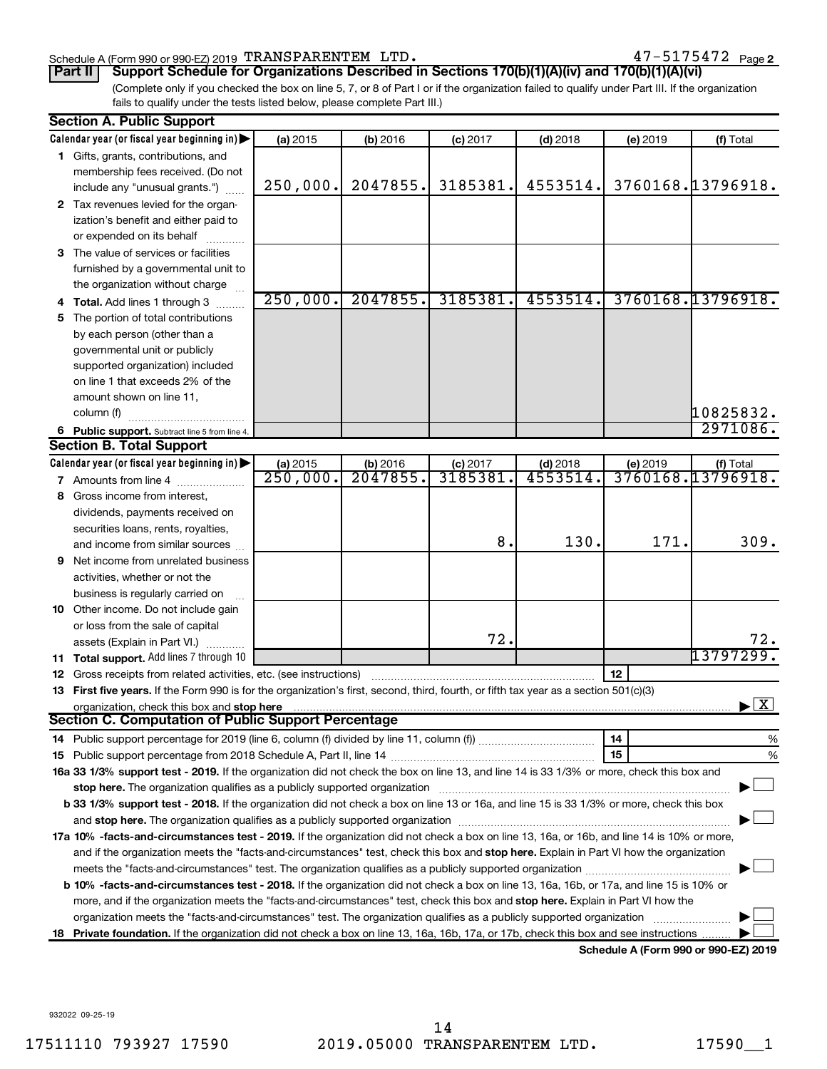#### Schedule A (Form 990 or 990-EZ) 2019 Page TRANSPARENTEM LTD. 47-5175472

(Complete only if you checked the box on line 5, 7, or 8 of Part I or if the organization failed to qualify under Part III. If the organization **Part II Support Schedule for Organizations Described in Sections 170(b)(1)(A)(iv) and 170(b)(1)(A)(vi)**

fails to qualify under the tests listed below, please complete Part III.)

|    | <b>Section A. Public Support</b>                                                                                                                                                                                              |                        |            |                |            |                                      |                                    |  |  |  |
|----|-------------------------------------------------------------------------------------------------------------------------------------------------------------------------------------------------------------------------------|------------------------|------------|----------------|------------|--------------------------------------|------------------------------------|--|--|--|
|    | Calendar year (or fiscal year beginning in)                                                                                                                                                                                   | (a) 2015               | (b) 2016   | $(c)$ 2017     | $(d)$ 2018 | (e) 2019                             | (f) Total                          |  |  |  |
|    | 1 Gifts, grants, contributions, and                                                                                                                                                                                           |                        |            |                |            |                                      |                                    |  |  |  |
|    | membership fees received. (Do not                                                                                                                                                                                             |                        |            |                |            |                                      |                                    |  |  |  |
|    | include any "unusual grants.")                                                                                                                                                                                                | 250,000.               | 2047855.   | 3185381.       | 4553514.   |                                      | 3760168.13796918.                  |  |  |  |
|    | 2 Tax revenues levied for the organ-                                                                                                                                                                                          |                        |            |                |            |                                      |                                    |  |  |  |
|    | ization's benefit and either paid to                                                                                                                                                                                          |                        |            |                |            |                                      |                                    |  |  |  |
|    | or expended on its behalf                                                                                                                                                                                                     |                        |            |                |            |                                      |                                    |  |  |  |
|    | 3 The value of services or facilities                                                                                                                                                                                         |                        |            |                |            |                                      |                                    |  |  |  |
|    | furnished by a governmental unit to                                                                                                                                                                                           |                        |            |                |            |                                      |                                    |  |  |  |
|    | the organization without charge                                                                                                                                                                                               |                        |            |                |            |                                      |                                    |  |  |  |
|    | Total. Add lines 1 through 3                                                                                                                                                                                                  | 250,000.               | 2047855.   | 3185381.       | 4553514.   |                                      | 3760168.13796918.                  |  |  |  |
| 5  | The portion of total contributions                                                                                                                                                                                            |                        |            |                |            |                                      |                                    |  |  |  |
|    | by each person (other than a                                                                                                                                                                                                  |                        |            |                |            |                                      |                                    |  |  |  |
|    | governmental unit or publicly                                                                                                                                                                                                 |                        |            |                |            |                                      |                                    |  |  |  |
|    | supported organization) included                                                                                                                                                                                              |                        |            |                |            |                                      |                                    |  |  |  |
|    | on line 1 that exceeds 2% of the                                                                                                                                                                                              |                        |            |                |            |                                      |                                    |  |  |  |
|    | amount shown on line 11,                                                                                                                                                                                                      |                        |            |                |            |                                      |                                    |  |  |  |
|    | column (f)                                                                                                                                                                                                                    |                        |            |                |            |                                      | 10825832.                          |  |  |  |
|    | 6 Public support. Subtract line 5 from line 4.                                                                                                                                                                                |                        |            |                |            |                                      | 2971086.                           |  |  |  |
|    | <b>Section B. Total Support</b>                                                                                                                                                                                               |                        |            |                |            |                                      |                                    |  |  |  |
|    | Calendar year (or fiscal year beginning in)                                                                                                                                                                                   | (a) 2015               | $(b)$ 2016 | $(c)$ 2017     | $(d)$ 2018 | (e) 2019                             | (f) Total                          |  |  |  |
|    | 7 Amounts from line 4                                                                                                                                                                                                         | $\overline{250,000}$ . | 2047855.   | 3185381        | 4553514    |                                      | 3760168.13796918.                  |  |  |  |
| 8  | Gross income from interest,                                                                                                                                                                                                   |                        |            |                |            |                                      |                                    |  |  |  |
|    | dividends, payments received on                                                                                                                                                                                               |                        |            |                |            |                                      |                                    |  |  |  |
|    | securities loans, rents, royalties,                                                                                                                                                                                           |                        |            |                |            |                                      |                                    |  |  |  |
|    | and income from similar sources                                                                                                                                                                                               |                        |            | 8 <sub>1</sub> | 130.       | 171.                                 | 309.                               |  |  |  |
| 9  | Net income from unrelated business                                                                                                                                                                                            |                        |            |                |            |                                      |                                    |  |  |  |
|    | activities, whether or not the                                                                                                                                                                                                |                        |            |                |            |                                      |                                    |  |  |  |
|    | business is regularly carried on                                                                                                                                                                                              |                        |            |                |            |                                      |                                    |  |  |  |
|    | 10 Other income. Do not include gain                                                                                                                                                                                          |                        |            |                |            |                                      |                                    |  |  |  |
|    | or loss from the sale of capital                                                                                                                                                                                              |                        |            |                |            |                                      |                                    |  |  |  |
|    | assets (Explain in Part VI.)                                                                                                                                                                                                  |                        |            | 72.            |            |                                      | 72.                                |  |  |  |
|    | 11 Total support. Add lines 7 through 10                                                                                                                                                                                      |                        |            |                |            |                                      | 13797299                           |  |  |  |
| 12 | Gross receipts from related activities, etc. (see instructions)                                                                                                                                                               |                        |            |                |            | 12                                   |                                    |  |  |  |
|    | 13 First five years. If the Form 990 is for the organization's first, second, third, fourth, or fifth tax year as a section 501(c)(3)                                                                                         |                        |            |                |            |                                      |                                    |  |  |  |
|    | organization, check this box and stop here                                                                                                                                                                                    |                        |            |                |            |                                      | $\blacktriangleright$ $\mathbf{X}$ |  |  |  |
|    | <b>Section C. Computation of Public Support Percentage</b>                                                                                                                                                                    |                        |            |                |            |                                      |                                    |  |  |  |
|    |                                                                                                                                                                                                                               |                        |            |                |            | 14                                   | %                                  |  |  |  |
|    |                                                                                                                                                                                                                               |                        |            |                |            | 15                                   | %                                  |  |  |  |
|    | 16a 33 1/3% support test - 2019. If the organization did not check the box on line 13, and line 14 is 33 1/3% or more, check this box and                                                                                     |                        |            |                |            |                                      |                                    |  |  |  |
|    | stop here. The organization qualifies as a publicly supported organization manufaction manufacture or the organization manufacture or the state of the state of the state of the state of the state of the state of the state |                        |            |                |            |                                      |                                    |  |  |  |
|    | b 33 1/3% support test - 2018. If the organization did not check a box on line 13 or 16a, and line 15 is 33 1/3% or more, check this box                                                                                      |                        |            |                |            |                                      |                                    |  |  |  |
|    |                                                                                                                                                                                                                               |                        |            |                |            |                                      |                                    |  |  |  |
|    | 17a 10% -facts-and-circumstances test - 2019. If the organization did not check a box on line 13, 16a, or 16b, and line 14 is 10% or more,                                                                                    |                        |            |                |            |                                      |                                    |  |  |  |
|    | and if the organization meets the "facts-and-circumstances" test, check this box and stop here. Explain in Part VI how the organization                                                                                       |                        |            |                |            |                                      |                                    |  |  |  |
|    | meets the "facts-and-circumstances" test. The organization qualifies as a publicly supported organization <i>manumumumum</i>                                                                                                  |                        |            |                |            |                                      |                                    |  |  |  |
|    | <b>b 10%</b> -facts-and-circumstances test - 2018. If the organization did not check a box on line 13, 16a, 16b, or 17a, and line 15 is 10% or                                                                                |                        |            |                |            |                                      |                                    |  |  |  |
|    | more, and if the organization meets the "facts-and-circumstances" test, check this box and stop here. Explain in Part VI how the                                                                                              |                        |            |                |            |                                      |                                    |  |  |  |
|    | organization meets the "facts-and-circumstances" test. The organization qualifies as a publicly supported organization                                                                                                        |                        |            |                |            |                                      |                                    |  |  |  |
| 18 | Private foundation. If the organization did not check a box on line 13, 16a, 16b, 17a, or 17b, check this box and see instructions                                                                                            |                        |            |                |            |                                      |                                    |  |  |  |
|    |                                                                                                                                                                                                                               |                        |            |                |            | Schedule A (Form 990 or 990-F7) 2019 |                                    |  |  |  |

**Schedule A (Form 990 or 990-EZ) 2019**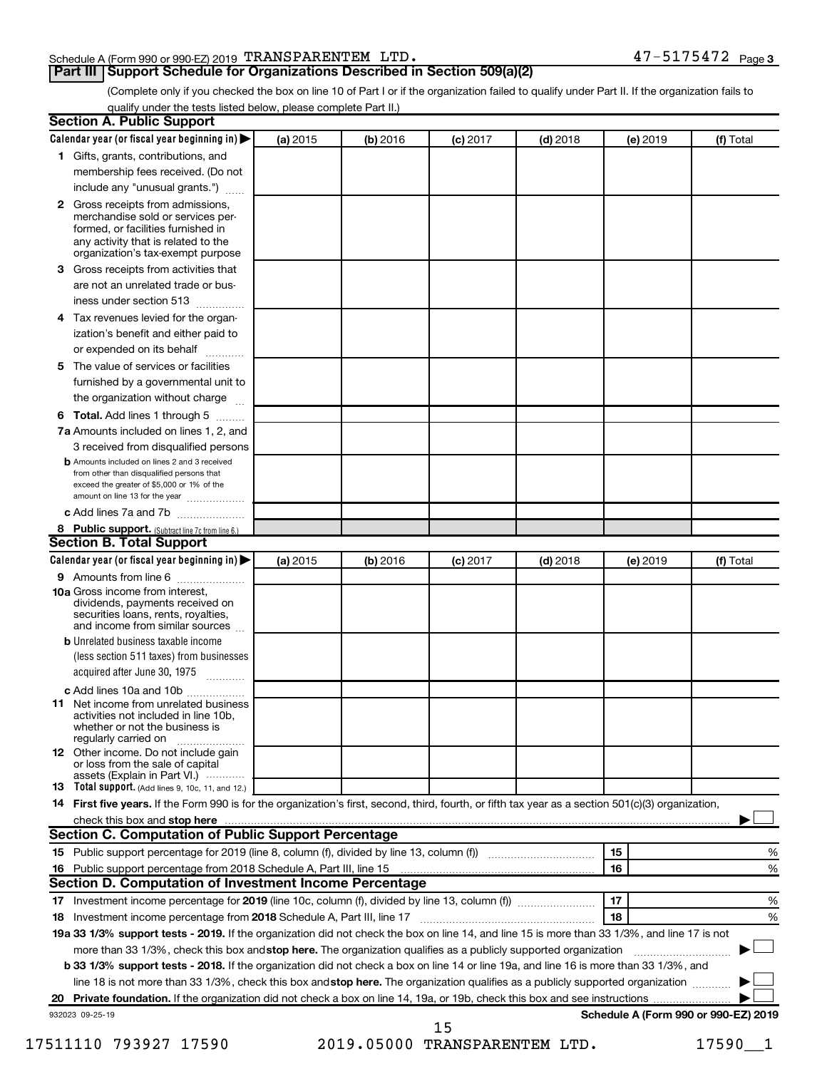#### Schedule A (Form 990 or 990-EZ) 2019 Page TRANSPARENTEM LTD. 47-5175472

## **Part III Support Schedule for Organizations Described in Section 509(a)(2)**

(Complete only if you checked the box on line 10 of Part I or if the organization failed to qualify under Part II. If the organization fails to qualify under the tests listed below, please complete Part II.)

|    | <b>Section A. Public Support</b>                                                                                                                                                         |          |          |            |            |          |                                      |
|----|------------------------------------------------------------------------------------------------------------------------------------------------------------------------------------------|----------|----------|------------|------------|----------|--------------------------------------|
|    | Calendar year (or fiscal year beginning in)                                                                                                                                              | (a) 2015 | (b) 2016 | $(c)$ 2017 | $(d)$ 2018 | (e) 2019 | (f) Total                            |
|    | 1 Gifts, grants, contributions, and                                                                                                                                                      |          |          |            |            |          |                                      |
|    | membership fees received. (Do not                                                                                                                                                        |          |          |            |            |          |                                      |
|    | include any "unusual grants.")                                                                                                                                                           |          |          |            |            |          |                                      |
|    | 2 Gross receipts from admissions,<br>merchandise sold or services per-<br>formed, or facilities furnished in<br>any activity that is related to the<br>organization's tax-exempt purpose |          |          |            |            |          |                                      |
| 3  | Gross receipts from activities that                                                                                                                                                      |          |          |            |            |          |                                      |
|    | are not an unrelated trade or bus-<br>iness under section 513                                                                                                                            |          |          |            |            |          |                                      |
|    | 4 Tax revenues levied for the organ-                                                                                                                                                     |          |          |            |            |          |                                      |
|    | ization's benefit and either paid to<br>or expended on its behalf                                                                                                                        |          |          |            |            |          |                                      |
| 5. | The value of services or facilities                                                                                                                                                      |          |          |            |            |          |                                      |
|    | furnished by a governmental unit to                                                                                                                                                      |          |          |            |            |          |                                      |
|    | the organization without charge                                                                                                                                                          |          |          |            |            |          |                                      |
|    | 6 Total. Add lines 1 through 5                                                                                                                                                           |          |          |            |            |          |                                      |
|    | 7a Amounts included on lines 1, 2, and                                                                                                                                                   |          |          |            |            |          |                                      |
|    | 3 received from disqualified persons                                                                                                                                                     |          |          |            |            |          |                                      |
|    | <b>b</b> Amounts included on lines 2 and 3 received<br>from other than disqualified persons that<br>exceed the greater of \$5,000 or 1% of the<br>amount on line 13 for the year         |          |          |            |            |          |                                      |
|    | c Add lines 7a and 7b                                                                                                                                                                    |          |          |            |            |          |                                      |
|    | 8 Public support. (Subtract line 7c from line 6.)                                                                                                                                        |          |          |            |            |          |                                      |
|    | <b>Section B. Total Support</b>                                                                                                                                                          |          |          |            |            |          |                                      |
|    | Calendar year (or fiscal year beginning in)                                                                                                                                              | (a) 2015 | (b) 2016 | $(c)$ 2017 | $(d)$ 2018 | (e) 2019 | (f) Total                            |
|    | 9 Amounts from line 6                                                                                                                                                                    |          |          |            |            |          |                                      |
|    | <b>10a</b> Gross income from interest,<br>dividends, payments received on<br>securities loans, rents, royalties,<br>and income from similar sources                                      |          |          |            |            |          |                                      |
|    | <b>b</b> Unrelated business taxable income                                                                                                                                               |          |          |            |            |          |                                      |
|    | (less section 511 taxes) from businesses<br>acquired after June 30, 1975<br>1.1.1.1.1.1.1.1.1                                                                                            |          |          |            |            |          |                                      |
|    | c Add lines 10a and 10b                                                                                                                                                                  |          |          |            |            |          |                                      |
|    | <b>11</b> Net income from unrelated business<br>activities not included in line 10b.<br>whether or not the business is<br>regularly carried on                                           |          |          |            |            |          |                                      |
|    | <b>12</b> Other income. Do not include gain<br>or loss from the sale of capital                                                                                                          |          |          |            |            |          |                                      |
|    | assets (Explain in Part VI.)<br>13 Total support. (Add lines 9, 10c, 11, and 12.)                                                                                                        |          |          |            |            |          |                                      |
|    | 14 First five years. If the Form 990 is for the organization's first, second, third, fourth, or fifth tax year as a section 501(c)(3) organization,                                      |          |          |            |            |          |                                      |
|    | check this box and stop here                                                                                                                                                             |          |          |            |            |          |                                      |
|    | <b>Section C. Computation of Public Support Percentage</b>                                                                                                                               |          |          |            |            |          |                                      |
|    | 15 Public support percentage for 2019 (line 8, column (f), divided by line 13, column (f) <i></i>                                                                                        |          |          |            |            | 15       | %                                    |
|    | 16 Public support percentage from 2018 Schedule A, Part III, line 15                                                                                                                     |          |          |            |            | 16       | %                                    |
|    | Section D. Computation of Investment Income Percentage                                                                                                                                   |          |          |            |            |          |                                      |
|    |                                                                                                                                                                                          |          |          |            |            | 17       | %                                    |
|    | 18 Investment income percentage from 2018 Schedule A, Part III, line 17                                                                                                                  |          |          |            |            | 18       | %                                    |
|    | 19a 33 1/3% support tests - 2019. If the organization did not check the box on line 14, and line 15 is more than 33 1/3%, and line 17 is not                                             |          |          |            |            |          |                                      |
|    | more than 33 1/3%, check this box and stop here. The organization qualifies as a publicly supported organization                                                                         |          |          |            |            |          |                                      |
|    | b 33 1/3% support tests - 2018. If the organization did not check a box on line 14 or line 19a, and line 16 is more than 33 1/3%, and                                                    |          |          |            |            |          |                                      |
|    | line 18 is not more than 33 1/3%, check this box and stop here. The organization qualifies as a publicly supported organization                                                          |          |          |            |            |          |                                      |
|    |                                                                                                                                                                                          |          |          |            |            |          |                                      |
|    | 932023 09-25-19                                                                                                                                                                          |          |          |            |            |          | Schedule A (Form 990 or 990-EZ) 2019 |
|    |                                                                                                                                                                                          |          |          | 15         |            |          |                                      |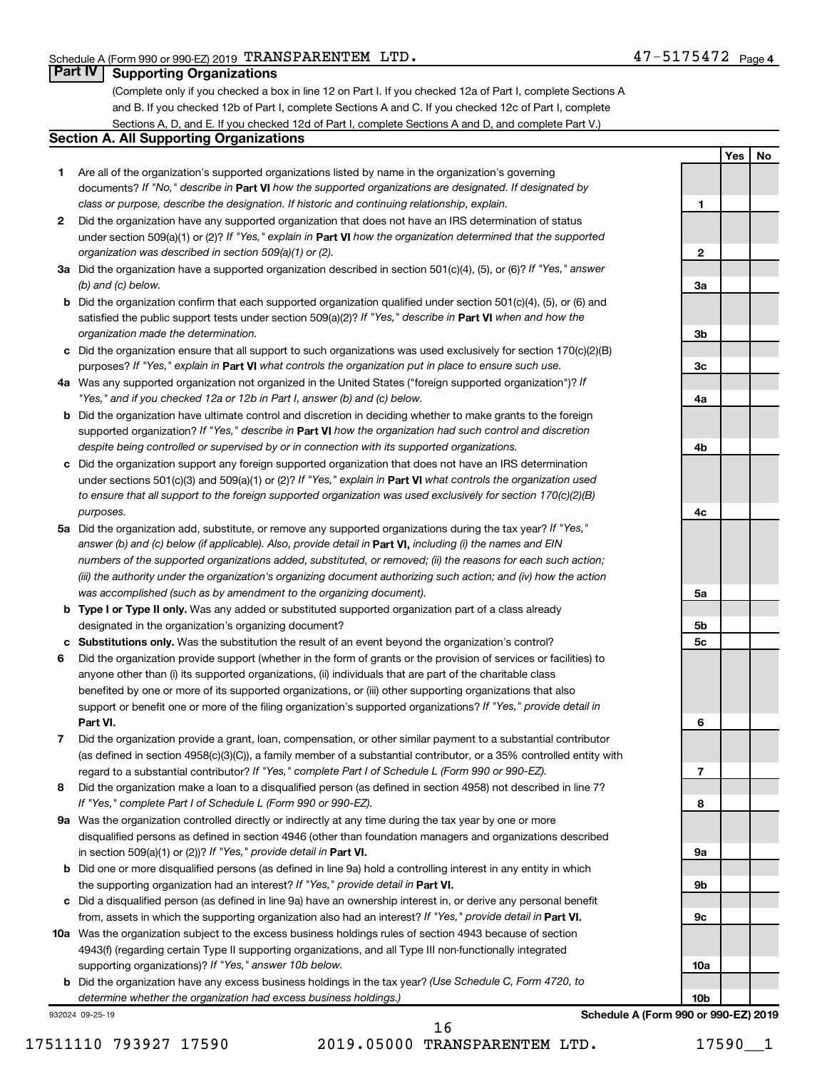**1**

**2**

**3a**

**3b**

**3c**

**4a**

**4b**

**4c**

**5a**

**5b 5c** **Yes No**

### **Part IV Supporting Organizations**

(Complete only if you checked a box in line 12 on Part I. If you checked 12a of Part I, complete Sections A and B. If you checked 12b of Part I, complete Sections A and C. If you checked 12c of Part I, complete Sections A, D, and E. If you checked 12d of Part I, complete Sections A and D, and complete Part V.)

#### **Section A. All Supporting Organizations**

- **1** Are all of the organization's supported organizations listed by name in the organization's governing documents? If "No," describe in Part VI how the supported organizations are designated. If designated by *class or purpose, describe the designation. If historic and continuing relationship, explain.*
- **2** Did the organization have any supported organization that does not have an IRS determination of status under section 509(a)(1) or (2)? If "Yes," explain in Part **VI** how the organization determined that the supported *organization was described in section 509(a)(1) or (2).*
- **3a** Did the organization have a supported organization described in section 501(c)(4), (5), or (6)? If "Yes," answer *(b) and (c) below.*
- **b** Did the organization confirm that each supported organization qualified under section 501(c)(4), (5), or (6) and satisfied the public support tests under section 509(a)(2)? If "Yes," describe in Part VI when and how the *organization made the determination.*
- **c** Did the organization ensure that all support to such organizations was used exclusively for section 170(c)(2)(B) purposes? If "Yes," explain in Part VI what controls the organization put in place to ensure such use.
- **4 a** *If* Was any supported organization not organized in the United States ("foreign supported organization")? *"Yes," and if you checked 12a or 12b in Part I, answer (b) and (c) below.*
- **b** Did the organization have ultimate control and discretion in deciding whether to make grants to the foreign supported organization? If "Yes," describe in Part VI how the organization had such control and discretion *despite being controlled or supervised by or in connection with its supported organizations.*
- **c** Did the organization support any foreign supported organization that does not have an IRS determination under sections 501(c)(3) and 509(a)(1) or (2)? If "Yes," explain in Part VI what controls the organization used *to ensure that all support to the foreign supported organization was used exclusively for section 170(c)(2)(B) purposes.*
- **5a** Did the organization add, substitute, or remove any supported organizations during the tax year? If "Yes," answer (b) and (c) below (if applicable). Also, provide detail in **Part VI,** including (i) the names and EIN *numbers of the supported organizations added, substituted, or removed; (ii) the reasons for each such action; (iii) the authority under the organization's organizing document authorizing such action; and (iv) how the action was accomplished (such as by amendment to the organizing document).*
- **b Type I or Type II only.** Was any added or substituted supported organization part of a class already designated in the organization's organizing document?
- **c Substitutions only.**  Was the substitution the result of an event beyond the organization's control?
- **6** Did the organization provide support (whether in the form of grants or the provision of services or facilities) to **Part VI.** support or benefit one or more of the filing organization's supported organizations? If "Yes," provide detail in anyone other than (i) its supported organizations, (ii) individuals that are part of the charitable class benefited by one or more of its supported organizations, or (iii) other supporting organizations that also
- **7** Did the organization provide a grant, loan, compensation, or other similar payment to a substantial contributor regard to a substantial contributor? If "Yes," complete Part I of Schedule L (Form 990 or 990-EZ). (as defined in section 4958(c)(3)(C)), a family member of a substantial contributor, or a 35% controlled entity with
- **8** Did the organization make a loan to a disqualified person (as defined in section 4958) not described in line 7? *If "Yes," complete Part I of Schedule L (Form 990 or 990-EZ).*
- **9 a** Was the organization controlled directly or indirectly at any time during the tax year by one or more in section 509(a)(1) or (2))? If "Yes," provide detail in **Part VI.** disqualified persons as defined in section 4946 (other than foundation managers and organizations described
- **b** Did one or more disqualified persons (as defined in line 9a) hold a controlling interest in any entity in which the supporting organization had an interest? If "Yes," provide detail in Part VI.
- **c** Did a disqualified person (as defined in line 9a) have an ownership interest in, or derive any personal benefit from, assets in which the supporting organization also had an interest? If "Yes," provide detail in Part VI.
- **10 a** Was the organization subject to the excess business holdings rules of section 4943 because of section supporting organizations)? If "Yes," answer 10b below. 4943(f) (regarding certain Type II supporting organizations, and all Type III non-functionally integrated
	- **b** Did the organization have any excess business holdings in the tax year? (Use Schedule C, Form 4720, to *determine whether the organization had excess business holdings.)*

932024 09-25-19

17511110 793927 17590 2019.05000 TRANSPARENTEM LTD. 17590\_\_1 16

# **6 7 8 9a 9b 9c 10a 10b Schedule A (Form 990 or 990-EZ) 2019**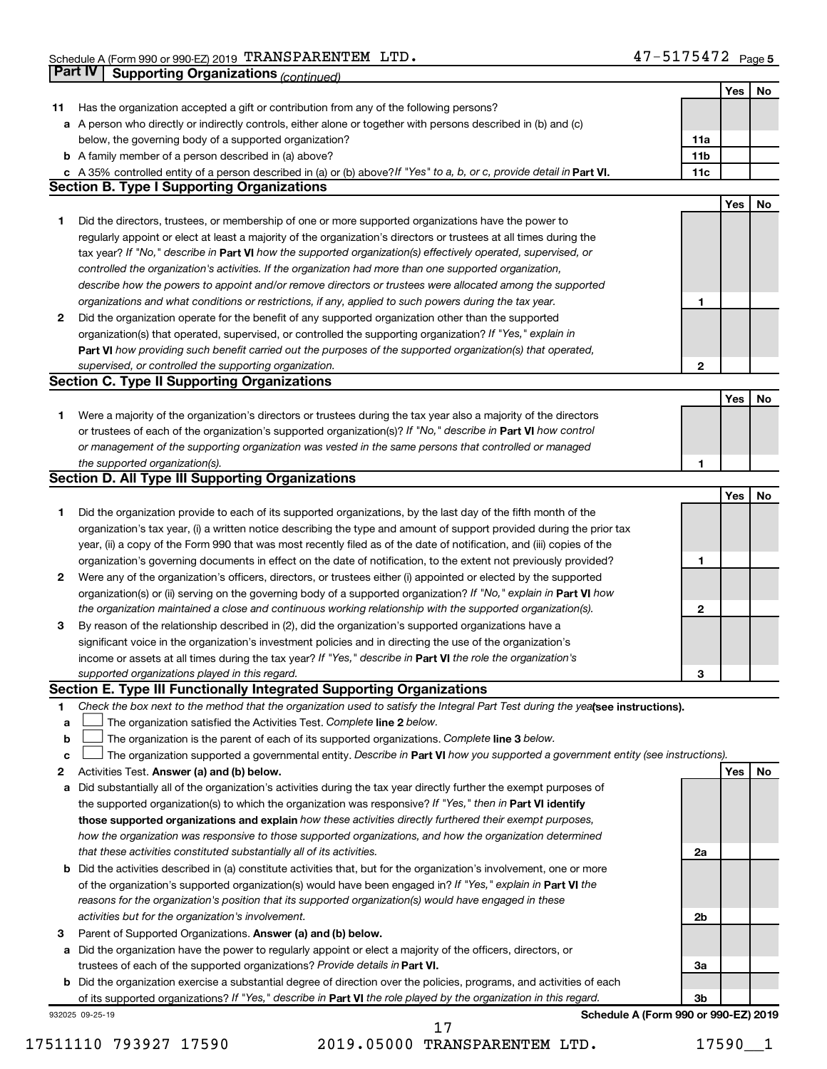|              | Part IV<br><b>Supporting Organizations (continued)</b>                                                                          |                 |     |    |
|--------------|---------------------------------------------------------------------------------------------------------------------------------|-----------------|-----|----|
|              |                                                                                                                                 |                 | Yes | No |
| 11           | Has the organization accepted a gift or contribution from any of the following persons?                                         |                 |     |    |
|              | a A person who directly or indirectly controls, either alone or together with persons described in (b) and (c)                  |                 |     |    |
|              | below, the governing body of a supported organization?                                                                          | 11a             |     |    |
|              | <b>b</b> A family member of a person described in (a) above?                                                                    | 11 <sub>b</sub> |     |    |
|              | c A 35% controlled entity of a person described in (a) or (b) above? If "Yes" to a, b, or c, provide detail in Part VI.         | 11c             |     |    |
|              | <b>Section B. Type I Supporting Organizations</b>                                                                               |                 |     |    |
|              |                                                                                                                                 |                 | Yes | No |
| 1            | Did the directors, trustees, or membership of one or more supported organizations have the power to                             |                 |     |    |
|              | regularly appoint or elect at least a majority of the organization's directors or trustees at all times during the              |                 |     |    |
|              | tax year? If "No," describe in Part VI how the supported organization(s) effectively operated, supervised, or                   |                 |     |    |
|              | controlled the organization's activities. If the organization had more than one supported organization,                         |                 |     |    |
|              | describe how the powers to appoint and/or remove directors or trustees were allocated among the supported                       |                 |     |    |
|              | organizations and what conditions or restrictions, if any, applied to such powers during the tax year.                          | 1               |     |    |
| 2            | Did the organization operate for the benefit of any supported organization other than the supported                             |                 |     |    |
|              | organization(s) that operated, supervised, or controlled the supporting organization? If "Yes," explain in                      |                 |     |    |
|              | Part VI how providing such benefit carried out the purposes of the supported organization(s) that operated,                     |                 |     |    |
|              | supervised, or controlled the supporting organization.                                                                          | $\mathbf{2}$    |     |    |
|              | <b>Section C. Type II Supporting Organizations</b>                                                                              |                 |     |    |
|              |                                                                                                                                 |                 | Yes | No |
| 1.           | Were a majority of the organization's directors or trustees during the tax year also a majority of the directors                |                 |     |    |
|              | or trustees of each of the organization's supported organization(s)? If "No," describe in Part VI how control                   |                 |     |    |
|              | or management of the supporting organization was vested in the same persons that controlled or managed                          |                 |     |    |
|              | the supported organization(s).                                                                                                  | 1               |     |    |
|              | <b>Section D. All Type III Supporting Organizations</b>                                                                         |                 |     |    |
|              |                                                                                                                                 |                 | Yes | No |
| 1            | Did the organization provide to each of its supported organizations, by the last day of the fifth month of the                  |                 |     |    |
|              | organization's tax year, (i) a written notice describing the type and amount of support provided during the prior tax           |                 |     |    |
|              | year, (ii) a copy of the Form 990 that was most recently filed as of the date of notification, and (iii) copies of the          |                 |     |    |
|              | organization's governing documents in effect on the date of notification, to the extent not previously provided?                | 1               |     |    |
| $\mathbf{2}$ | Were any of the organization's officers, directors, or trustees either (i) appointed or elected by the supported                |                 |     |    |
|              | organization(s) or (ii) serving on the governing body of a supported organization? If "No," explain in Part VI how              |                 |     |    |
|              | the organization maintained a close and continuous working relationship with the supported organization(s).                     | 2               |     |    |
| 3            | By reason of the relationship described in (2), did the organization's supported organizations have a                           |                 |     |    |
|              | significant voice in the organization's investment policies and in directing the use of the organization's                      |                 |     |    |
|              | income or assets at all times during the tax year? If "Yes," describe in Part VI the role the organization's                    |                 |     |    |
|              | supported organizations played in this regard.                                                                                  | з               |     |    |
|              | Section E. Type III Functionally Integrated Supporting Organizations                                                            |                 |     |    |
| 1            | Check the box next to the method that the organization used to satisfy the Integral Part Test during the yealsee instructions). |                 |     |    |
| a            | The organization satisfied the Activities Test. Complete line 2 below.                                                          |                 |     |    |
| b            | The organization is the parent of each of its supported organizations. Complete line 3 below.                                   |                 |     |    |
| c            | The organization supported a governmental entity. Describe in Part VI how you supported a government entity (see instructions). |                 |     |    |
| 2            | Activities Test. Answer (a) and (b) below.                                                                                      |                 | Yes | No |
| а            | Did substantially all of the organization's activities during the tax year directly further the exempt purposes of              |                 |     |    |
|              | the supported organization(s) to which the organization was responsive? If "Yes," then in Part VI identify                      |                 |     |    |
|              | those supported organizations and explain how these activities directly furthered their exempt purposes,                        |                 |     |    |
|              | how the organization was responsive to those supported organizations, and how the organization determined                       |                 |     |    |
|              | that these activities constituted substantially all of its activities.                                                          | 2a              |     |    |
| b            | Did the activities described in (a) constitute activities that, but for the organization's involvement, one or more             |                 |     |    |
|              | of the organization's supported organization(s) would have been engaged in? If "Yes," explain in Part VI the                    |                 |     |    |
|              | reasons for the organization's position that its supported organization(s) would have engaged in these                          |                 |     |    |
|              | activities but for the organization's involvement.                                                                              | 2b              |     |    |
| 3            | Parent of Supported Organizations. Answer (a) and (b) below.                                                                    |                 |     |    |
| а            | Did the organization have the power to regularly appoint or elect a majority of the officers, directors, or                     |                 |     |    |
|              | trustees of each of the supported organizations? Provide details in Part VI.                                                    | За              |     |    |
|              | <b>b</b> Did the organization exercise a substantial degree of direction over the policies, programs, and activities of each    |                 |     |    |
|              | of its supported organizations? If "Yes," describe in Part VI the role played by the organization in this regard.               | Зb              |     |    |
|              | <b>Cohodulo A (Form 000 or 000 EZ) 2010</b>                                                                                     |                 |     |    |

932025 09-25-19

**Schedule A (Form 990 or 990-EZ) 2019**

17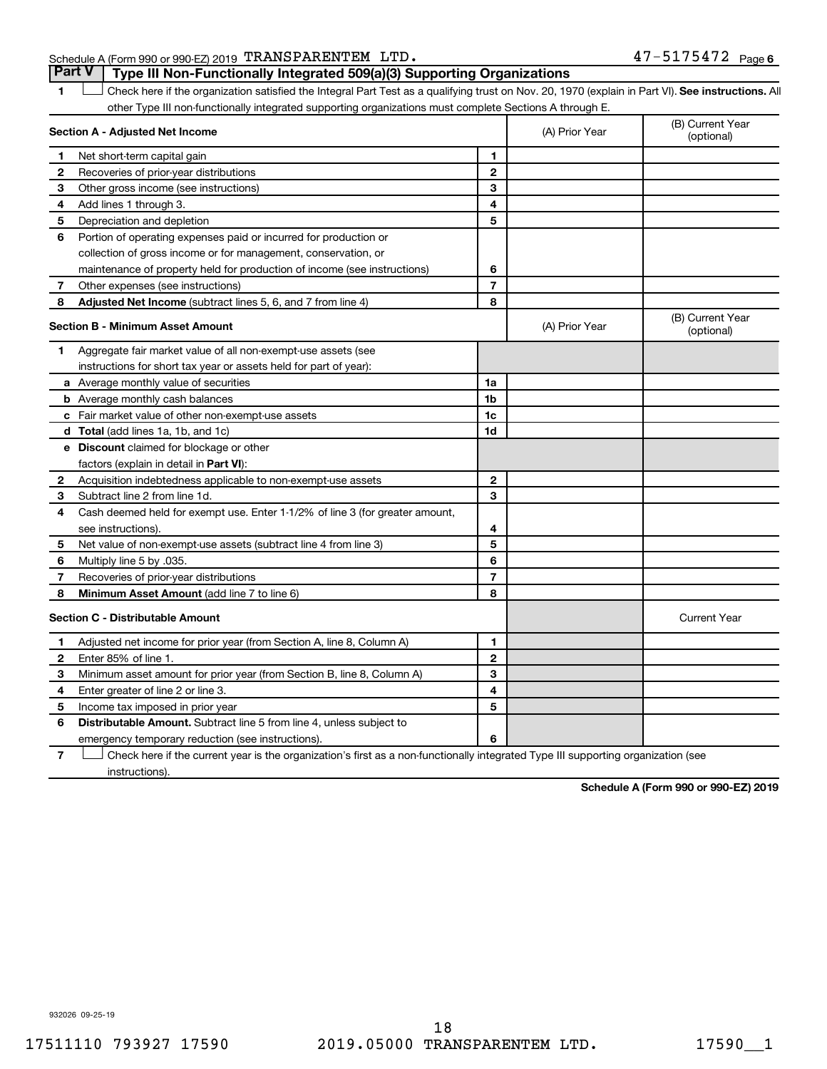### Schedule A (Form 990 or 990-EZ) 2019 Page TRANSPARENTEM LTD. 47-5175472

1 **Letter See instructions.** All Check here if the organization satisfied the Integral Part Test as a qualifying trust on Nov. 20, 1970 (explain in Part VI). See instructions. All other Type III non-functionally integrated supporting organizations must complete Sections A through E. **Part V Type III Non-Functionally Integrated 509(a)(3) Supporting Organizations** 

| Section A - Adjusted Net Income |                                                                              | (A) Prior Year | (B) Current Year<br>(optional) |                                |
|---------------------------------|------------------------------------------------------------------------------|----------------|--------------------------------|--------------------------------|
| 1                               | Net short-term capital gain                                                  | 1              |                                |                                |
| 2                               | Recoveries of prior-year distributions                                       | $\mathbf{2}$   |                                |                                |
| 3                               | Other gross income (see instructions)                                        | 3              |                                |                                |
| 4                               | Add lines 1 through 3.                                                       | 4              |                                |                                |
| 5                               | Depreciation and depletion                                                   | 5              |                                |                                |
| 6                               | Portion of operating expenses paid or incurred for production or             |                |                                |                                |
|                                 | collection of gross income or for management, conservation, or               |                |                                |                                |
|                                 | maintenance of property held for production of income (see instructions)     | 6              |                                |                                |
| 7                               | Other expenses (see instructions)                                            | $\overline{7}$ |                                |                                |
| 8                               | Adjusted Net Income (subtract lines 5, 6, and 7 from line 4)                 | 8              |                                |                                |
|                                 | <b>Section B - Minimum Asset Amount</b>                                      |                | (A) Prior Year                 | (B) Current Year<br>(optional) |
| 1                               | Aggregate fair market value of all non-exempt-use assets (see                |                |                                |                                |
|                                 | instructions for short tax year or assets held for part of year):            |                |                                |                                |
|                                 | <b>a</b> Average monthly value of securities                                 | 1a             |                                |                                |
|                                 | <b>b</b> Average monthly cash balances                                       | 1 <sub>b</sub> |                                |                                |
|                                 | c Fair market value of other non-exempt-use assets                           | 1c             |                                |                                |
|                                 | d Total (add lines 1a, 1b, and 1c)                                           | 1d             |                                |                                |
|                                 | e Discount claimed for blockage or other                                     |                |                                |                                |
|                                 | factors (explain in detail in <b>Part VI</b> ):                              |                |                                |                                |
| 2                               | Acquisition indebtedness applicable to non-exempt-use assets                 | $\mathbf{2}$   |                                |                                |
| З                               | Subtract line 2 from line 1d.                                                | 3              |                                |                                |
| 4                               | Cash deemed held for exempt use. Enter 1-1/2% of line 3 (for greater amount, |                |                                |                                |
|                                 | see instructions)                                                            | 4              |                                |                                |
| 5                               | Net value of non-exempt-use assets (subtract line 4 from line 3)             | 5              |                                |                                |
| 6                               | Multiply line 5 by .035.                                                     | 6              |                                |                                |
| 7                               | Recoveries of prior-year distributions                                       | $\overline{7}$ |                                |                                |
| 8                               | <b>Minimum Asset Amount (add line 7 to line 6)</b>                           | 8              |                                |                                |
|                                 | <b>Section C - Distributable Amount</b>                                      |                |                                | <b>Current Year</b>            |
| 1                               | Adjusted net income for prior year (from Section A, line 8, Column A)        | 1              |                                |                                |
| $\mathbf{2}$                    | Enter 85% of line 1.                                                         | $\mathbf{2}$   |                                |                                |
| 3                               | Minimum asset amount for prior year (from Section B, line 8, Column A)       | 3              |                                |                                |
| 4                               | Enter greater of line 2 or line 3.                                           | 4              |                                |                                |
| 5                               | Income tax imposed in prior year                                             | 5              |                                |                                |
| 6                               | <b>Distributable Amount.</b> Subtract line 5 from line 4, unless subject to  |                |                                |                                |
|                                 | emergency temporary reduction (see instructions).                            | 6              |                                |                                |
|                                 |                                                                              |                |                                |                                |

**7** Check here if the current year is the organization's first as a non-functionally integrated Type III supporting organization (see † instructions).

**Schedule A (Form 990 or 990-EZ) 2019**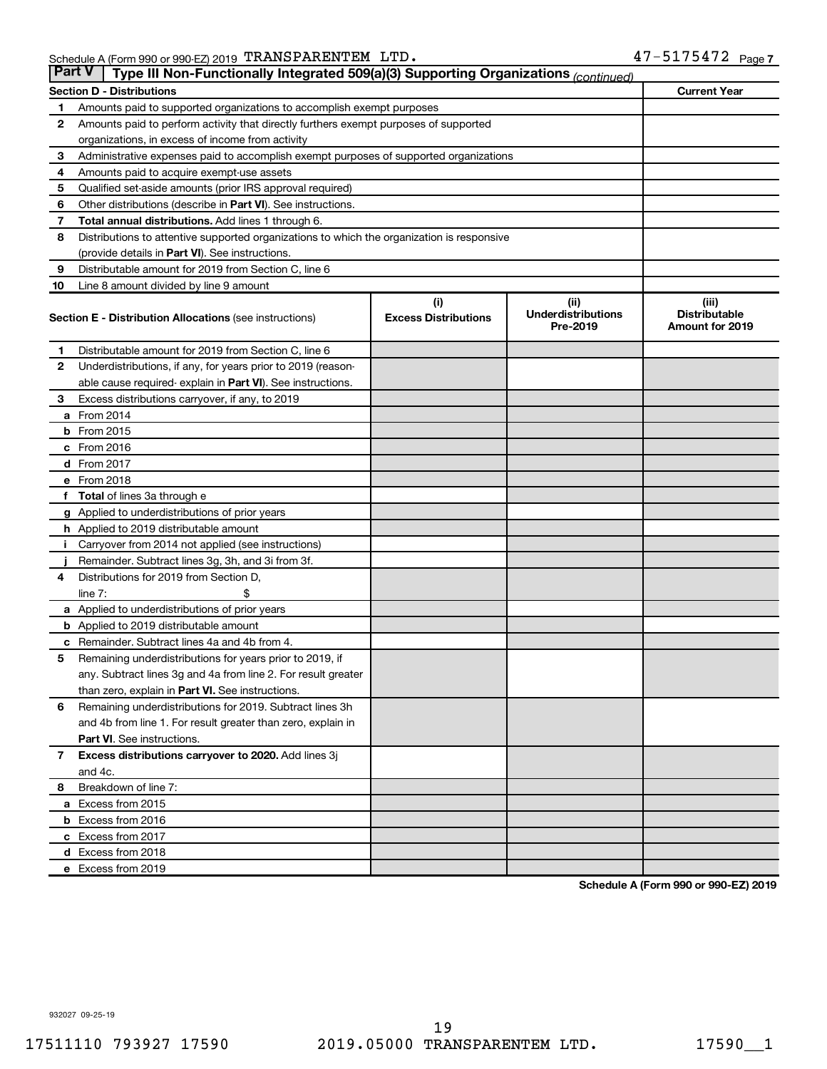|              | <b>Part V</b><br>Type III Non-Functionally Integrated 509(a)(3) Supporting Organizations (continued) |                             |                                       |                                                |  |  |
|--------------|------------------------------------------------------------------------------------------------------|-----------------------------|---------------------------------------|------------------------------------------------|--|--|
|              | <b>Current Year</b><br><b>Section D - Distributions</b>                                              |                             |                                       |                                                |  |  |
| 1            | Amounts paid to supported organizations to accomplish exempt purposes                                |                             |                                       |                                                |  |  |
| 2            | Amounts paid to perform activity that directly furthers exempt purposes of supported                 |                             |                                       |                                                |  |  |
|              | organizations, in excess of income from activity                                                     |                             |                                       |                                                |  |  |
| 3            | Administrative expenses paid to accomplish exempt purposes of supported organizations                |                             |                                       |                                                |  |  |
| 4            | Amounts paid to acquire exempt-use assets                                                            |                             |                                       |                                                |  |  |
| 5            | Qualified set-aside amounts (prior IRS approval required)                                            |                             |                                       |                                                |  |  |
| 6            | Other distributions (describe in <b>Part VI</b> ). See instructions.                                 |                             |                                       |                                                |  |  |
| 7            | <b>Total annual distributions.</b> Add lines 1 through 6.                                            |                             |                                       |                                                |  |  |
| 8            | Distributions to attentive supported organizations to which the organization is responsive           |                             |                                       |                                                |  |  |
|              | (provide details in Part VI). See instructions.                                                      |                             |                                       |                                                |  |  |
| 9            | Distributable amount for 2019 from Section C, line 6                                                 |                             |                                       |                                                |  |  |
| 10           | Line 8 amount divided by line 9 amount                                                               |                             |                                       |                                                |  |  |
|              |                                                                                                      | (i)                         | (iii)                                 | (iii)                                          |  |  |
|              | <b>Section E - Distribution Allocations (see instructions)</b>                                       | <b>Excess Distributions</b> | <b>Underdistributions</b><br>Pre-2019 | <b>Distributable</b><br><b>Amount for 2019</b> |  |  |
| 1            | Distributable amount for 2019 from Section C, line 6                                                 |                             |                                       |                                                |  |  |
| 2            | Underdistributions, if any, for years prior to 2019 (reason-                                         |                             |                                       |                                                |  |  |
|              | able cause required- explain in Part VI). See instructions.                                          |                             |                                       |                                                |  |  |
| 3            | Excess distributions carryover, if any, to 2019                                                      |                             |                                       |                                                |  |  |
|              | a From 2014                                                                                          |                             |                                       |                                                |  |  |
|              | $b$ From 2015                                                                                        |                             |                                       |                                                |  |  |
|              | c From 2016                                                                                          |                             |                                       |                                                |  |  |
|              | d From 2017                                                                                          |                             |                                       |                                                |  |  |
|              | e From 2018                                                                                          |                             |                                       |                                                |  |  |
| f            | <b>Total</b> of lines 3a through e                                                                   |                             |                                       |                                                |  |  |
|              | <b>g</b> Applied to underdistributions of prior years                                                |                             |                                       |                                                |  |  |
|              | <b>h</b> Applied to 2019 distributable amount                                                        |                             |                                       |                                                |  |  |
|              | Carryover from 2014 not applied (see instructions)                                                   |                             |                                       |                                                |  |  |
|              | Remainder. Subtract lines 3g, 3h, and 3i from 3f.                                                    |                             |                                       |                                                |  |  |
| 4            | Distributions for 2019 from Section D,                                                               |                             |                                       |                                                |  |  |
|              | line $7:$                                                                                            |                             |                                       |                                                |  |  |
|              | a Applied to underdistributions of prior years                                                       |                             |                                       |                                                |  |  |
|              | <b>b</b> Applied to 2019 distributable amount                                                        |                             |                                       |                                                |  |  |
| с            | Remainder. Subtract lines 4a and 4b from 4.                                                          |                             |                                       |                                                |  |  |
| 5            | Remaining underdistributions for years prior to 2019, if                                             |                             |                                       |                                                |  |  |
|              | any. Subtract lines 3g and 4a from line 2. For result greater                                        |                             |                                       |                                                |  |  |
|              | than zero, explain in Part VI. See instructions.                                                     |                             |                                       |                                                |  |  |
| 6            | Remaining underdistributions for 2019. Subtract lines 3h                                             |                             |                                       |                                                |  |  |
|              | and 4b from line 1. For result greater than zero, explain in                                         |                             |                                       |                                                |  |  |
|              | <b>Part VI.</b> See instructions.                                                                    |                             |                                       |                                                |  |  |
| $\mathbf{7}$ | Excess distributions carryover to 2020. Add lines 3j                                                 |                             |                                       |                                                |  |  |
|              | and 4c.                                                                                              |                             |                                       |                                                |  |  |
| 8            | Breakdown of line 7:                                                                                 |                             |                                       |                                                |  |  |
|              | a Excess from 2015                                                                                   |                             |                                       |                                                |  |  |
|              | <b>b</b> Excess from 2016                                                                            |                             |                                       |                                                |  |  |
|              | c Excess from 2017                                                                                   |                             |                                       |                                                |  |  |
|              | d Excess from 2018                                                                                   |                             |                                       |                                                |  |  |
|              | e Excess from 2019                                                                                   |                             |                                       |                                                |  |  |

**Schedule A (Form 990 or 990-EZ) 2019**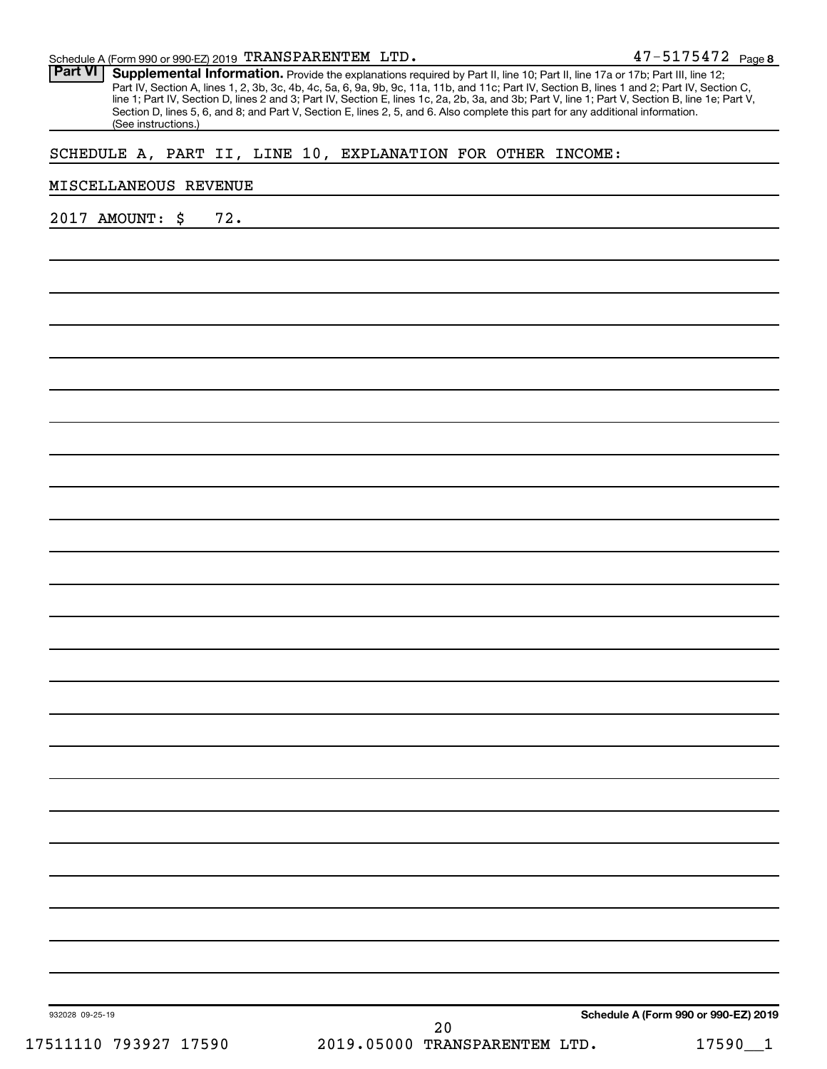| Schedule A (Form 990 or 990-EZ) 2019 $\,$ TRANSPARENTEM $\,$ LTD $\,$ . | $47 - 5175472$ Page 8 |  |
|-------------------------------------------------------------------------|-----------------------|--|
|-------------------------------------------------------------------------|-----------------------|--|

Part VI | Supplemental Information. Provide the explanations required by Part II, line 10; Part II, line 17a or 17b; Part III, line 12; Part IV, Section A, lines 1, 2, 3b, 3c, 4b, 4c, 5a, 6, 9a, 9b, 9c, 11a, 11b, and 11c; Part IV, Section B, lines 1 and 2; Part IV, Section C, line 1; Part IV, Section D, lines 2 and 3; Part IV, Section E, lines 1c, 2a, 2b, 3a, and 3b; Part V, line 1; Part V, Section B, line 1e; Part V, Section D, lines 5, 6, and 8; and Part V, Section E, lines 2, 5, and 6. Also complete this part for any additional information. (See instructions.)

#### SCHEDULE A, PART II, LINE 10, EXPLANATION FOR OTHER INCOME:

#### MISCELLANEOUS REVENUE

2017 AMOUNT: \$ 72.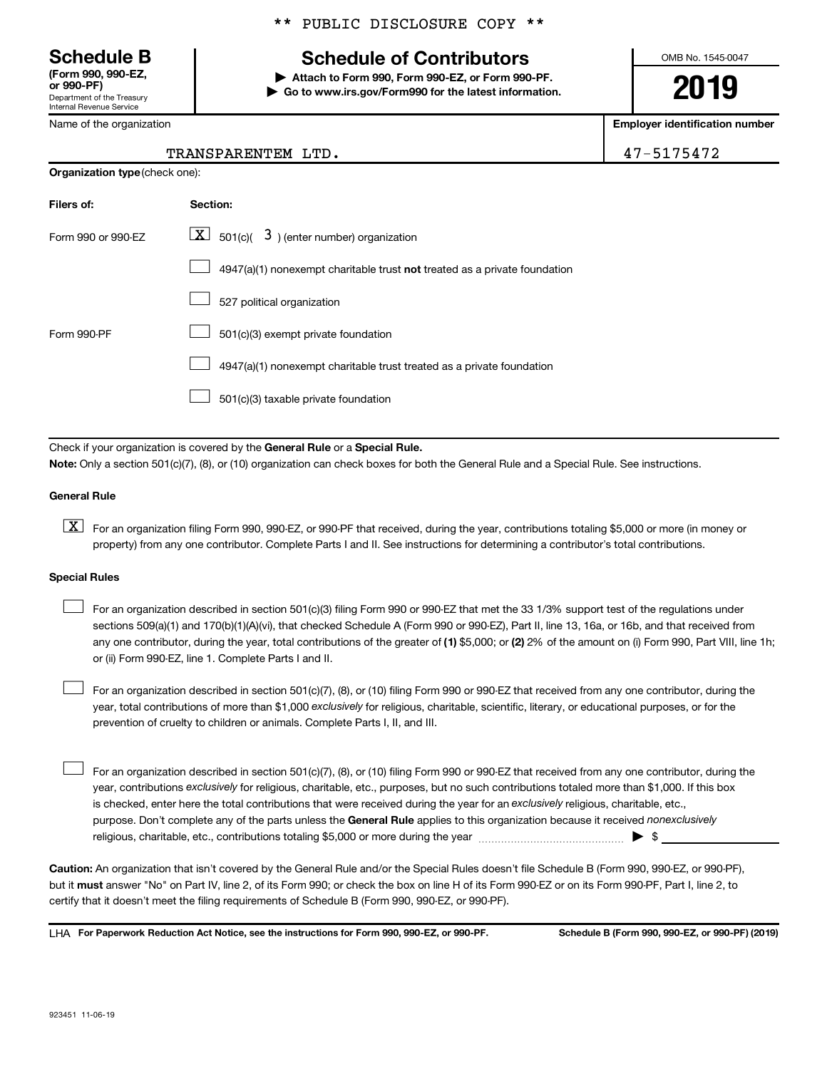**(Form 990, 990-EZ,**

Department of the Treasury Internal Revenue Service

Name of the organization

# **Schedule B Schedule of Contributors**

**or 990-PF) | Attach to Form 990, Form 990-EZ, or Form 990-PF. | Go to www.irs.gov/Form990 for the latest information.** OMB No. 1545-0047

**2019**

**Employer identification number**

| רו<br>٠. |  |  |  | 54 |  |
|----------|--|--|--|----|--|
|----------|--|--|--|----|--|

| 47-5175472<br>TRANSPARENTEM LTD. |
|----------------------------------|
|----------------------------------|

| <b>Organization type (check one):</b> |                                                                           |  |  |
|---------------------------------------|---------------------------------------------------------------------------|--|--|
| Filers of:                            | Section:                                                                  |  |  |
| Form 990 or 990-EZ                    | $\lfloor x \rfloor$ 501(c)( 3) (enter number) organization                |  |  |
|                                       | 4947(a)(1) nonexempt charitable trust not treated as a private foundation |  |  |
|                                       | 527 political organization                                                |  |  |
| Form 990-PF                           | 501(c)(3) exempt private foundation                                       |  |  |
|                                       | 4947(a)(1) nonexempt charitable trust treated as a private foundation     |  |  |
|                                       | 501(c)(3) taxable private foundation                                      |  |  |

Check if your organization is covered by the General Rule or a Special Rule. **Note:**  Only a section 501(c)(7), (8), or (10) organization can check boxes for both the General Rule and a Special Rule. See instructions.

#### **General Rule**

**K** For an organization filing Form 990, 990-EZ, or 990-PF that received, during the year, contributions totaling \$5,000 or more (in money or property) from any one contributor. Complete Parts I and II. See instructions for determining a contributor's total contributions.

#### **Special Rules**

 $\Box$ 

 $\Box$ 

any one contributor, during the year, total contributions of the greater of (1) \$5,000; or (2) 2% of the amount on (i) Form 990, Part VIII, line 1h; For an organization described in section 501(c)(3) filing Form 990 or 990-EZ that met the 33 1/3% support test of the regulations under sections 509(a)(1) and 170(b)(1)(A)(vi), that checked Schedule A (Form 990 or 990-EZ), Part II, line 13, 16a, or 16b, and that received from or (ii) Form 990-EZ, line 1. Complete Parts I and II.  $\Box$ 

year, total contributions of more than \$1,000 *exclusively* for religious, charitable, scientific, literary, or educational purposes, or for the For an organization described in section 501(c)(7), (8), or (10) filing Form 990 or 990-EZ that received from any one contributor, during the prevention of cruelty to children or animals. Complete Parts I, II, and III.

purpose. Don't complete any of the parts unless the General Rule applies to this organization because it received nonexclusively year, contributions exclusively for religious, charitable, etc., purposes, but no such contributions totaled more than \$1,000. If this box is checked, enter here the total contributions that were received during the year for an exclusively religious, charitable, etc., For an organization described in section 501(c)(7), (8), or (10) filing Form 990 or 990-EZ that received from any one contributor, during the religious, charitable, etc., contributions totaling \$5,000 or more during the year  $\ldots$  $\ldots$  $\ldots$  $\ldots$  $\ldots$  $\ldots$ 

**Caution:**  An organization that isn't covered by the General Rule and/or the Special Rules doesn't file Schedule B (Form 990, 990-EZ, or 990-PF),  **must** but it answer "No" on Part IV, line 2, of its Form 990; or check the box on line H of its Form 990-EZ or on its Form 990-PF, Part I, line 2, to certify that it doesn't meet the filing requirements of Schedule B (Form 990, 990-EZ, or 990-PF).

**For Paperwork Reduction Act Notice, see the instructions for Form 990, 990-EZ, or 990-PF. Schedule B (Form 990, 990-EZ, or 990-PF) (2019)** LHA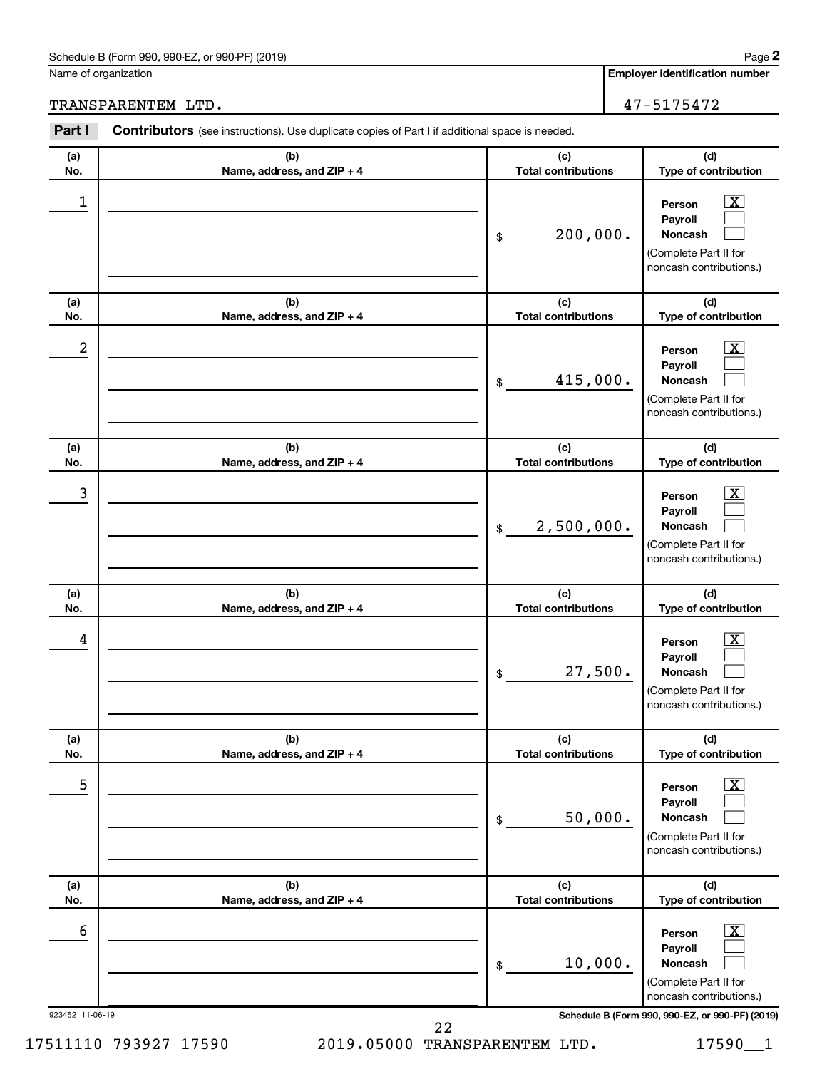#### Schedule B (Form 990, 990-EZ, or 990-PF) (2019)

Name of organi

**Employer identification number**

TRANSPARENTEM LTD. 47-5175472

| Part I               | <b>Contributors</b> (see instructions). Use duplicate copies of Part I if additional space is needed. |                                   |                                                                                                                                                              |
|----------------------|-------------------------------------------------------------------------------------------------------|-----------------------------------|--------------------------------------------------------------------------------------------------------------------------------------------------------------|
| (a)<br>No.           | (b)<br>Name, address, and ZIP + 4                                                                     | (c)<br><b>Total contributions</b> | (d)<br>Type of contribution                                                                                                                                  |
| 1                    |                                                                                                       | 200,000.<br>$\$$                  | $\overline{\mathbf{X}}$<br>Person<br>Payroll<br><b>Noncash</b><br>(Complete Part II for<br>noncash contributions.)                                           |
| (a)<br>No.           | (b)<br>Name, address, and ZIP + 4                                                                     | (c)<br><b>Total contributions</b> | (d)<br>Type of contribution                                                                                                                                  |
| 2                    |                                                                                                       | 415,000.<br>$\$$                  | $\overline{\mathbf{X}}$<br>Person<br>Payroll<br><b>Noncash</b><br>(Complete Part II for<br>noncash contributions.)                                           |
| (a)<br>No.           | (b)<br>Name, address, and ZIP + 4                                                                     | (c)<br><b>Total contributions</b> | (d)<br>Type of contribution                                                                                                                                  |
| 3                    |                                                                                                       | 2,500,000.<br>$\$$                | $\overline{\mathbf{X}}$<br>Person<br>Payroll<br><b>Noncash</b><br>(Complete Part II for<br>noncash contributions.)                                           |
| (a)<br>No.           | (b)<br>Name, address, and ZIP + 4                                                                     | (c)<br><b>Total contributions</b> | (d)<br>Type of contribution                                                                                                                                  |
| 4                    |                                                                                                       | 27,500.<br>\$                     | $\overline{\mathbf{X}}$<br>Person<br>Payroll<br>Noncash<br>(Complete Part II for<br>noncash contributions.)                                                  |
| (a)<br>No.           | (b)<br>Name, address, and ZIP + 4                                                                     | (c)<br><b>Total contributions</b> | (d)<br>Type of contribution                                                                                                                                  |
| 5                    |                                                                                                       | 50,000.<br>$\,$                   | $\overline{\mathbf{X}}$<br>Person<br>Payroll<br>Noncash<br>(Complete Part II for<br>noncash contributions.)                                                  |
| (a)<br>No.           | (b)<br>Name, address, and ZIP + 4                                                                     | (c)<br><b>Total contributions</b> | (d)<br>Type of contribution                                                                                                                                  |
| 6<br>923452 11-06-19 |                                                                                                       | 10,000.<br>\$                     | $\overline{\text{X}}$<br>Person<br>Payroll<br>Noncash<br>(Complete Part II for<br>noncash contributions.)<br>Schedule B (Form 990, 990-EZ, or 990-PF) (2019) |
|                      | 22                                                                                                    |                                   |                                                                                                                                                              |

**2**

| ıization |  |  |
|----------|--|--|
|          |  |  |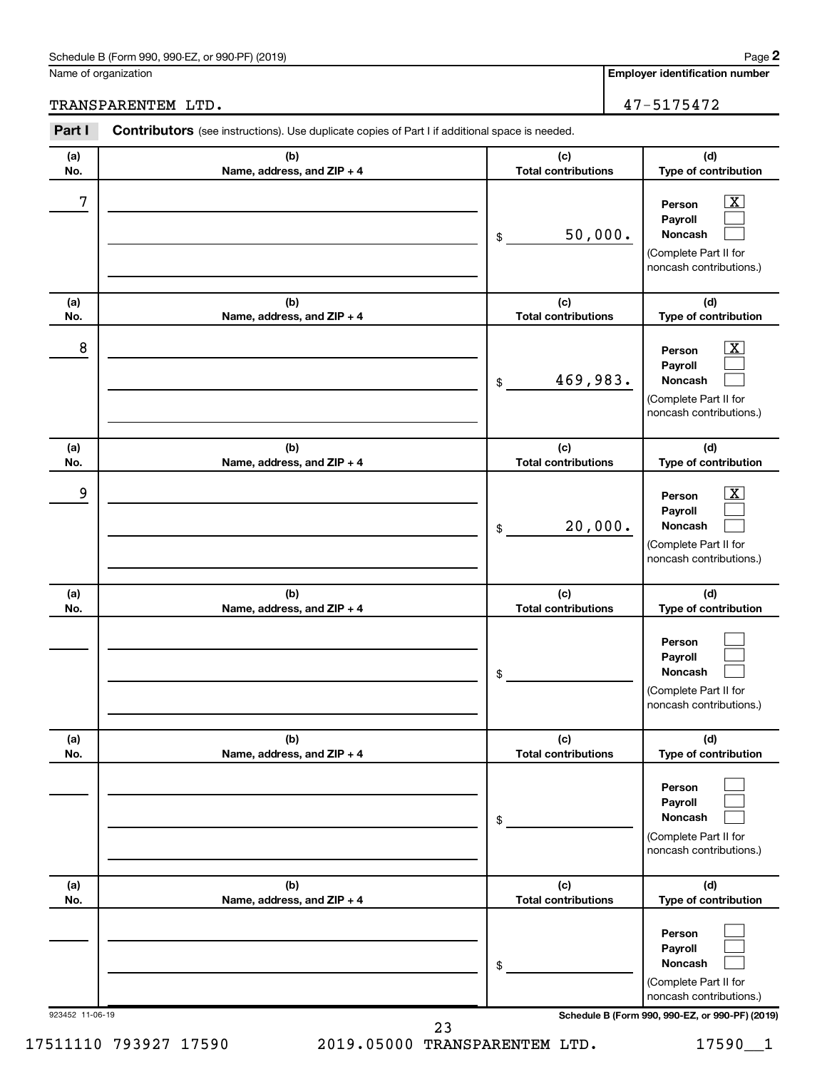#### Schedule B (Form 990, 990-EZ, or 990-PF) (2019)

Name of organization

**Employer identification number**

## TRANSPARENTEM LTD. 47-5175472

| Part I          | <b>Contributors</b> (see instructions). Use duplicate copies of Part I if additional space is needed. |                                   |                                                                                                                    |
|-----------------|-------------------------------------------------------------------------------------------------------|-----------------------------------|--------------------------------------------------------------------------------------------------------------------|
| (a)<br>No.      | (b)<br>Name, address, and ZIP + 4                                                                     | (c)<br><b>Total contributions</b> | (d)<br>Type of contribution                                                                                        |
| 7               |                                                                                                       | 50,000.<br>\$                     | $\mathbf{X}$<br>Person<br>Payroll<br><b>Noncash</b><br>(Complete Part II for<br>noncash contributions.)            |
| (a)<br>No.      | (b)<br>Name, address, and ZIP + 4                                                                     | (c)<br><b>Total contributions</b> | (d)<br>Type of contribution                                                                                        |
| 8               |                                                                                                       | 469,983.<br>\$                    | $\overline{\mathbf{X}}$<br>Person<br>Payroll<br><b>Noncash</b><br>(Complete Part II for<br>noncash contributions.) |
| (a)<br>No.      | (b)<br>Name, address, and ZIP + 4                                                                     | (c)<br><b>Total contributions</b> | (d)<br>Type of contribution                                                                                        |
| 9               |                                                                                                       | 20,000.<br>\$                     | $\overline{\mathbf{x}}$<br>Person<br>Payroll<br><b>Noncash</b><br>(Complete Part II for<br>noncash contributions.) |
| (a)<br>No.      | (b)<br>Name, address, and ZIP + 4                                                                     | (c)<br><b>Total contributions</b> | (d)<br>Type of contribution                                                                                        |
|                 |                                                                                                       | \$                                | Person<br>Payroll<br><b>Noncash</b><br>(Complete Part II for<br>noncash contributions.)                            |
| (a)<br>No.      | (b)<br>Name, address, and ZIP + 4                                                                     | (c)<br><b>Total contributions</b> | (d)<br>Type of contribution                                                                                        |
|                 |                                                                                                       | \$                                | Person<br>Payroll<br><b>Noncash</b><br>(Complete Part II for<br>noncash contributions.)                            |
| (a)<br>No.      | (b)<br>Name, address, and ZIP + 4                                                                     | (c)<br><b>Total contributions</b> | (d)<br>Type of contribution                                                                                        |
|                 |                                                                                                       | \$                                | Person<br>Payroll<br><b>Noncash</b><br>(Complete Part II for<br>noncash contributions.)                            |
| 923452 11-06-19 |                                                                                                       | 23                                | Schedule B (Form 990, 990-EZ, or 990-PF) (2019)                                                                    |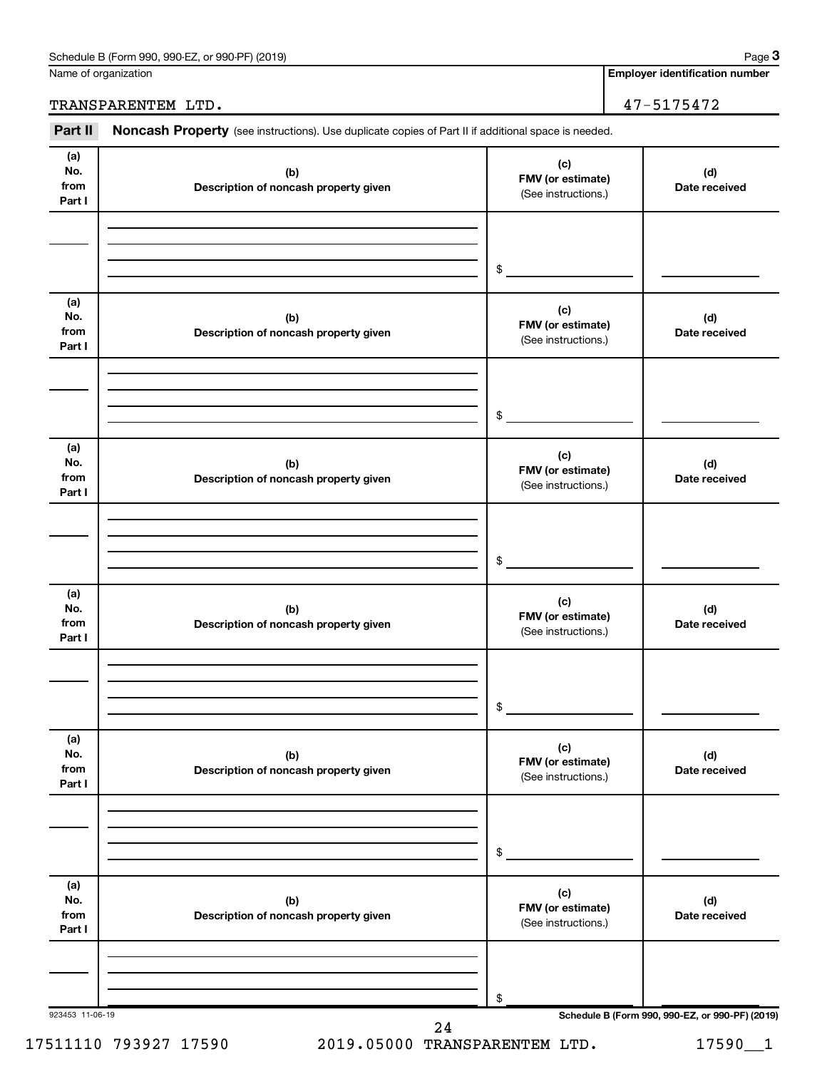| Schedule B (Form 990,<br>(2019)<br>or 990-PF)<br>990-EZ<br>Page |  |
|-----------------------------------------------------------------|--|
|-----------------------------------------------------------------|--|

Name of organization

**Employer identification number**

TRANSPARENTEM LTD. 47-5175472

Part II Noncash Property (see instructions). Use duplicate copies of Part II if additional space is needed.

| (a)<br>No.<br>from<br>Part I | (b)<br>Description of noncash property given | (c)<br>FMV (or estimate)<br>(See instructions.) | (d)<br>Date received                            |
|------------------------------|----------------------------------------------|-------------------------------------------------|-------------------------------------------------|
|                              |                                              | $\frac{1}{2}$                                   |                                                 |
|                              |                                              |                                                 |                                                 |
| (a)<br>No.<br>from<br>Part I | (b)<br>Description of noncash property given | (c)<br>FMV (or estimate)<br>(See instructions.) | (d)<br>Date received                            |
|                              |                                              |                                                 |                                                 |
|                              |                                              |                                                 |                                                 |
|                              |                                              | $\frac{1}{2}$                                   |                                                 |
| (a)                          |                                              |                                                 |                                                 |
| No.<br>from<br>Part I        | (b)<br>Description of noncash property given | (c)<br>FMV (or estimate)<br>(See instructions.) | (d)<br>Date received                            |
|                              |                                              |                                                 |                                                 |
|                              |                                              |                                                 |                                                 |
|                              |                                              |                                                 |                                                 |
|                              |                                              | $\frac{1}{2}$                                   |                                                 |
|                              |                                              |                                                 |                                                 |
| (a)<br>No.                   |                                              | (c)                                             |                                                 |
| from                         | (b)<br>Description of noncash property given | FMV (or estimate)                               | (d)<br>Date received                            |
| Part I                       |                                              | (See instructions.)                             |                                                 |
|                              |                                              |                                                 |                                                 |
|                              |                                              |                                                 |                                                 |
|                              |                                              |                                                 |                                                 |
|                              |                                              | \$                                              |                                                 |
|                              |                                              |                                                 |                                                 |
| (a)                          |                                              | (c)                                             |                                                 |
| No.<br>from                  | (b)                                          | FMV (or estimate)                               | (d)                                             |
| Part I                       | Description of noncash property given        | (See instructions.)                             | Date received                                   |
|                              |                                              |                                                 |                                                 |
|                              |                                              |                                                 |                                                 |
|                              |                                              |                                                 |                                                 |
|                              |                                              | \$                                              |                                                 |
|                              |                                              |                                                 |                                                 |
| (a)                          |                                              | (c)                                             |                                                 |
| No.                          | (b)                                          | FMV (or estimate)                               | (d)                                             |
| from<br>Part I               | Description of noncash property given        | (See instructions.)                             | Date received                                   |
|                              |                                              |                                                 |                                                 |
|                              |                                              |                                                 |                                                 |
|                              |                                              |                                                 |                                                 |
|                              |                                              | \$                                              |                                                 |
| 923453 11-06-19              |                                              |                                                 | Schedule B (Form 990, 990-EZ, or 990-PF) (2019) |
|                              | 24                                           |                                                 |                                                 |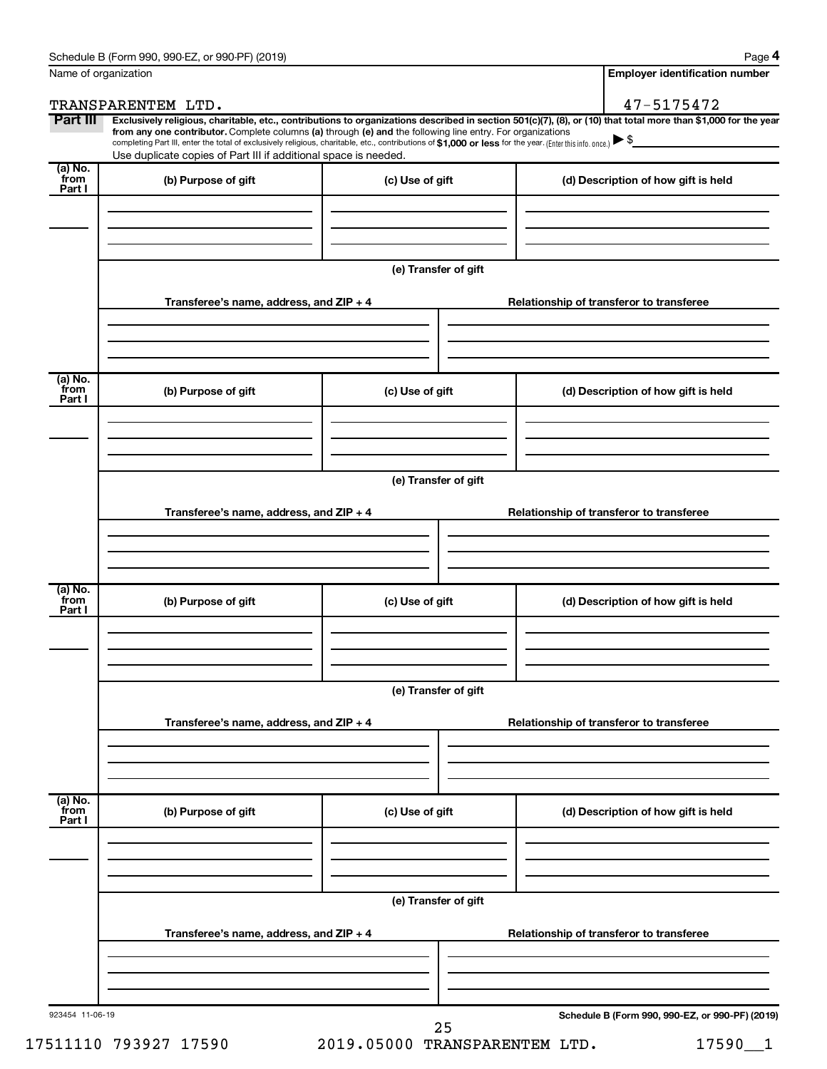| Name of organization                   |                                                                                                                                                                                                                                                                                                                                           |                      | <b>Employer identification number</b>                                                                                                                          |
|----------------------------------------|-------------------------------------------------------------------------------------------------------------------------------------------------------------------------------------------------------------------------------------------------------------------------------------------------------------------------------------------|----------------------|----------------------------------------------------------------------------------------------------------------------------------------------------------------|
|                                        | TRANSPARENTEM LTD.                                                                                                                                                                                                                                                                                                                        |                      | 47-5175472                                                                                                                                                     |
| Part III                               | from any one contributor. Complete columns (a) through (e) and the following line entry. For organizations<br>completing Part III, enter the total of exclusively religious, charitable, etc., contributions of \$1,000 or less for the year. (Enter this info. once.)<br>Use duplicate copies of Part III if additional space is needed. |                      | Exclusively religious, charitable, etc., contributions to organizations described in section 501(c)(7), (8), or (10) that total more than \$1,000 for the year |
| $(a)$ No.<br>from<br>Part I            | (b) Purpose of gift                                                                                                                                                                                                                                                                                                                       | (c) Use of gift      | (d) Description of how gift is held                                                                                                                            |
|                                        |                                                                                                                                                                                                                                                                                                                                           |                      |                                                                                                                                                                |
|                                        |                                                                                                                                                                                                                                                                                                                                           | (e) Transfer of gift |                                                                                                                                                                |
|                                        | Transferee's name, address, and $ZIP + 4$                                                                                                                                                                                                                                                                                                 |                      | Relationship of transferor to transferee                                                                                                                       |
|                                        |                                                                                                                                                                                                                                                                                                                                           |                      |                                                                                                                                                                |
| (a) No.<br>from                        | (b) Purpose of gift                                                                                                                                                                                                                                                                                                                       | (c) Use of gift      | (d) Description of how gift is held                                                                                                                            |
| Part I                                 |                                                                                                                                                                                                                                                                                                                                           |                      |                                                                                                                                                                |
|                                        |                                                                                                                                                                                                                                                                                                                                           |                      |                                                                                                                                                                |
|                                        |                                                                                                                                                                                                                                                                                                                                           | (e) Transfer of gift |                                                                                                                                                                |
|                                        | Transferee's name, address, and ZIP + 4                                                                                                                                                                                                                                                                                                   |                      | Relationship of transferor to transferee                                                                                                                       |
|                                        |                                                                                                                                                                                                                                                                                                                                           |                      |                                                                                                                                                                |
| $\overline{a}$ ) No.<br>from<br>Part I | (b) Purpose of gift                                                                                                                                                                                                                                                                                                                       | (c) Use of gift      | (d) Description of how gift is held                                                                                                                            |
|                                        |                                                                                                                                                                                                                                                                                                                                           |                      |                                                                                                                                                                |
|                                        |                                                                                                                                                                                                                                                                                                                                           | (e) Transfer of gift |                                                                                                                                                                |
|                                        | Transferee's name, address, and ZIP + 4                                                                                                                                                                                                                                                                                                   |                      | Relationship of transferor to transferee                                                                                                                       |
|                                        |                                                                                                                                                                                                                                                                                                                                           |                      |                                                                                                                                                                |
| (a) No.<br>from<br>Part I              | (b) Purpose of gift                                                                                                                                                                                                                                                                                                                       | (c) Use of gift      | (d) Description of how gift is held                                                                                                                            |
|                                        |                                                                                                                                                                                                                                                                                                                                           |                      |                                                                                                                                                                |
|                                        |                                                                                                                                                                                                                                                                                                                                           | (e) Transfer of gift |                                                                                                                                                                |
|                                        | Transferee's name, address, and ZIP + 4                                                                                                                                                                                                                                                                                                   |                      | Relationship of transferor to transferee                                                                                                                       |
|                                        |                                                                                                                                                                                                                                                                                                                                           |                      |                                                                                                                                                                |
| 923454 11-06-19                        |                                                                                                                                                                                                                                                                                                                                           | 25                   | Schedule B (Form 990, 990-EZ, or 990-PF) (2019)                                                                                                                |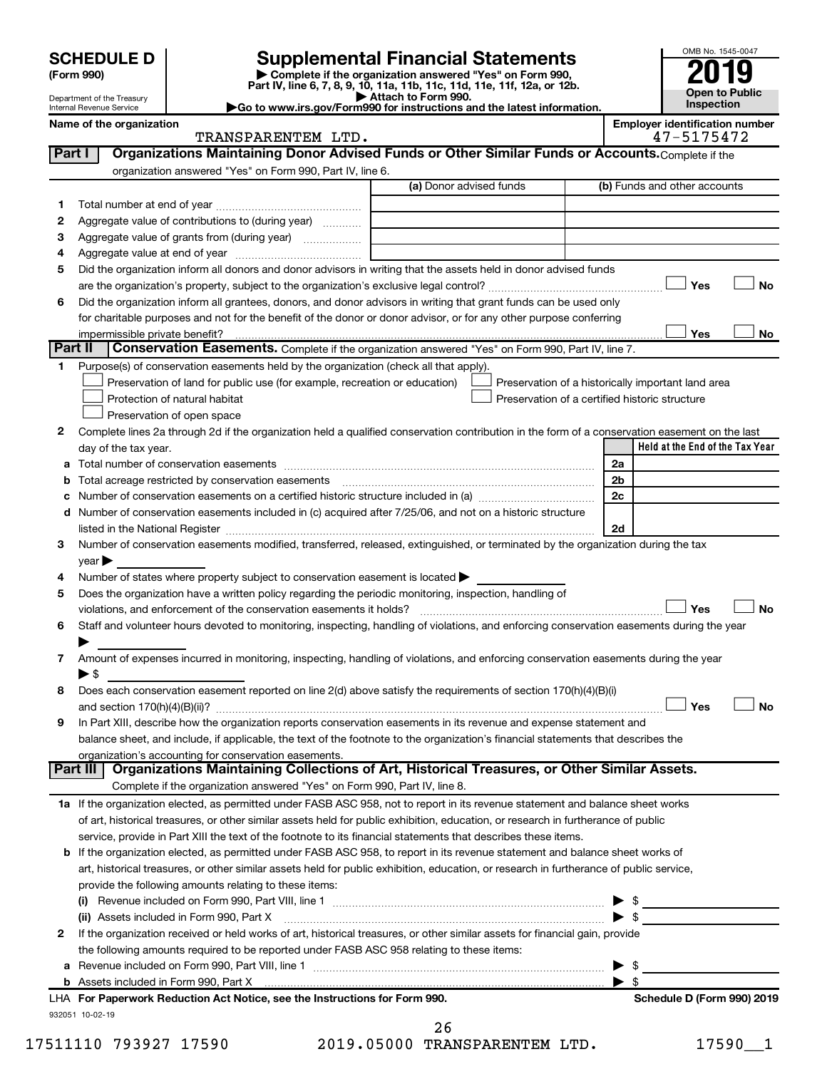| <b>SCHEDULE D</b> |  |
|-------------------|--|
|-------------------|--|

| (Form 990) |  |
|------------|--|
|------------|--|

# **SCHEDULE D Supplemental Financial Statements**<br> **Form 990 2019**<br> **Part IV** line 6.7.8.9.10, 11a, 11b, 11d, 11d, 11d, 11d, 11d, 12a, 0r, 12b

**(Form 990) | Complete if the organization answered "Yes" on Form 990, Part IV, line 6, 7, 8, 9, 10, 11a, 11b, 11c, 11d, 11e, 11f, 12a, or 12b.**

**| Attach to Form 990. |Go to www.irs.gov/Form990 for instructions and the latest information.**



Department of the Treasury Internal Revenue Service **Name of the organization <b>Employer is a set of the organization Employer in the organization Employer is a set of the organization Employer in the organization Employer is a set of the organization Employer in t** 

| mployer identification number |                                                                                                                                                                                                                                                                                                                    |  |  |
|-------------------------------|--------------------------------------------------------------------------------------------------------------------------------------------------------------------------------------------------------------------------------------------------------------------------------------------------------------------|--|--|
|                               | $\sqrt{2}$ $\sqrt{2}$ $\sqrt{2}$ $\sqrt{2}$ $\sqrt{2}$ $\sqrt{2}$ $\sqrt{2}$ $\sqrt{2}$ $\sqrt{2}$ $\sqrt{2}$ $\sqrt{2}$ $\sqrt{2}$ $\sqrt{2}$ $\sqrt{2}$ $\sqrt{2}$ $\sqrt{2}$ $\sqrt{2}$ $\sqrt{2}$ $\sqrt{2}$ $\sqrt{2}$ $\sqrt{2}$ $\sqrt{2}$ $\sqrt{2}$ $\sqrt{2}$ $\sqrt{2}$ $\sqrt{2}$ $\sqrt{2}$ $\sqrt{2$ |  |  |

|        | TRANSPARENTEM LTD.                                                                                                                                                                                                            |                         | 47-5175472                                         |
|--------|-------------------------------------------------------------------------------------------------------------------------------------------------------------------------------------------------------------------------------|-------------------------|----------------------------------------------------|
| Part I | Organizations Maintaining Donor Advised Funds or Other Similar Funds or Accounts. Complete if the                                                                                                                             |                         |                                                    |
|        | organization answered "Yes" on Form 990, Part IV, line 6.                                                                                                                                                                     |                         |                                                    |
|        | (a) Donor advised funds                                                                                                                                                                                                       |                         | (b) Funds and other accounts                       |
| 1.     |                                                                                                                                                                                                                               |                         |                                                    |
| 2      | Aggregate value of contributions to (during year)                                                                                                                                                                             |                         |                                                    |
| з      | Aggregate value of grants from (during year)                                                                                                                                                                                  |                         |                                                    |
| 4      |                                                                                                                                                                                                                               |                         |                                                    |
| 5      | Did the organization inform all donors and donor advisors in writing that the assets held in donor advised funds                                                                                                              |                         |                                                    |
|        |                                                                                                                                                                                                                               |                         | Yes<br>No                                          |
| 6      | Did the organization inform all grantees, donors, and donor advisors in writing that grant funds can be used only                                                                                                             |                         |                                                    |
|        | for charitable purposes and not for the benefit of the donor or donor advisor, or for any other purpose conferring                                                                                                            |                         |                                                    |
|        | impermissible private benefit?                                                                                                                                                                                                |                         | Yes<br>No                                          |
|        | Part II<br>Conservation Easements. Complete if the organization answered "Yes" on Form 990, Part IV, line 7.                                                                                                                  |                         |                                                    |
|        | 1 Purpose(s) of conservation easements held by the organization (check all that apply).                                                                                                                                       |                         |                                                    |
|        |                                                                                                                                                                                                                               |                         |                                                    |
|        | Preservation of land for public use (for example, recreation or education)<br>Protection of natural habitat<br>Preservation of a certified historic structure                                                                 |                         | Preservation of a historically important land area |
|        |                                                                                                                                                                                                                               |                         |                                                    |
|        | Preservation of open space                                                                                                                                                                                                    |                         |                                                    |
| 2      | Complete lines 2a through 2d if the organization held a qualified conservation contribution in the form of a conservation easement on the last                                                                                |                         |                                                    |
|        | day of the tax year.                                                                                                                                                                                                          |                         | Held at the End of the Tax Year                    |
|        |                                                                                                                                                                                                                               | 2a                      |                                                    |
|        | <b>b</b> Total acreage restricted by conservation easements                                                                                                                                                                   | 2b                      |                                                    |
|        | c Number of conservation easements on a certified historic structure included in (a) manufacture included in (a)                                                                                                              | 2c                      |                                                    |
|        | d Number of conservation easements included in (c) acquired after 7/25/06, and not on a historic structure                                                                                                                    |                         |                                                    |
|        | listed in the National Register [111] Marshall Register [11] Marshall Register [11] Marshall Register [11] Marshall Register [11] Marshall Register [11] Marshall Register [11] Marshall Register [11] Marshall Register [11] | 2d                      |                                                    |
| 3      | Number of conservation easements modified, transferred, released, extinguished, or terminated by the organization during the tax                                                                                              |                         |                                                    |
|        | $year \blacktriangleright$                                                                                                                                                                                                    |                         |                                                    |
| 4      | Number of states where property subject to conservation easement is located >                                                                                                                                                 |                         |                                                    |
| 5      | Does the organization have a written policy regarding the periodic monitoring, inspection, handling of                                                                                                                        |                         |                                                    |
|        | violations, and enforcement of the conservation easements it holds?                                                                                                                                                           |                         | Yes<br>No                                          |
| 6      | Staff and volunteer hours devoted to monitoring, inspecting, handling of violations, and enforcing conservation easements during the year                                                                                     |                         |                                                    |
|        |                                                                                                                                                                                                                               |                         |                                                    |
| 7      | Amount of expenses incurred in monitoring, inspecting, handling of violations, and enforcing conservation easements during the year                                                                                           |                         |                                                    |
|        | $\blacktriangleright$ \$                                                                                                                                                                                                      |                         |                                                    |
| 8      | Does each conservation easement reported on line 2(d) above satisfy the requirements of section 170(h)(4)(B)(i)                                                                                                               |                         |                                                    |
|        |                                                                                                                                                                                                                               |                         | Yes<br><b>No</b>                                   |
| 9      | In Part XIII, describe how the organization reports conservation easements in its revenue and expense statement and                                                                                                           |                         |                                                    |
|        | balance sheet, and include, if applicable, the text of the footnote to the organization's financial statements that describes the                                                                                             |                         |                                                    |
|        | organization's accounting for conservation easements.                                                                                                                                                                         |                         |                                                    |
|        | Organizations Maintaining Collections of Art, Historical Treasures, or Other Similar Assets.<br>Part III                                                                                                                      |                         |                                                    |
|        | Complete if the organization answered "Yes" on Form 990, Part IV, line 8.                                                                                                                                                     |                         |                                                    |
|        | 1a If the organization elected, as permitted under FASB ASC 958, not to report in its revenue statement and balance sheet works                                                                                               |                         |                                                    |
|        | of art, historical treasures, or other similar assets held for public exhibition, education, or research in furtherance of public                                                                                             |                         |                                                    |
|        | service, provide in Part XIII the text of the footnote to its financial statements that describes these items.                                                                                                                |                         |                                                    |
|        | <b>b</b> If the organization elected, as permitted under FASB ASC 958, to report in its revenue statement and balance sheet works of                                                                                          |                         |                                                    |
|        | art, historical treasures, or other similar assets held for public exhibition, education, or research in furtherance of public service,                                                                                       |                         |                                                    |
|        | provide the following amounts relating to these items:                                                                                                                                                                        |                         |                                                    |
|        |                                                                                                                                                                                                                               |                         |                                                    |
|        | (ii) Assets included in Form 990, Part X                                                                                                                                                                                      | $\blacktriangleright$ s |                                                    |
| 2      | If the organization received or held works of art, historical treasures, or other similar assets for financial gain, provide                                                                                                  |                         |                                                    |
|        | the following amounts required to be reported under FASB ASC 958 relating to these items:                                                                                                                                     |                         |                                                    |
|        |                                                                                                                                                                                                                               |                         | \$                                                 |
|        |                                                                                                                                                                                                                               | ▶                       | - \$                                               |
|        | LHA For Paperwork Reduction Act Notice, see the Instructions for Form 990.                                                                                                                                                    |                         | Schedule D (Form 990) 2019                         |
|        | 932051 10-02-19                                                                                                                                                                                                               |                         |                                                    |
|        |                                                                                                                                                                                                                               |                         |                                                    |

| 17511110 793927 17590 |  | 2019.05000 TRANSPARENTEM LTD. | 17590 |  |
|-----------------------|--|-------------------------------|-------|--|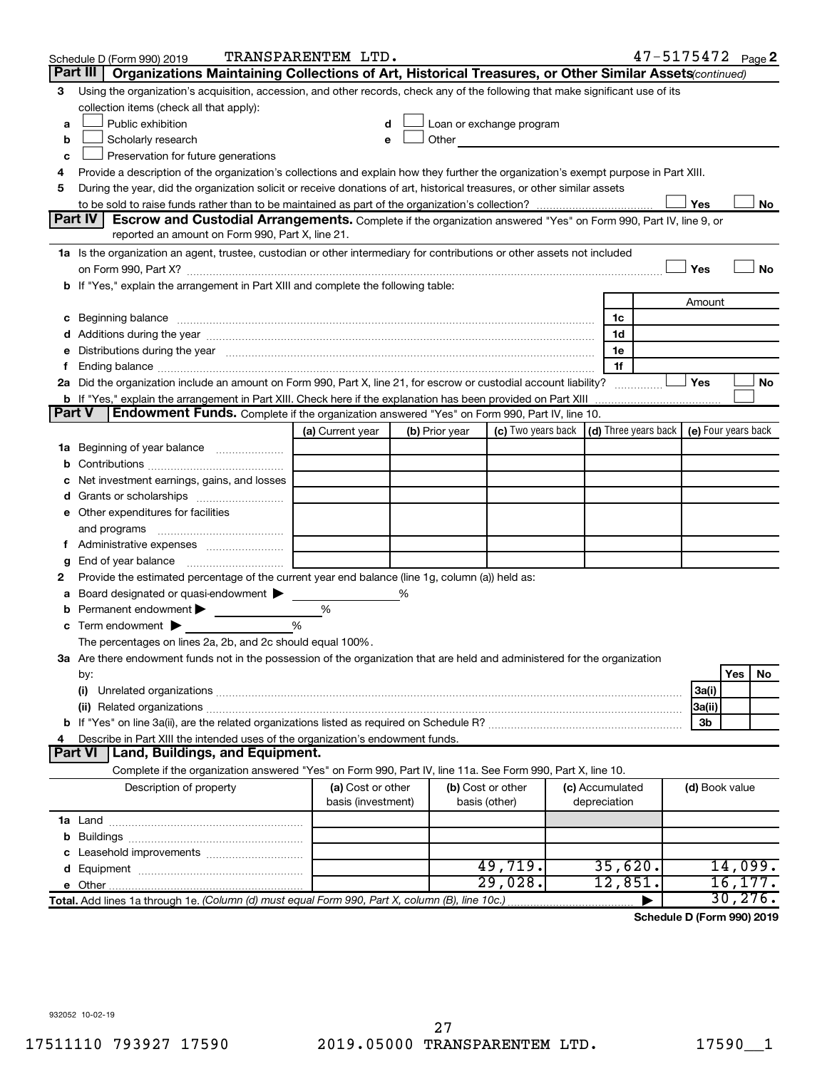|               | Schedule D (Form 990) 2019                                                                                                                                                                                                          | TRANSPARENTEM LTD.                      |   |                |                                                                                                                                                                                                                               |                                 | 47-5175472 Page 2 |                |          |    |
|---------------|-------------------------------------------------------------------------------------------------------------------------------------------------------------------------------------------------------------------------------------|-----------------------------------------|---|----------------|-------------------------------------------------------------------------------------------------------------------------------------------------------------------------------------------------------------------------------|---------------------------------|-------------------|----------------|----------|----|
|               | Part III<br>Organizations Maintaining Collections of Art, Historical Treasures, or Other Similar Assets (continued)                                                                                                                 |                                         |   |                |                                                                                                                                                                                                                               |                                 |                   |                |          |    |
| 3             | Using the organization's acquisition, accession, and other records, check any of the following that make significant use of its                                                                                                     |                                         |   |                |                                                                                                                                                                                                                               |                                 |                   |                |          |    |
|               | collection items (check all that apply):                                                                                                                                                                                            |                                         |   |                |                                                                                                                                                                                                                               |                                 |                   |                |          |    |
| a             | Public exhibition                                                                                                                                                                                                                   |                                         |   |                | Loan or exchange program                                                                                                                                                                                                      |                                 |                   |                |          |    |
| b             | Scholarly research                                                                                                                                                                                                                  |                                         |   |                | Other and the contract of the contract of the contract of the contract of the contract of the contract of the contract of the contract of the contract of the contract of the contract of the contract of the contract of the |                                 |                   |                |          |    |
| с             | Preservation for future generations                                                                                                                                                                                                 |                                         |   |                |                                                                                                                                                                                                                               |                                 |                   |                |          |    |
| 4             | Provide a description of the organization's collections and explain how they further the organization's exempt purpose in Part XIII.                                                                                                |                                         |   |                |                                                                                                                                                                                                                               |                                 |                   |                |          |    |
| 5             | During the year, did the organization solicit or receive donations of art, historical treasures, or other similar assets                                                                                                            |                                         |   |                |                                                                                                                                                                                                                               |                                 |                   |                |          |    |
|               | Part IV                                                                                                                                                                                                                             |                                         |   |                |                                                                                                                                                                                                                               |                                 |                   | Yes            |          | No |
|               | <b>Escrow and Custodial Arrangements.</b> Complete if the organization answered "Yes" on Form 990, Part IV, line 9, or<br>reported an amount on Form 990, Part X, line 21.                                                          |                                         |   |                |                                                                                                                                                                                                                               |                                 |                   |                |          |    |
|               | 1a Is the organization an agent, trustee, custodian or other intermediary for contributions or other assets not included                                                                                                            |                                         |   |                |                                                                                                                                                                                                                               |                                 |                   |                |          |    |
|               |                                                                                                                                                                                                                                     |                                         |   |                |                                                                                                                                                                                                                               |                                 |                   | Yes            |          | No |
|               | b If "Yes," explain the arrangement in Part XIII and complete the following table:                                                                                                                                                  |                                         |   |                |                                                                                                                                                                                                                               |                                 |                   |                |          |    |
|               |                                                                                                                                                                                                                                     |                                         |   |                |                                                                                                                                                                                                                               |                                 |                   | Amount         |          |    |
|               | c Beginning balance <b>communications</b> and a construction of the construction of the construction of the construction of the construction of the construction of the construction of the construction of the construction of the |                                         |   |                |                                                                                                                                                                                                                               | 1c                              |                   |                |          |    |
|               |                                                                                                                                                                                                                                     |                                         |   |                |                                                                                                                                                                                                                               | 1d                              |                   |                |          |    |
|               | e Distributions during the year manufactured and continuum control of the control of the control of the state of the state of the control of the control of the control of the control of the control of the control of the co      |                                         |   |                |                                                                                                                                                                                                                               | 1е                              |                   |                |          |    |
| Ť.            |                                                                                                                                                                                                                                     |                                         |   |                |                                                                                                                                                                                                                               | 1f                              |                   |                |          |    |
|               | 2a Did the organization include an amount on Form 990, Part X, line 21, for escrow or custodial account liability?                                                                                                                  |                                         |   |                |                                                                                                                                                                                                                               |                                 |                   | Yes            |          | No |
|               |                                                                                                                                                                                                                                     |                                         |   |                |                                                                                                                                                                                                                               |                                 |                   |                |          |    |
| <b>Part V</b> | <b>Endowment Funds.</b> Complete if the organization answered "Yes" on Form 990, Part IV, line 10.                                                                                                                                  |                                         |   |                |                                                                                                                                                                                                                               |                                 |                   |                |          |    |
|               |                                                                                                                                                                                                                                     | (a) Current year                        |   | (b) Prior year | (c) Two years back $\vert$ (d) Three years back $\vert$ (e) Four years back                                                                                                                                                   |                                 |                   |                |          |    |
|               | 1a Beginning of year balance                                                                                                                                                                                                        |                                         |   |                |                                                                                                                                                                                                                               |                                 |                   |                |          |    |
| b             |                                                                                                                                                                                                                                     |                                         |   |                |                                                                                                                                                                                                                               |                                 |                   |                |          |    |
|               | Net investment earnings, gains, and losses                                                                                                                                                                                          |                                         |   |                |                                                                                                                                                                                                                               |                                 |                   |                |          |    |
|               | Grants or scholarships                                                                                                                                                                                                              |                                         |   |                |                                                                                                                                                                                                                               |                                 |                   |                |          |    |
|               | e Other expenditures for facilities                                                                                                                                                                                                 |                                         |   |                |                                                                                                                                                                                                                               |                                 |                   |                |          |    |
|               | and programs                                                                                                                                                                                                                        |                                         |   |                |                                                                                                                                                                                                                               |                                 |                   |                |          |    |
|               |                                                                                                                                                                                                                                     |                                         |   |                |                                                                                                                                                                                                                               |                                 |                   |                |          |    |
| g<br>2        | Provide the estimated percentage of the current year end balance (line 1g, column (a)) held as:                                                                                                                                     |                                         |   |                |                                                                                                                                                                                                                               |                                 |                   |                |          |    |
| а             | Board designated or quasi-endowment >                                                                                                                                                                                               |                                         | % |                |                                                                                                                                                                                                                               |                                 |                   |                |          |    |
| b             | Permanent endowment                                                                                                                                                                                                                 | %                                       |   |                |                                                                                                                                                                                                                               |                                 |                   |                |          |    |
|               | $\mathbf c$ Term endowment $\blacktriangleright$                                                                                                                                                                                    | %                                       |   |                |                                                                                                                                                                                                                               |                                 |                   |                |          |    |
|               | The percentages on lines 2a, 2b, and 2c should equal 100%.                                                                                                                                                                          |                                         |   |                |                                                                                                                                                                                                                               |                                 |                   |                |          |    |
|               | 3a Are there endowment funds not in the possession of the organization that are held and administered for the organization                                                                                                          |                                         |   |                |                                                                                                                                                                                                                               |                                 |                   |                |          |    |
|               | by:                                                                                                                                                                                                                                 |                                         |   |                |                                                                                                                                                                                                                               |                                 |                   |                | Yes      | No |
|               | (i)                                                                                                                                                                                                                                 |                                         |   |                |                                                                                                                                                                                                                               |                                 |                   | 3a(i)          |          |    |
|               |                                                                                                                                                                                                                                     |                                         |   |                |                                                                                                                                                                                                                               |                                 |                   | 3a(ii)         |          |    |
|               |                                                                                                                                                                                                                                     |                                         |   |                |                                                                                                                                                                                                                               |                                 |                   | 3b             |          |    |
| 4             | Describe in Part XIII the intended uses of the organization's endowment funds.                                                                                                                                                      |                                         |   |                |                                                                                                                                                                                                                               |                                 |                   |                |          |    |
|               | <b>Part VI</b><br>Land, Buildings, and Equipment.                                                                                                                                                                                   |                                         |   |                |                                                                                                                                                                                                                               |                                 |                   |                |          |    |
|               | Complete if the organization answered "Yes" on Form 990, Part IV, line 11a. See Form 990, Part X, line 10.                                                                                                                          |                                         |   |                |                                                                                                                                                                                                                               |                                 |                   |                |          |    |
|               | Description of property                                                                                                                                                                                                             | (a) Cost or other<br>basis (investment) |   | basis (other)  | (b) Cost or other                                                                                                                                                                                                             | (c) Accumulated<br>depreciation |                   | (d) Book value |          |    |
|               |                                                                                                                                                                                                                                     |                                         |   |                |                                                                                                                                                                                                                               |                                 |                   |                |          |    |
| b             |                                                                                                                                                                                                                                     |                                         |   |                |                                                                                                                                                                                                                               |                                 |                   |                |          |    |
| с             |                                                                                                                                                                                                                                     |                                         |   |                |                                                                                                                                                                                                                               |                                 |                   |                |          |    |
|               |                                                                                                                                                                                                                                     |                                         |   |                | 49,719.                                                                                                                                                                                                                       | 35,620.                         |                   |                | 14,099.  |    |
|               |                                                                                                                                                                                                                                     |                                         |   |                | 29,028.                                                                                                                                                                                                                       | 12,851.                         |                   |                | 16, 177. |    |
|               | Total. Add lines 1a through 1e. (Column (d) must equal Form 990, Part X, column (B), line 10c.)                                                                                                                                     |                                         |   |                |                                                                                                                                                                                                                               |                                 |                   |                | 30, 276. |    |

**Schedule D (Form 990) 2019**

932052 10-02-19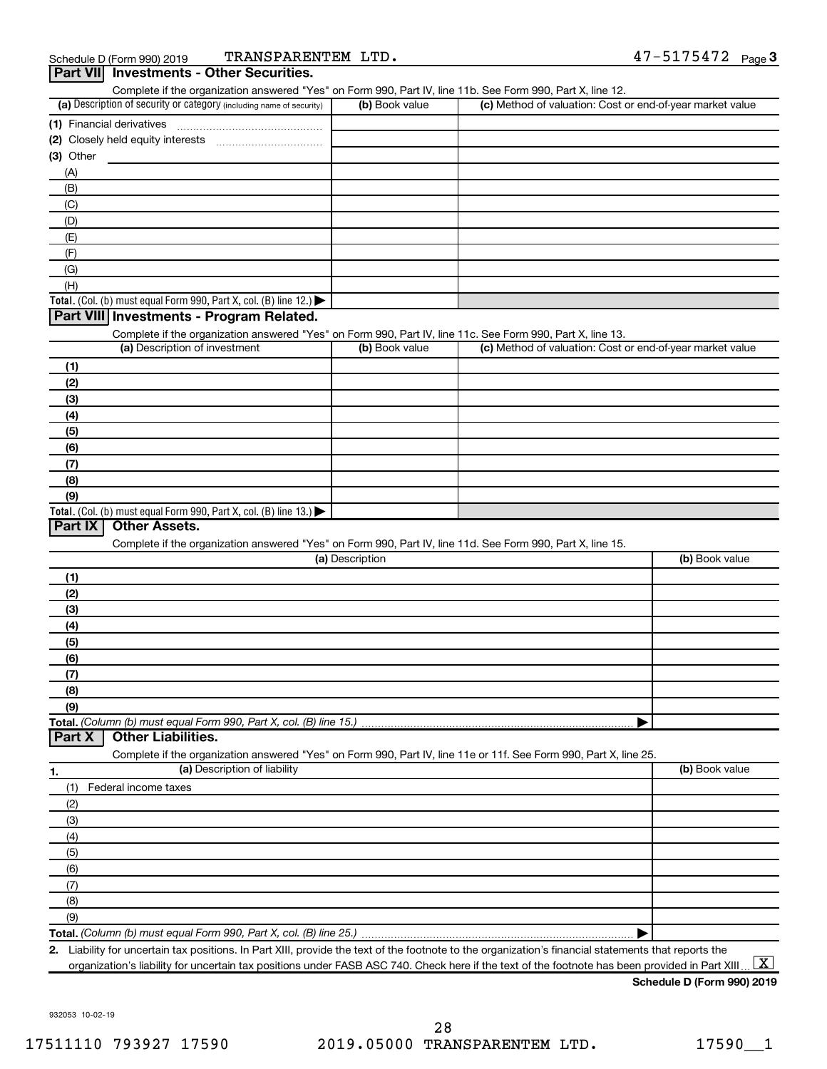| (a) Description of security or category (including name of security)                                              | (b) Book value  | (c) Method of valuation: Cost or end-of-year market value |                |
|-------------------------------------------------------------------------------------------------------------------|-----------------|-----------------------------------------------------------|----------------|
| (1) Financial derivatives                                                                                         |                 |                                                           |                |
|                                                                                                                   |                 |                                                           |                |
| (3) Other                                                                                                         |                 |                                                           |                |
| (A)                                                                                                               |                 |                                                           |                |
| (B)                                                                                                               |                 |                                                           |                |
| (C)                                                                                                               |                 |                                                           |                |
|                                                                                                                   |                 |                                                           |                |
| (D)                                                                                                               |                 |                                                           |                |
| (E)                                                                                                               |                 |                                                           |                |
| (F)                                                                                                               |                 |                                                           |                |
| (G)                                                                                                               |                 |                                                           |                |
| (H)                                                                                                               |                 |                                                           |                |
| Total. (Col. (b) must equal Form 990, Part X, col. (B) line 12.)                                                  |                 |                                                           |                |
| Part VIII Investments - Program Related.                                                                          |                 |                                                           |                |
| Complete if the organization answered "Yes" on Form 990, Part IV, line 11c. See Form 990, Part X, line 13.        |                 |                                                           |                |
| (a) Description of investment                                                                                     | (b) Book value  | (c) Method of valuation: Cost or end-of-year market value |                |
| (1)                                                                                                               |                 |                                                           |                |
| (2)                                                                                                               |                 |                                                           |                |
| (3)                                                                                                               |                 |                                                           |                |
| (4)                                                                                                               |                 |                                                           |                |
| (5)                                                                                                               |                 |                                                           |                |
|                                                                                                                   |                 |                                                           |                |
| (6)                                                                                                               |                 |                                                           |                |
| (7)                                                                                                               |                 |                                                           |                |
| (8)                                                                                                               |                 |                                                           |                |
| (9)<br>Total. (Col. (b) must equal Form 990, Part X, col. (B) line 13.) $\blacktriangleright$                     |                 |                                                           |                |
| Complete if the organization answered "Yes" on Form 990, Part IV, line 11d. See Form 990, Part X, line 15.        | (a) Description |                                                           | (b) Book value |
| (1)                                                                                                               |                 |                                                           |                |
| (2)                                                                                                               |                 |                                                           |                |
| (3)                                                                                                               |                 |                                                           |                |
| (4)                                                                                                               |                 |                                                           |                |
| (5)                                                                                                               |                 |                                                           |                |
| (6)                                                                                                               |                 |                                                           |                |
| (7)                                                                                                               |                 |                                                           |                |
|                                                                                                                   |                 |                                                           |                |
| (8)                                                                                                               |                 |                                                           |                |
| (9)                                                                                                               |                 |                                                           |                |
|                                                                                                                   |                 |                                                           |                |
| <b>Other Liabilities.</b><br>Part X                                                                               |                 |                                                           |                |
| Complete if the organization answered "Yes" on Form 990, Part IV, line 11e or 11f. See Form 990, Part X, line 25. |                 |                                                           |                |
| (a) Description of liability<br>1.                                                                                |                 |                                                           | (b) Book value |
| Federal income taxes<br>(1)                                                                                       |                 |                                                           |                |
| (2)                                                                                                               |                 |                                                           |                |
| (3)                                                                                                               |                 |                                                           |                |
| (4)                                                                                                               |                 |                                                           |                |
| (5)                                                                                                               |                 |                                                           |                |
| (6)                                                                                                               |                 |                                                           |                |
| (7)                                                                                                               |                 |                                                           |                |
|                                                                                                                   |                 |                                                           |                |
| (8)                                                                                                               |                 |                                                           |                |
| (9)                                                                                                               |                 |                                                           |                |
|                                                                                                                   |                 | ▶                                                         |                |

Complete if the organization answered "Yes" on Form 990, Part IV, line 11b. See Form 990, Part X, line 12.

**2.** Liability for uncertain tax positions. In Part XIII, provide the text of the footnote to the organization's financial statements that reports the organization's liability for uncertain tax positions under FASB ASC 740. Check here if the text of the footnote has been provided in Part XIII ...  $\fbox{\bf X}$ 

**Schedule D (Form 990) 2019**

932053 10-02-19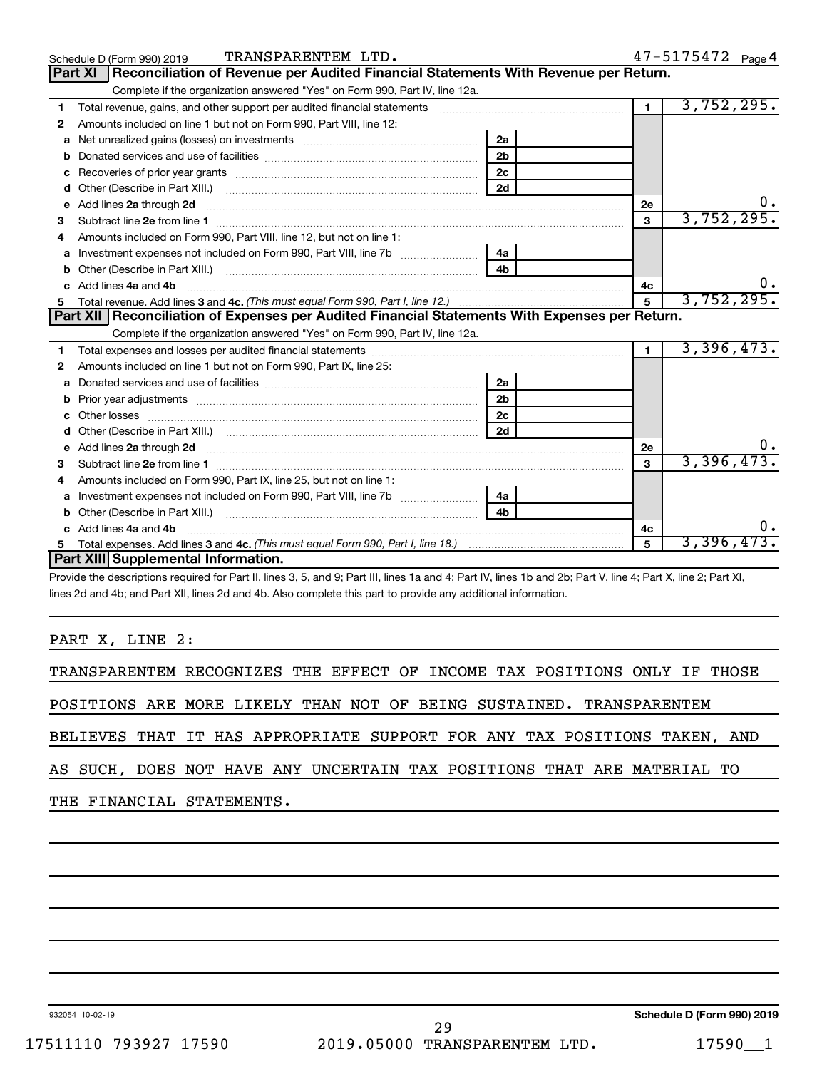|    | TRANSPARENTEM LTD.<br>Schedule D (Form 990) 2019                                                                                                                                                                                                   |                |                 | 47-5175472 Page 4 |
|----|----------------------------------------------------------------------------------------------------------------------------------------------------------------------------------------------------------------------------------------------------|----------------|-----------------|-------------------|
|    | <b>Reconciliation of Revenue per Audited Financial Statements With Revenue per Return.</b><br>Part XI                                                                                                                                              |                |                 |                   |
|    | Complete if the organization answered "Yes" on Form 990, Part IV, line 12a.                                                                                                                                                                        |                |                 |                   |
| 1  | Total revenue, gains, and other support per audited financial statements [11] [11] Total revenue, gains, and other support per audited financial statements                                                                                        |                | 1 <sup>1</sup>  | 3,752,295.        |
| 2  | Amounts included on line 1 but not on Form 990, Part VIII, line 12:                                                                                                                                                                                |                |                 |                   |
| a  |                                                                                                                                                                                                                                                    | 2a             |                 |                   |
| b  |                                                                                                                                                                                                                                                    | 2 <sub>b</sub> |                 |                   |
| c  |                                                                                                                                                                                                                                                    | 2 <sub>c</sub> |                 |                   |
| d  |                                                                                                                                                                                                                                                    | 2d             |                 |                   |
| е  | Add lines 2a through 2d <b>continuum continuum contracts</b> and an analysis of the contract of the contract of the contract of the contract of the contract of the contract of the contract of the contract of the contract of the                |                | 2e              |                   |
| 3  |                                                                                                                                                                                                                                                    |                | $\mathbf{3}$    | 3,752,295.        |
|    | Amounts included on Form 990, Part VIII, line 12, but not on line 1:                                                                                                                                                                               |                |                 |                   |
|    |                                                                                                                                                                                                                                                    | 4a             |                 |                   |
|    |                                                                                                                                                                                                                                                    | 4 <sub>b</sub> |                 |                   |
|    | Add lines 4a and 4b                                                                                                                                                                                                                                |                | 4c              |                   |
| 5  |                                                                                                                                                                                                                                                    |                | $5\overline{5}$ | 3,752,295.        |
|    |                                                                                                                                                                                                                                                    |                |                 |                   |
|    | Part XII   Reconciliation of Expenses per Audited Financial Statements With Expenses per Return.                                                                                                                                                   |                |                 |                   |
|    | Complete if the organization answered "Yes" on Form 990, Part IV, line 12a.                                                                                                                                                                        |                |                 |                   |
| 1. |                                                                                                                                                                                                                                                    |                | $\blacksquare$  | 3,396,473.        |
| 2  | Amounts included on line 1 but not on Form 990, Part IX, line 25:                                                                                                                                                                                  |                |                 |                   |
| a  |                                                                                                                                                                                                                                                    | 2a             |                 |                   |
| b  |                                                                                                                                                                                                                                                    | 2 <sub>b</sub> |                 |                   |
|    |                                                                                                                                                                                                                                                    | 2c             |                 |                   |
|    |                                                                                                                                                                                                                                                    | 2d             |                 |                   |
|    | e Add lines 2a through 2d <b>[10]</b> [10] <b>All the Contract of Add lines 2a</b> through 2d <b>[10] All the Contract of Add lines 2a</b> through 2d <b>[10] All the Contract of Add lines 2a</b> through 2d <b>[10] All the Contract of Addi</b> |                | 2e              |                   |
| 3  |                                                                                                                                                                                                                                                    |                | 3               | 3,396,473         |
| 4  | Amounts included on Form 990, Part IX, line 25, but not on line 1:                                                                                                                                                                                 |                |                 |                   |
| a  |                                                                                                                                                                                                                                                    | 4a             |                 |                   |
|    |                                                                                                                                                                                                                                                    | 4h.            |                 |                   |
|    | c Add lines 4a and 4b                                                                                                                                                                                                                              |                | 4c              |                   |
|    | Part XIII Supplemental Information.                                                                                                                                                                                                                |                | 5               | 3,396,473.        |

Provide the descriptions required for Part II, lines 3, 5, and 9; Part III, lines 1a and 4; Part IV, lines 1b and 2b; Part V, line 4; Part X, line 2; Part XI, lines 2d and 4b; and Part XII, lines 2d and 4b. Also complete this part to provide any additional information.

#### PART X, LINE 2:

TRANSPARENTEM RECOGNIZES THE EFFECT OF INCOME TAX POSITIONS ONLY IF THOSE

POSITIONS ARE MORE LIKELY THAN NOT OF BEING SUSTAINED. TRANSPARENTEM

BELIEVES THAT IT HAS APPROPRIATE SUPPORT FOR ANY TAX POSITIONS TAKEN, AND

AS SUCH, DOES NOT HAVE ANY UNCERTAIN TAX POSITIONS THAT ARE MATERIAL TO

### THE FINANCIAL STATEMENTS.

932054 10-02-19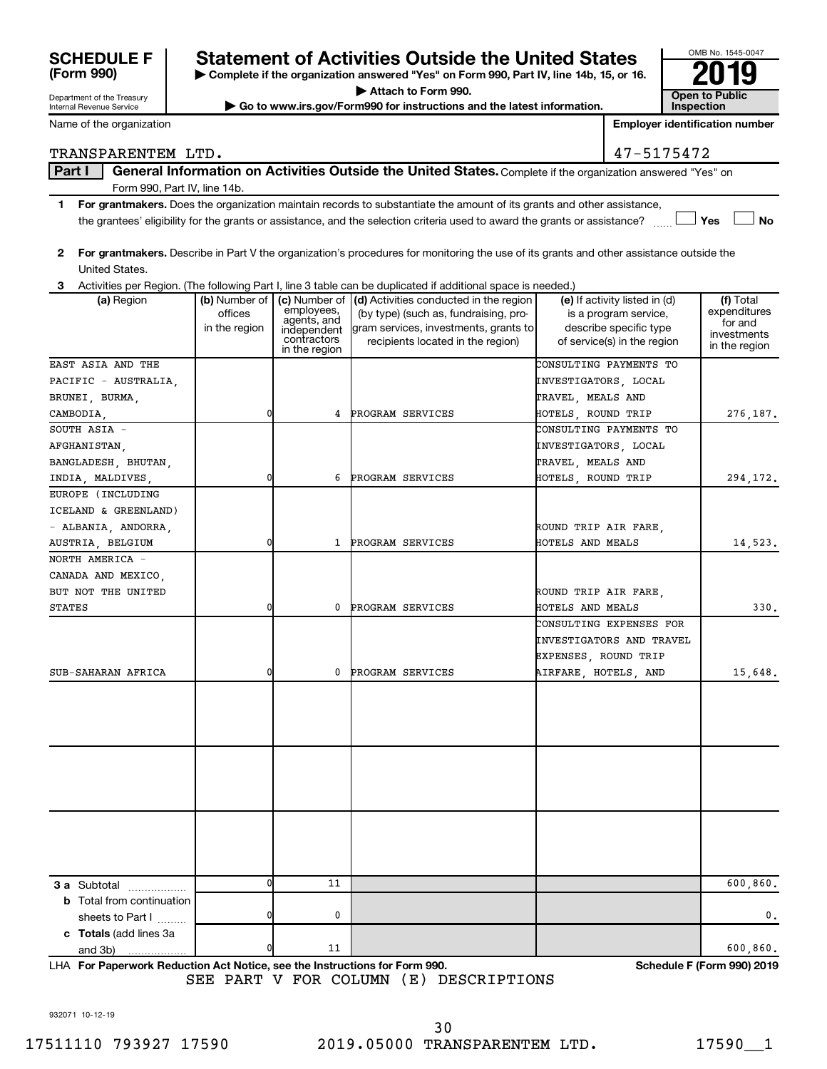| <b>SCHEDULE F</b> |  |
|-------------------|--|
| (Form 990)        |  |

Department of the Treasury Internal Revenue Service

Name of the organization

## **Statement of Activities Outside the United States**

**| Complete if the organization answered "Yes" on Form 990, Part IV, line 14b, 15, or 16. | Attach to Form 990.**

▶ Go to www.irs.gov/Form990 for instructions and the latest information.

| OMB No. 1545-0047                   |
|-------------------------------------|
|                                     |
| <b>Open to Public</b><br>Inspection |

TRANSPARENTEM LTD.

**Employer identification number**

| Λ<br>┓ |  | 7547<br>⌒ |
|--------|--|-----------|

### Part I | General Information on Activities Outside the United States. Complete if the organization answered "Yes" on Form 990, Part IV, line 14b.

- **1 For grantmakers.**  Does the organization maintain records to substantiate the amount of its grants and other assistance,  $\Box$  Yes  $\Box$  No the grantees' eligibility for the grants or assistance, and the selection criteria used to award the grants or assistance?
- **2 For grantmakers.**  Describe in Part V the organization's procedures for monitoring the use of its grants and other assistance outside the United States.

**3** Activities per Region. (The following Part I, line 3 table can be duplicated if additional space is needed.)

| EAST ASIA AND THE<br>CONSULTING PAYMENTS TO<br>PACIFIC - AUSTRALIA,<br>INVESTIGATORS, LOCAL<br>TRAVEL, MEALS AND<br>BRUNEI, BURMA,<br>0<br>PROGRAM SERVICES<br>HOTELS, ROUND TRIP<br>CAMBODIA,<br>4<br>SOUTH ASIA -<br>CONSULTING PAYMENTS TO<br>AFGHANISTAN,<br>INVESTIGATORS, LOCAL<br>TRAVEL, MEALS AND<br>BANGLADESH, BHUTAN,<br>0<br>PROGRAM SERVICES<br>HOTELS, ROUND TRIP<br>INDIA, MALDIVES,<br>6<br>EUROPE (INCLUDING<br>ICELAND & GREENLAND)<br>- ALBANIA, ANDORRA,<br>ROUND TRIP AIR FARE,<br>1 PROGRAM SERVICES<br>HOTELS AND MEALS<br>AUSTRIA, BELGIUM<br>0<br>NORTH AMERICA -<br>CANADA AND MEXICO,<br>BUT NOT THE UNITED<br>ROUND TRIP AIR FARE,<br>PROGRAM SERVICES<br><b>STATES</b><br>0<br>0<br>HOTELS AND MEALS<br>CONSULTING EXPENSES FOR<br>INVESTIGATORS AND TRAVEL<br>EXPENSES, ROUND TRIP<br>15,648.<br>SUB-SAHARAN AFRICA<br>0<br>PROGRAM SERVICES<br>AIRFARE, HOTELS, AND<br>0<br>0<br>11<br><b>3 a</b> Subtotal<br><b>b</b> Total from continuation<br>$\mathbf{0}$<br>0<br>sheets to Part I<br>c Totals (add lines 3a<br>0<br>11<br>and 3b)<br>. | (a) Region | (b) Number of $ $<br>offices<br>in the region | employees,<br>agents, and<br>independent<br>contractors<br>in the region | (c) Number of $\vert$ (d) Activities conducted in the region<br>(by type) (such as, fundraising, pro-<br>gram services, investments, grants to<br>recipients located in the region) | (e) If activity listed in (d)<br>is a program service,<br>describe specific type<br>of service(s) in the region | (f) Total<br>expenditures<br>for and<br>investments<br>in the region |
|------------------------------------------------------------------------------------------------------------------------------------------------------------------------------------------------------------------------------------------------------------------------------------------------------------------------------------------------------------------------------------------------------------------------------------------------------------------------------------------------------------------------------------------------------------------------------------------------------------------------------------------------------------------------------------------------------------------------------------------------------------------------------------------------------------------------------------------------------------------------------------------------------------------------------------------------------------------------------------------------------------------------------------------------------------------------------|------------|-----------------------------------------------|--------------------------------------------------------------------------|-------------------------------------------------------------------------------------------------------------------------------------------------------------------------------------|-----------------------------------------------------------------------------------------------------------------|----------------------------------------------------------------------|
|                                                                                                                                                                                                                                                                                                                                                                                                                                                                                                                                                                                                                                                                                                                                                                                                                                                                                                                                                                                                                                                                              |            |                                               |                                                                          |                                                                                                                                                                                     |                                                                                                                 |                                                                      |
|                                                                                                                                                                                                                                                                                                                                                                                                                                                                                                                                                                                                                                                                                                                                                                                                                                                                                                                                                                                                                                                                              |            |                                               |                                                                          |                                                                                                                                                                                     |                                                                                                                 |                                                                      |
|                                                                                                                                                                                                                                                                                                                                                                                                                                                                                                                                                                                                                                                                                                                                                                                                                                                                                                                                                                                                                                                                              |            |                                               |                                                                          |                                                                                                                                                                                     |                                                                                                                 |                                                                      |
|                                                                                                                                                                                                                                                                                                                                                                                                                                                                                                                                                                                                                                                                                                                                                                                                                                                                                                                                                                                                                                                                              |            |                                               |                                                                          |                                                                                                                                                                                     |                                                                                                                 | 276,187.                                                             |
|                                                                                                                                                                                                                                                                                                                                                                                                                                                                                                                                                                                                                                                                                                                                                                                                                                                                                                                                                                                                                                                                              |            |                                               |                                                                          |                                                                                                                                                                                     |                                                                                                                 |                                                                      |
|                                                                                                                                                                                                                                                                                                                                                                                                                                                                                                                                                                                                                                                                                                                                                                                                                                                                                                                                                                                                                                                                              |            |                                               |                                                                          |                                                                                                                                                                                     |                                                                                                                 |                                                                      |
|                                                                                                                                                                                                                                                                                                                                                                                                                                                                                                                                                                                                                                                                                                                                                                                                                                                                                                                                                                                                                                                                              |            |                                               |                                                                          |                                                                                                                                                                                     |                                                                                                                 |                                                                      |
|                                                                                                                                                                                                                                                                                                                                                                                                                                                                                                                                                                                                                                                                                                                                                                                                                                                                                                                                                                                                                                                                              |            |                                               |                                                                          |                                                                                                                                                                                     |                                                                                                                 | 294,172.                                                             |
|                                                                                                                                                                                                                                                                                                                                                                                                                                                                                                                                                                                                                                                                                                                                                                                                                                                                                                                                                                                                                                                                              |            |                                               |                                                                          |                                                                                                                                                                                     |                                                                                                                 |                                                                      |
|                                                                                                                                                                                                                                                                                                                                                                                                                                                                                                                                                                                                                                                                                                                                                                                                                                                                                                                                                                                                                                                                              |            |                                               |                                                                          |                                                                                                                                                                                     |                                                                                                                 |                                                                      |
|                                                                                                                                                                                                                                                                                                                                                                                                                                                                                                                                                                                                                                                                                                                                                                                                                                                                                                                                                                                                                                                                              |            |                                               |                                                                          |                                                                                                                                                                                     |                                                                                                                 |                                                                      |
|                                                                                                                                                                                                                                                                                                                                                                                                                                                                                                                                                                                                                                                                                                                                                                                                                                                                                                                                                                                                                                                                              |            |                                               |                                                                          |                                                                                                                                                                                     |                                                                                                                 | 14,523.                                                              |
|                                                                                                                                                                                                                                                                                                                                                                                                                                                                                                                                                                                                                                                                                                                                                                                                                                                                                                                                                                                                                                                                              |            |                                               |                                                                          |                                                                                                                                                                                     |                                                                                                                 |                                                                      |
|                                                                                                                                                                                                                                                                                                                                                                                                                                                                                                                                                                                                                                                                                                                                                                                                                                                                                                                                                                                                                                                                              |            |                                               |                                                                          |                                                                                                                                                                                     |                                                                                                                 |                                                                      |
|                                                                                                                                                                                                                                                                                                                                                                                                                                                                                                                                                                                                                                                                                                                                                                                                                                                                                                                                                                                                                                                                              |            |                                               |                                                                          |                                                                                                                                                                                     |                                                                                                                 |                                                                      |
|                                                                                                                                                                                                                                                                                                                                                                                                                                                                                                                                                                                                                                                                                                                                                                                                                                                                                                                                                                                                                                                                              |            |                                               |                                                                          |                                                                                                                                                                                     |                                                                                                                 | 330.                                                                 |
|                                                                                                                                                                                                                                                                                                                                                                                                                                                                                                                                                                                                                                                                                                                                                                                                                                                                                                                                                                                                                                                                              |            |                                               |                                                                          |                                                                                                                                                                                     |                                                                                                                 |                                                                      |
|                                                                                                                                                                                                                                                                                                                                                                                                                                                                                                                                                                                                                                                                                                                                                                                                                                                                                                                                                                                                                                                                              |            |                                               |                                                                          |                                                                                                                                                                                     |                                                                                                                 |                                                                      |
|                                                                                                                                                                                                                                                                                                                                                                                                                                                                                                                                                                                                                                                                                                                                                                                                                                                                                                                                                                                                                                                                              |            |                                               |                                                                          |                                                                                                                                                                                     |                                                                                                                 |                                                                      |
|                                                                                                                                                                                                                                                                                                                                                                                                                                                                                                                                                                                                                                                                                                                                                                                                                                                                                                                                                                                                                                                                              |            |                                               |                                                                          |                                                                                                                                                                                     |                                                                                                                 |                                                                      |
|                                                                                                                                                                                                                                                                                                                                                                                                                                                                                                                                                                                                                                                                                                                                                                                                                                                                                                                                                                                                                                                                              |            |                                               |                                                                          |                                                                                                                                                                                     |                                                                                                                 |                                                                      |
|                                                                                                                                                                                                                                                                                                                                                                                                                                                                                                                                                                                                                                                                                                                                                                                                                                                                                                                                                                                                                                                                              |            |                                               |                                                                          |                                                                                                                                                                                     |                                                                                                                 | 600,860.<br>0.                                                       |
|                                                                                                                                                                                                                                                                                                                                                                                                                                                                                                                                                                                                                                                                                                                                                                                                                                                                                                                                                                                                                                                                              |            |                                               |                                                                          |                                                                                                                                                                                     |                                                                                                                 | 600,860.                                                             |

**For Paperwork Reduction Act Notice, see the Instructions for Form 990. Schedule F (Form 990) 2019** LHA SEE PART V FOR COLUMN (E) DESCRIPTIONS

932071 10-12-19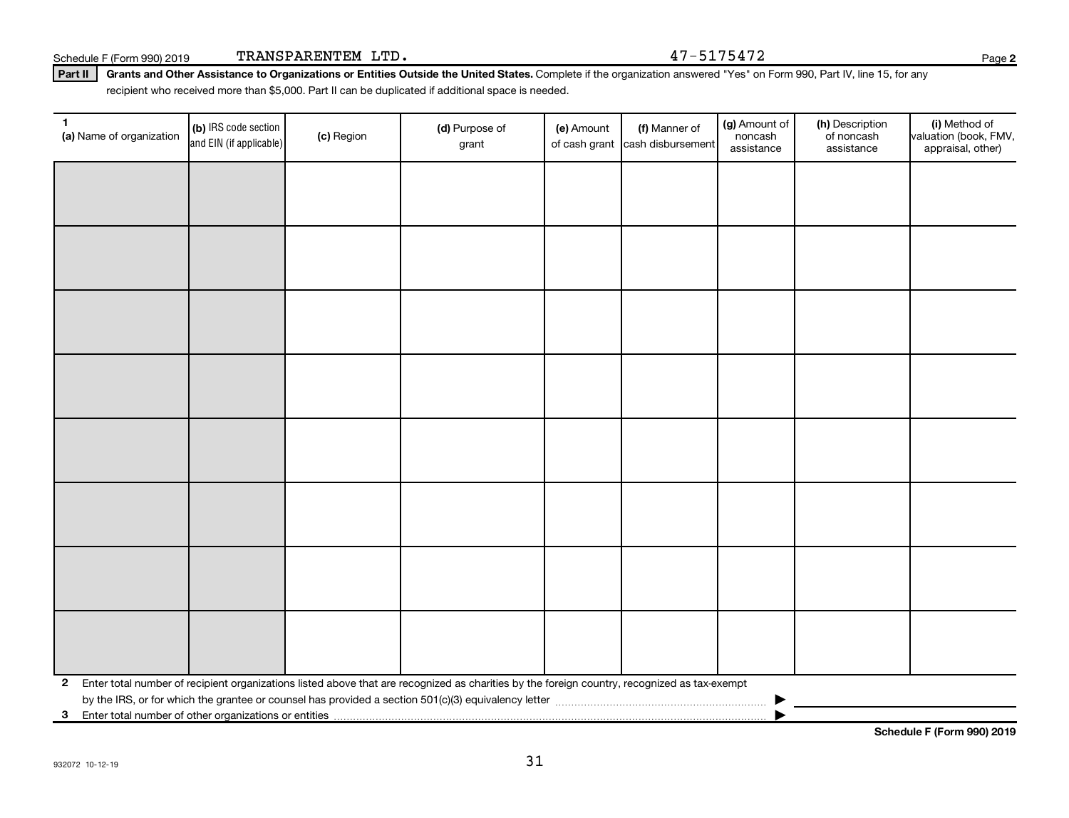| חחז אסחזוס מסיאו מח |  |
|---------------------|--|

Part II | Grants and Other Assistance to Organizations or Entities Outside the United States. Complete if the organization answered "Yes" on Form 990, Part IV, line 15, for any recipient who received more than \$5,000. Part II can be duplicated if additional space is needed.

| $\mathbf{1}$<br>(a) Name of organization                              | (b) IRS code section<br>and EIN (if applicable) | (c) Region | (d) Purpose of<br>grant                                                                                                                      | (e) Amount<br>of cash grant | (f) Manner of<br>cash disbursement | (g) Amount of<br>noncash<br>assistance | (h) Description<br>of noncash<br>assistance | (i) Method of<br>valuation (book, FMV,<br>appraisal, other) |
|-----------------------------------------------------------------------|-------------------------------------------------|------------|----------------------------------------------------------------------------------------------------------------------------------------------|-----------------------------|------------------------------------|----------------------------------------|---------------------------------------------|-------------------------------------------------------------|
|                                                                       |                                                 |            |                                                                                                                                              |                             |                                    |                                        |                                             |                                                             |
|                                                                       |                                                 |            |                                                                                                                                              |                             |                                    |                                        |                                             |                                                             |
|                                                                       |                                                 |            |                                                                                                                                              |                             |                                    |                                        |                                             |                                                             |
|                                                                       |                                                 |            |                                                                                                                                              |                             |                                    |                                        |                                             |                                                             |
|                                                                       |                                                 |            |                                                                                                                                              |                             |                                    |                                        |                                             |                                                             |
|                                                                       |                                                 |            |                                                                                                                                              |                             |                                    |                                        |                                             |                                                             |
|                                                                       |                                                 |            |                                                                                                                                              |                             |                                    |                                        |                                             |                                                             |
|                                                                       |                                                 |            |                                                                                                                                              |                             |                                    |                                        |                                             |                                                             |
|                                                                       |                                                 |            |                                                                                                                                              |                             |                                    |                                        |                                             |                                                             |
|                                                                       |                                                 |            |                                                                                                                                              |                             |                                    |                                        |                                             |                                                             |
|                                                                       |                                                 |            |                                                                                                                                              |                             |                                    |                                        |                                             |                                                             |
|                                                                       |                                                 |            |                                                                                                                                              |                             |                                    |                                        |                                             |                                                             |
|                                                                       |                                                 |            |                                                                                                                                              |                             |                                    |                                        |                                             |                                                             |
|                                                                       |                                                 |            |                                                                                                                                              |                             |                                    |                                        |                                             |                                                             |
|                                                                       |                                                 |            |                                                                                                                                              |                             |                                    |                                        |                                             |                                                             |
|                                                                       |                                                 |            |                                                                                                                                              |                             |                                    |                                        |                                             |                                                             |
| $\mathbf{2}$                                                          |                                                 |            | Enter total number of recipient organizations listed above that are recognized as charities by the foreign country, recognized as tax-exempt |                             |                                    |                                        |                                             |                                                             |
|                                                                       |                                                 |            |                                                                                                                                              |                             |                                    |                                        |                                             |                                                             |
| Enter total number of other organizations or entities<br>$\mathbf{3}$ |                                                 |            |                                                                                                                                              |                             |                                    |                                        |                                             |                                                             |

31

Schedule F (Form 990) 2019 TRANSPARENTEM LTD.  $47-5175472$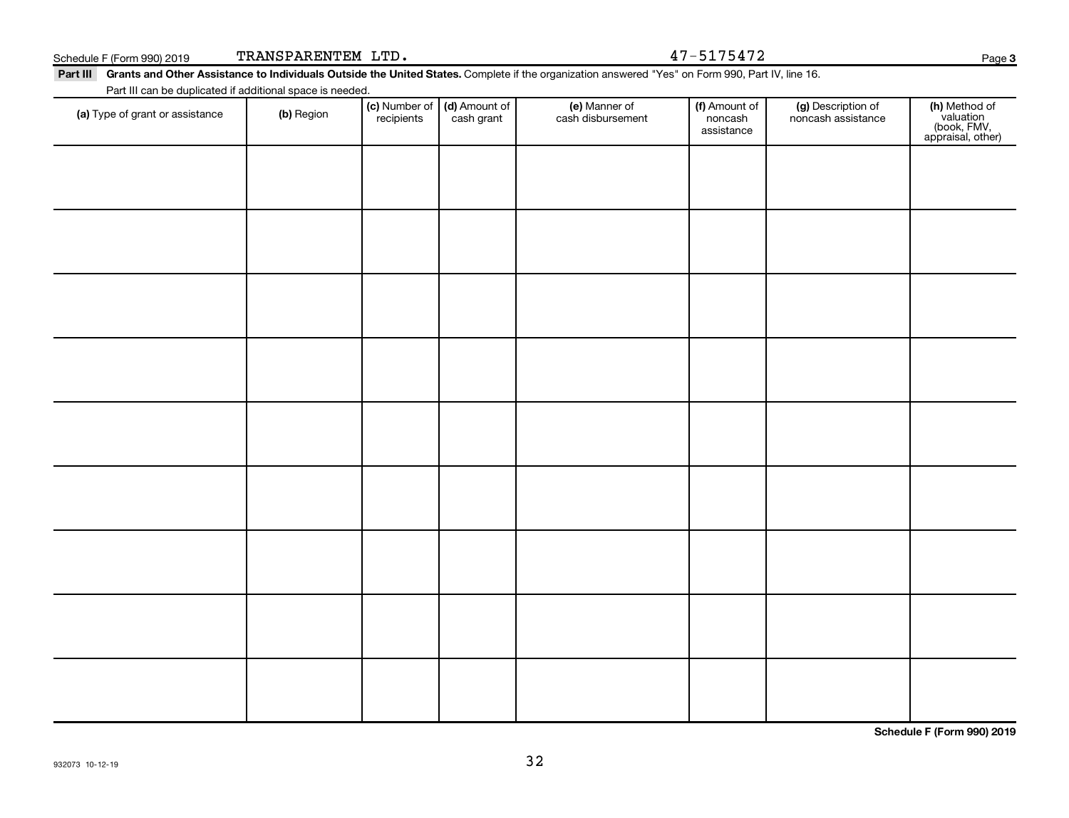|  | . |  | assistance |
|--|---|--|------------|
|  |   |  |            |
|  |   |  |            |
|  |   |  |            |
|  |   |  |            |
|  |   |  |            |
|  |   |  |            |
|  |   |  |            |
|  |   |  |            |

## Schedule F (Form 990) 2019 TRANSPARENTEM LTD.  $47-5175472$

Part III Grants and Other Assistance to Individuals Outside the United States. Complete if the organization answered "Yes" on Form 990, Part IV, line 16. Part III can be duplicated if additional space is needed.

cash grant

Number of **| (d)** Amount of

**recipients** 

(a) Type of grant or assistance (b) Region (b) Region (c) Number of (d) Amount of (e) Manner of (f) Amount of (f)<br>Region (cash grant cash dishursement popcash noncash assistance v

(e) Manner of cash disbursement

**Schedule F (Form 990) 2019**

Page 3

**(h)** Method of<br>valuation<br>(book, FMV,<br>appraisal, other)

(f) Amount of noncash

(g) Description of noncash assistance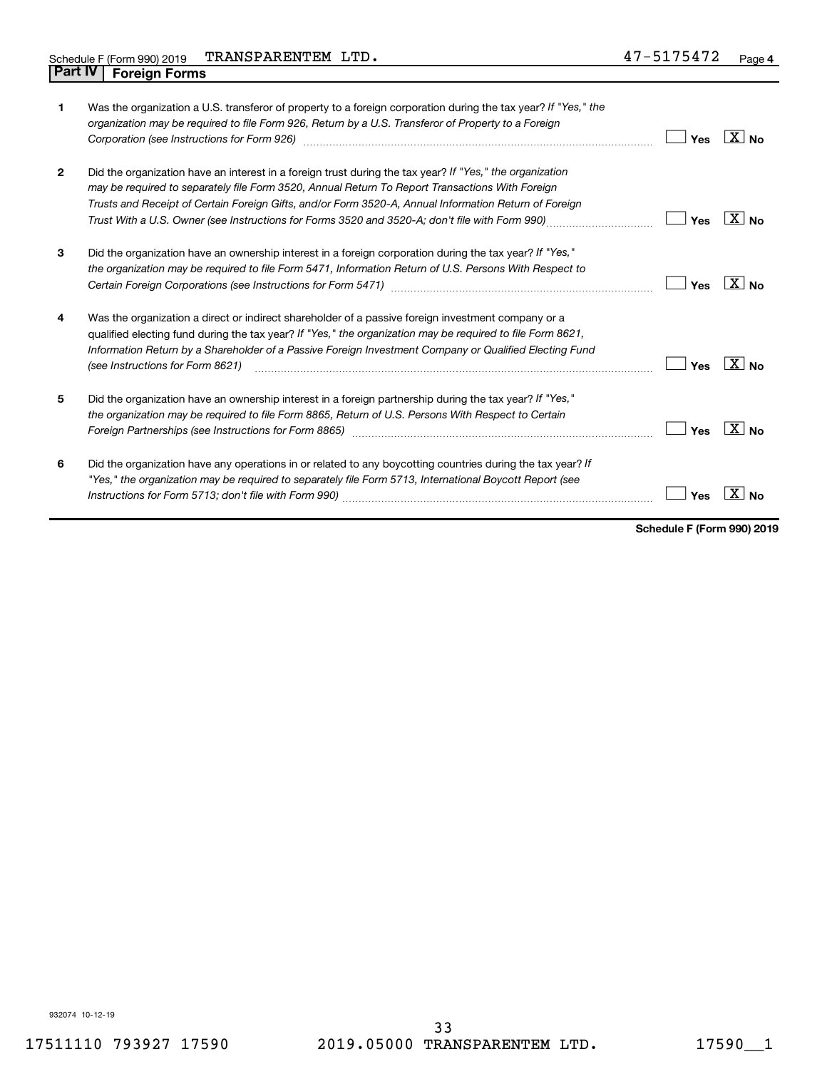| 1              | Was the organization a U.S. transferor of property to a foreign corporation during the tax year? If "Yes," the<br>organization may be required to file Form 926, Return by a U.S. Transferor of Property to a Foreign<br>Corporation (see Instructions for Form 926)                                                                                                                                                   | Yes | ∣X∣ <sub>No</sub>  |
|----------------|------------------------------------------------------------------------------------------------------------------------------------------------------------------------------------------------------------------------------------------------------------------------------------------------------------------------------------------------------------------------------------------------------------------------|-----|--------------------|
| $\overline{2}$ | Did the organization have an interest in a foreign trust during the tax year? If "Yes," the organization<br>may be required to separately file Form 3520, Annual Return To Report Transactions With Foreign<br>Trusts and Receipt of Certain Foreign Gifts, and/or Form 3520-A, Annual Information Return of Foreign<br>Trust With a U.S. Owner (see Instructions for Forms 3520 and 3520-A; don't file with Form 990) | Yes | $ X _{\text{No}}$  |
| 3              | Did the organization have an ownership interest in a foreign corporation during the tax year? If "Yes,"<br>the organization may be required to file Form 5471, Information Return of U.S. Persons With Respect to                                                                                                                                                                                                      | Yes | ∣X∣ <sub>No</sub>  |
| 4              | Was the organization a direct or indirect shareholder of a passive foreign investment company or a<br>qualified electing fund during the tax year? If "Yes," the organization may be required to file Form 8621,<br>Information Return by a Shareholder of a Passive Foreign Investment Company or Qualified Electing Fund<br>(see Instructions for Form 8621)                                                         | Yes | $\sqrt{X}$ No      |
| 5              | Did the organization have an ownership interest in a foreign partnership during the tax year? If "Yes,"<br>the organization may be required to file Form 8865, Return of U.S. Persons With Respect to Certain<br>Foreign Partnerships (see Instructions for Form 8865) manufactured content to the manufactured content of the                                                                                         | Yes | ∣X I <sub>No</sub> |
| 6              | Did the organization have any operations in or related to any boycotting countries during the tax year? If<br>"Yes," the organization may be required to separately file Form 5713, International Boycott Report (see                                                                                                                                                                                                  | Yes |                    |

**Schedule F (Form 990) 2019**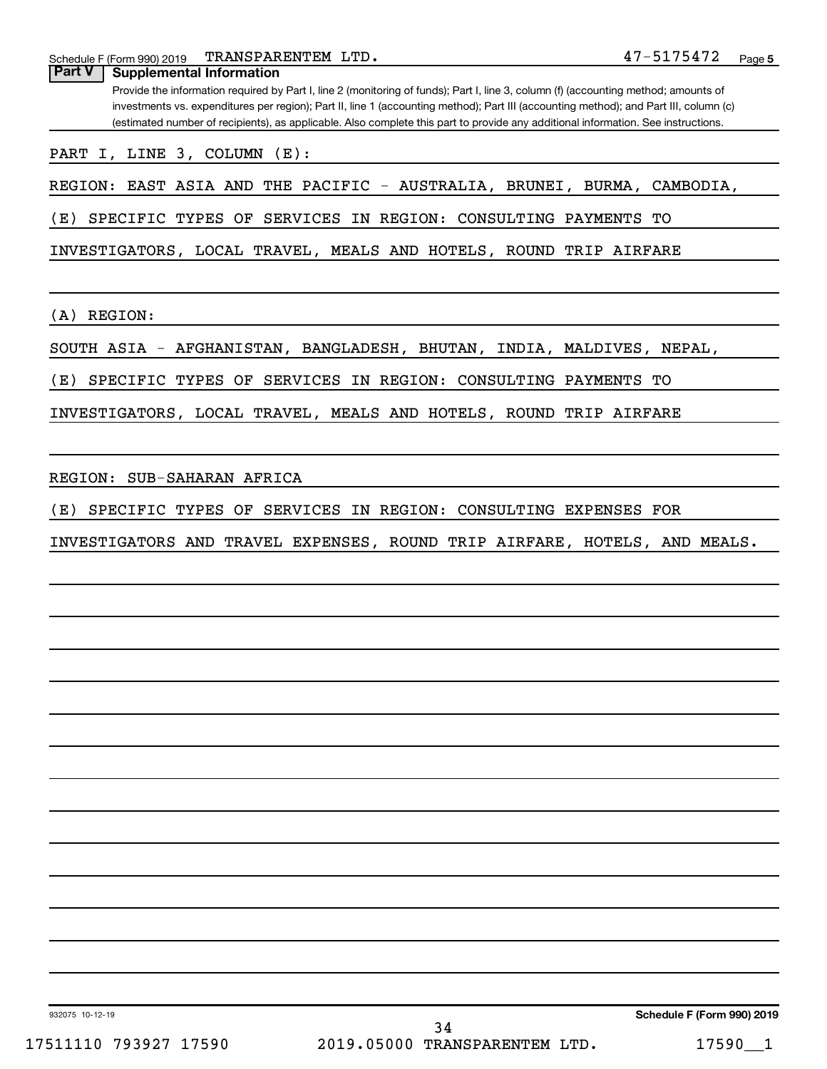| TRANSPARENTEM LTD.<br>Schedule F (Form 990) 2019                                                                                                                                                                                                                           | 47-5175472<br>Page 5 |
|----------------------------------------------------------------------------------------------------------------------------------------------------------------------------------------------------------------------------------------------------------------------------|----------------------|
| <b>Part V</b><br><b>Supplemental Information</b>                                                                                                                                                                                                                           |                      |
| Provide the information required by Part I, line 2 (monitoring of funds); Part I, line 3, column (f) (accounting method; amounts of                                                                                                                                        |                      |
| investments vs. expenditures per region); Part II, line 1 (accounting method); Part III (accounting method); and Part III, column (c)<br>(estimated number of recipients), as applicable. Also complete this part to provide any additional information. See instructions. |                      |
|                                                                                                                                                                                                                                                                            |                      |
| PART I, LINE 3, COLUMN (E):                                                                                                                                                                                                                                                |                      |
| REGION: EAST ASIA AND THE PACIFIC - AUSTRALIA, BRUNEI, BURMA, CAMBODIA,                                                                                                                                                                                                    |                      |
| SPECIFIC TYPES OF SERVICES IN REGION: CONSULTING PAYMENTS<br>(E)                                                                                                                                                                                                           | TО                   |
| INVESTIGATORS, LOCAL TRAVEL, MEALS AND HOTELS, ROUND TRIP AIRFARE                                                                                                                                                                                                          |                      |
| REGION:<br>(A)                                                                                                                                                                                                                                                             |                      |
| SOUTH ASIA - AFGHANISTAN, BANGLADESH, BHUTAN, INDIA, MALDIVES, NEPAL,                                                                                                                                                                                                      |                      |
| SPECIFIC TYPES OF SERVICES IN REGION: CONSULTING PAYMENTS TO<br>(E)                                                                                                                                                                                                        |                      |
| INVESTIGATORS, LOCAL TRAVEL, MEALS AND HOTELS, ROUND TRIP AIRFARE                                                                                                                                                                                                          |                      |
|                                                                                                                                                                                                                                                                            |                      |
| SUB-SAHARAN AFRICA<br>REGION:                                                                                                                                                                                                                                              |                      |
| (E)<br>SPECIFIC TYPES<br>OF SERVICES IN REGION:<br>CONSULTING EXPENSES FOR                                                                                                                                                                                                 |                      |
| INVESTIGATORS AND TRAVEL EXPENSES, ROUND TRIP AIRFARE, HOTELS, AND MEALS.                                                                                                                                                                                                  |                      |
|                                                                                                                                                                                                                                                                            |                      |
|                                                                                                                                                                                                                                                                            |                      |
|                                                                                                                                                                                                                                                                            |                      |
|                                                                                                                                                                                                                                                                            |                      |
|                                                                                                                                                                                                                                                                            |                      |
|                                                                                                                                                                                                                                                                            |                      |
|                                                                                                                                                                                                                                                                            |                      |
|                                                                                                                                                                                                                                                                            |                      |
|                                                                                                                                                                                                                                                                            |                      |
|                                                                                                                                                                                                                                                                            |                      |
|                                                                                                                                                                                                                                                                            |                      |
|                                                                                                                                                                                                                                                                            |                      |
|                                                                                                                                                                                                                                                                            |                      |

932075 10-12-19

17511110 793927 17590 2019.05000 TRANSPARENTEM LTD. 17590\_\_1 34

**Schedule F (Form 990) 2019**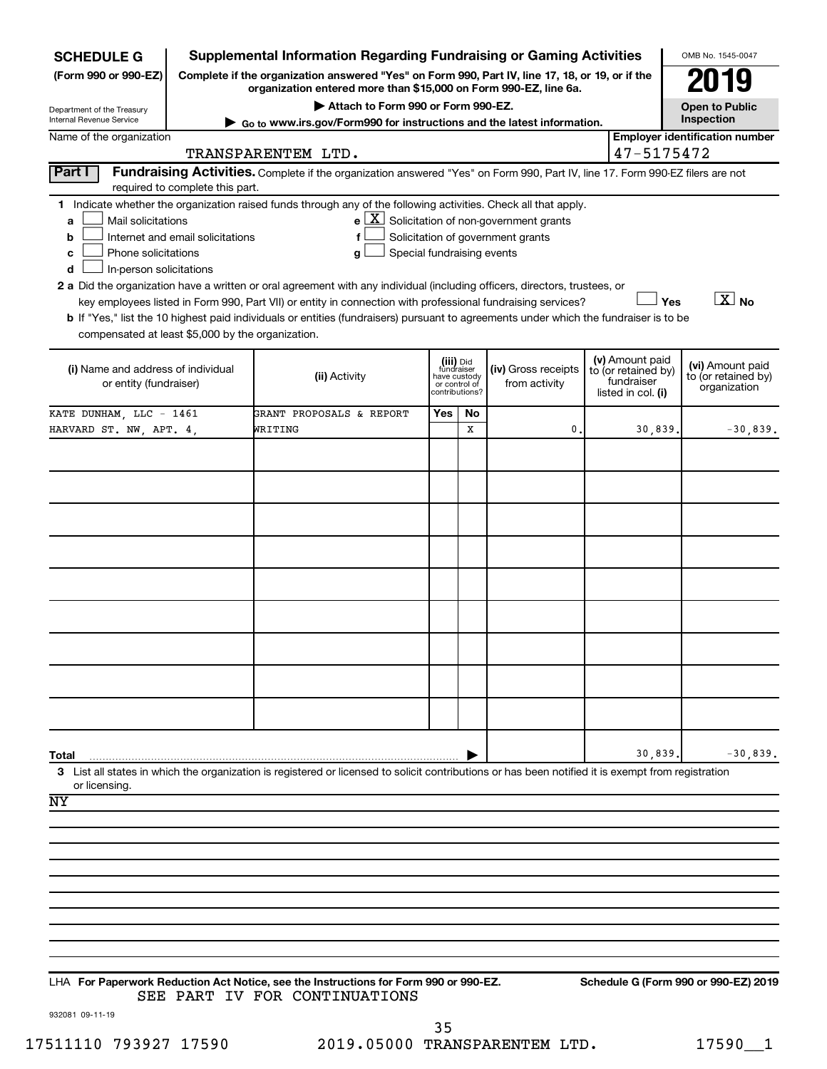| <b>SCHEDULE G</b>                                            |                                                                                                                                                                     | <b>Supplemental Information Regarding Fundraising or Gaming Activities</b>                                                                         |                                           |                               |                                                              |  |                                                                            | OMB No. 1545-0047                                       |  |
|--------------------------------------------------------------|---------------------------------------------------------------------------------------------------------------------------------------------------------------------|----------------------------------------------------------------------------------------------------------------------------------------------------|-------------------------------------------|-------------------------------|--------------------------------------------------------------|--|----------------------------------------------------------------------------|---------------------------------------------------------|--|
| (Form 990 or 990-EZ)                                         | Complete if the organization answered "Yes" on Form 990, Part IV, line 17, 18, or 19, or if the<br>organization entered more than \$15,000 on Form 990-EZ, line 6a. |                                                                                                                                                    |                                           |                               |                                                              |  |                                                                            |                                                         |  |
| Department of the Treasury                                   |                                                                                                                                                                     | Attach to Form 990 or Form 990-EZ.                                                                                                                 |                                           |                               |                                                              |  |                                                                            |                                                         |  |
| <b>Internal Revenue Service</b>                              |                                                                                                                                                                     | $\triangleright$ Go to www.irs.gov/Form990 for instructions and the latest information.                                                            |                                           |                               |                                                              |  |                                                                            | Inspection                                              |  |
| Name of the organization                                     |                                                                                                                                                                     | TRANSPARENTEM LTD.                                                                                                                                 |                                           |                               |                                                              |  | 47-5175472                                                                 | <b>Employer identification number</b>                   |  |
| <b>Part I</b>                                                | required to complete this part.                                                                                                                                     | Fundraising Activities. Complete if the organization answered "Yes" on Form 990, Part IV, line 17. Form 990-EZ filers are not                      |                                           |                               |                                                              |  |                                                                            |                                                         |  |
|                                                              |                                                                                                                                                                     | 1 Indicate whether the organization raised funds through any of the following activities. Check all that apply.                                    |                                           |                               |                                                              |  |                                                                            |                                                         |  |
| Mail solicitations<br>a                                      |                                                                                                                                                                     |                                                                                                                                                    |                                           |                               | $e$ $\boxed{\text{X}}$ Solicitation of non-government grants |  |                                                                            |                                                         |  |
| b                                                            | Internet and email solicitations                                                                                                                                    | f                                                                                                                                                  |                                           |                               | Solicitation of government grants                            |  |                                                                            |                                                         |  |
| Phone solicitations<br>c                                     |                                                                                                                                                                     | Special fundraising events<br>g                                                                                                                    |                                           |                               |                                                              |  |                                                                            |                                                         |  |
| d<br>In-person solicitations                                 |                                                                                                                                                                     | 2 a Did the organization have a written or oral agreement with any individual (including officers, directors, trustees, or                         |                                           |                               |                                                              |  |                                                                            |                                                         |  |
|                                                              |                                                                                                                                                                     | key employees listed in Form 990, Part VII) or entity in connection with professional fundraising services?                                        |                                           |                               |                                                              |  | Yes                                                                        | $\boxed{\text{X}}$ No                                   |  |
|                                                              |                                                                                                                                                                     | <b>b</b> If "Yes," list the 10 highest paid individuals or entities (fundraisers) pursuant to agreements under which the fundraiser is to be       |                                           |                               |                                                              |  |                                                                            |                                                         |  |
| compensated at least \$5,000 by the organization.            |                                                                                                                                                                     |                                                                                                                                                    |                                           |                               |                                                              |  |                                                                            |                                                         |  |
| (i) Name and address of individual<br>or entity (fundraiser) |                                                                                                                                                                     | (ii) Activity                                                                                                                                      | (iii) Did<br>fundraiser<br>contributions? | have custody<br>or control of | (iv) Gross receipts<br>from activity                         |  | (v) Amount paid<br>to (or retained by)<br>fundraiser<br>listed in col. (i) | (vi) Amount paid<br>to (or retained by)<br>organization |  |
| KATE DUNHAM, LLC - 1461                                      |                                                                                                                                                                     | GRANT PROPOSALS & REPORT                                                                                                                           | Yes                                       | No                            |                                                              |  |                                                                            |                                                         |  |
| HARVARD ST. NW, APT. 4,                                      |                                                                                                                                                                     | WRITING                                                                                                                                            |                                           | x                             | 0                                                            |  | 30,839.                                                                    | $-30,839.$                                              |  |
|                                                              |                                                                                                                                                                     |                                                                                                                                                    |                                           |                               |                                                              |  |                                                                            |                                                         |  |
|                                                              |                                                                                                                                                                     |                                                                                                                                                    |                                           |                               |                                                              |  |                                                                            |                                                         |  |
|                                                              |                                                                                                                                                                     |                                                                                                                                                    |                                           |                               |                                                              |  |                                                                            |                                                         |  |
|                                                              |                                                                                                                                                                     |                                                                                                                                                    |                                           |                               |                                                              |  |                                                                            |                                                         |  |
|                                                              |                                                                                                                                                                     |                                                                                                                                                    |                                           |                               |                                                              |  |                                                                            |                                                         |  |
|                                                              |                                                                                                                                                                     |                                                                                                                                                    |                                           |                               |                                                              |  |                                                                            |                                                         |  |
|                                                              |                                                                                                                                                                     |                                                                                                                                                    |                                           |                               |                                                              |  |                                                                            |                                                         |  |
|                                                              |                                                                                                                                                                     |                                                                                                                                                    |                                           |                               |                                                              |  |                                                                            |                                                         |  |
|                                                              |                                                                                                                                                                     |                                                                                                                                                    |                                           |                               |                                                              |  |                                                                            |                                                         |  |
|                                                              |                                                                                                                                                                     |                                                                                                                                                    |                                           |                               |                                                              |  |                                                                            |                                                         |  |
|                                                              |                                                                                                                                                                     |                                                                                                                                                    |                                           |                               |                                                              |  |                                                                            |                                                         |  |
|                                                              |                                                                                                                                                                     |                                                                                                                                                    |                                           |                               |                                                              |  |                                                                            |                                                         |  |
|                                                              |                                                                                                                                                                     |                                                                                                                                                    |                                           |                               |                                                              |  |                                                                            |                                                         |  |
|                                                              |                                                                                                                                                                     |                                                                                                                                                    |                                           |                               |                                                              |  |                                                                            |                                                         |  |
|                                                              |                                                                                                                                                                     |                                                                                                                                                    |                                           |                               |                                                              |  |                                                                            |                                                         |  |
| Total                                                        |                                                                                                                                                                     |                                                                                                                                                    |                                           |                               |                                                              |  | 30,839.                                                                    | $-30,839.$                                              |  |
| or licensing.                                                |                                                                                                                                                                     | 3 List all states in which the organization is registered or licensed to solicit contributions or has been notified it is exempt from registration |                                           |                               |                                                              |  |                                                                            |                                                         |  |
| NY                                                           |                                                                                                                                                                     |                                                                                                                                                    |                                           |                               |                                                              |  |                                                                            |                                                         |  |
|                                                              |                                                                                                                                                                     |                                                                                                                                                    |                                           |                               |                                                              |  |                                                                            |                                                         |  |
|                                                              |                                                                                                                                                                     |                                                                                                                                                    |                                           |                               |                                                              |  |                                                                            |                                                         |  |
|                                                              |                                                                                                                                                                     |                                                                                                                                                    |                                           |                               |                                                              |  |                                                                            |                                                         |  |
|                                                              |                                                                                                                                                                     |                                                                                                                                                    |                                           |                               |                                                              |  |                                                                            |                                                         |  |
|                                                              |                                                                                                                                                                     |                                                                                                                                                    |                                           |                               |                                                              |  |                                                                            |                                                         |  |
|                                                              |                                                                                                                                                                     |                                                                                                                                                    |                                           |                               |                                                              |  |                                                                            |                                                         |  |
|                                                              |                                                                                                                                                                     |                                                                                                                                                    |                                           |                               |                                                              |  |                                                                            |                                                         |  |
|                                                              |                                                                                                                                                                     |                                                                                                                                                    |                                           |                               |                                                              |  |                                                                            |                                                         |  |
|                                                              |                                                                                                                                                                     | LHA For Paperwork Reduction Act Notice, see the Instructions for Form 990 or 990-EZ.                                                               |                                           |                               |                                                              |  |                                                                            | Schedule G (Form 990 or 990-EZ) 2019                    |  |
|                                                              |                                                                                                                                                                     | SEE PART IV FOR CONTINUATIONS                                                                                                                      |                                           |                               |                                                              |  |                                                                            |                                                         |  |

932081 09-11-19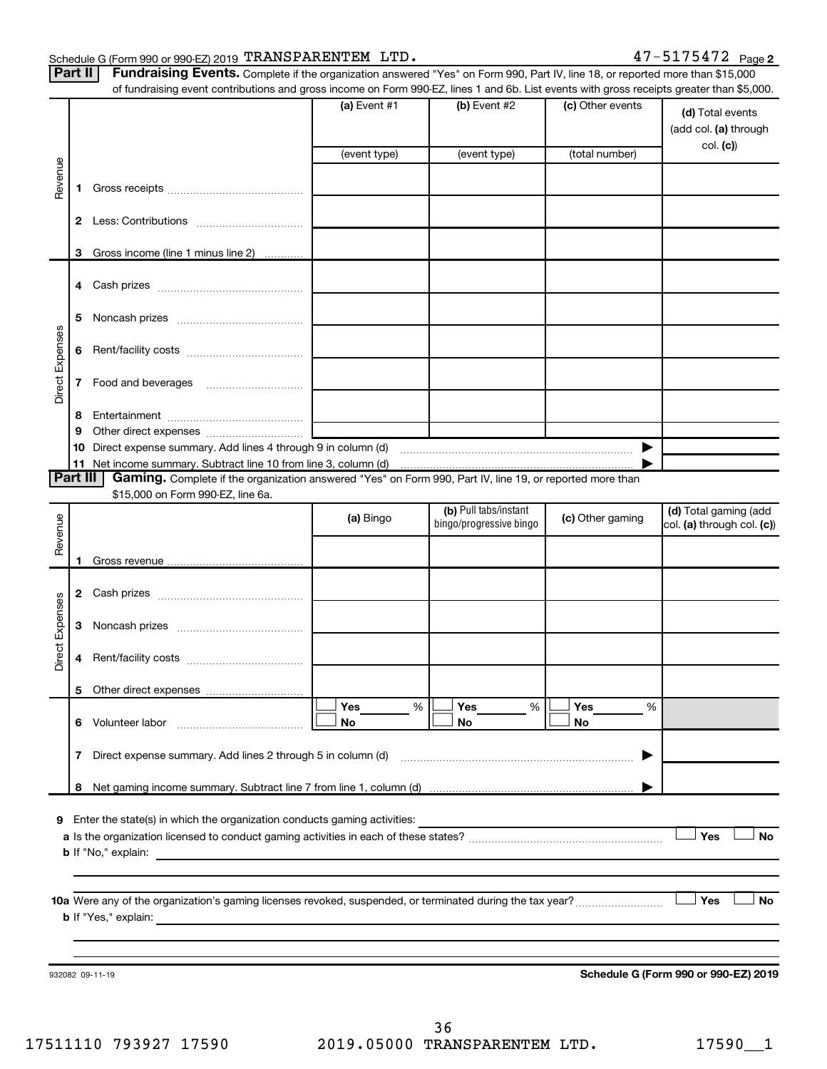#### Schedule G (Form 990 or 990-EZ) 2019 'I'RANS PARENTEM LITD .  $47-5175472$  Page TRANSPARENTEM LTD. 47-5175472

| Part II   Fundraising Events. Complete if the organization answered "Yes" on Form 990, Part IV, line 18, or reported more than \$15,000 |
|-----------------------------------------------------------------------------------------------------------------------------------------|
| of fundraising event contributions and gross income on Form 000 F7 lines 1 and 6b. List events with gross receipts greater than \$5.0   |

|                 |    | of fundraising event contributions and gross income on Form 990-EZ, lines 1 and 6b. List events with gross receipts greater than \$5,000.           |                |                                                  |                  |                                                     |
|-----------------|----|-----------------------------------------------------------------------------------------------------------------------------------------------------|----------------|--------------------------------------------------|------------------|-----------------------------------------------------|
|                 |    |                                                                                                                                                     | (a) Event $#1$ | (b) Event #2                                     | (c) Other events | (d) Total events<br>(add col. (a) through           |
|                 |    |                                                                                                                                                     | (event type)   | (event type)                                     | (total number)   | col. (c))                                           |
|                 |    |                                                                                                                                                     |                |                                                  |                  |                                                     |
| Revenue         | 1  |                                                                                                                                                     |                |                                                  |                  |                                                     |
|                 |    |                                                                                                                                                     |                |                                                  |                  |                                                     |
|                 | 3  | Gross income (line 1 minus line 2)                                                                                                                  |                |                                                  |                  |                                                     |
|                 | 4  |                                                                                                                                                     |                |                                                  |                  |                                                     |
|                 | 5  |                                                                                                                                                     |                |                                                  |                  |                                                     |
| Direct Expenses | 6  |                                                                                                                                                     |                |                                                  |                  |                                                     |
|                 | 7  |                                                                                                                                                     |                |                                                  |                  |                                                     |
|                 | 8  |                                                                                                                                                     |                |                                                  |                  |                                                     |
|                 | 9  |                                                                                                                                                     |                |                                                  |                  |                                                     |
|                 | 10 | Direct expense summary. Add lines 4 through 9 in column (d) manufactured expenses communities                                                       |                |                                                  |                  |                                                     |
|                 | 11 |                                                                                                                                                     |                |                                                  |                  |                                                     |
| Part III        |    | Gaming. Complete if the organization answered "Yes" on Form 990, Part IV, line 19, or reported more than                                            |                |                                                  |                  |                                                     |
|                 |    | \$15,000 on Form 990-EZ, line 6a.                                                                                                                   |                |                                                  |                  |                                                     |
| Revenue         |    |                                                                                                                                                     | (a) Bingo      | (b) Pull tabs/instant<br>bingo/progressive bingo | (c) Other gaming | (d) Total gaming (add<br>col. (a) through col. (c)) |
|                 |    |                                                                                                                                                     |                |                                                  |                  |                                                     |
|                 | 1  |                                                                                                                                                     |                |                                                  |                  |                                                     |
|                 | 2  |                                                                                                                                                     |                |                                                  |                  |                                                     |
| Expenses        | 3  |                                                                                                                                                     |                |                                                  |                  |                                                     |
| Direct          | 4  |                                                                                                                                                     |                |                                                  |                  |                                                     |
|                 |    | 5 Other direct expenses                                                                                                                             |                |                                                  |                  |                                                     |
|                 |    |                                                                                                                                                     | Yes<br>%       | Yes<br>%                                         | Yes<br>%         |                                                     |
|                 |    |                                                                                                                                                     | No             | No                                               | No               |                                                     |
|                 | 7  | Direct expense summary. Add lines 2 through 5 in column (d)                                                                                         |                |                                                  | ▶                |                                                     |
|                 | 8  |                                                                                                                                                     |                |                                                  |                  |                                                     |
|                 |    |                                                                                                                                                     |                |                                                  |                  |                                                     |
| 9               |    | Enter the state(s) in which the organization conducts gaming activities:                                                                            |                |                                                  |                  |                                                     |
|                 |    |                                                                                                                                                     |                |                                                  |                  | Yes<br>No                                           |
|                 |    | <b>b</b> If "No," explain:<br><u> 1989 - Johann Stoff, deutscher Stoff, der Stoff, der Stoff, der Stoff, der Stoff, der Stoff, der Stoff, der S</u> |                |                                                  |                  |                                                     |
|                 |    |                                                                                                                                                     |                |                                                  |                  |                                                     |
|                 |    |                                                                                                                                                     |                |                                                  |                  |                                                     |
|                 |    |                                                                                                                                                     |                |                                                  |                  | Yes<br>No                                           |
|                 |    | <b>b</b> If "Yes," explain:                                                                                                                         |                |                                                  |                  |                                                     |
|                 |    |                                                                                                                                                     |                |                                                  |                  |                                                     |
|                 |    |                                                                                                                                                     |                |                                                  |                  |                                                     |
|                 |    | 932082 09-11-19                                                                                                                                     |                |                                                  |                  | Schedule G (Form 990 or 990-EZ) 2019                |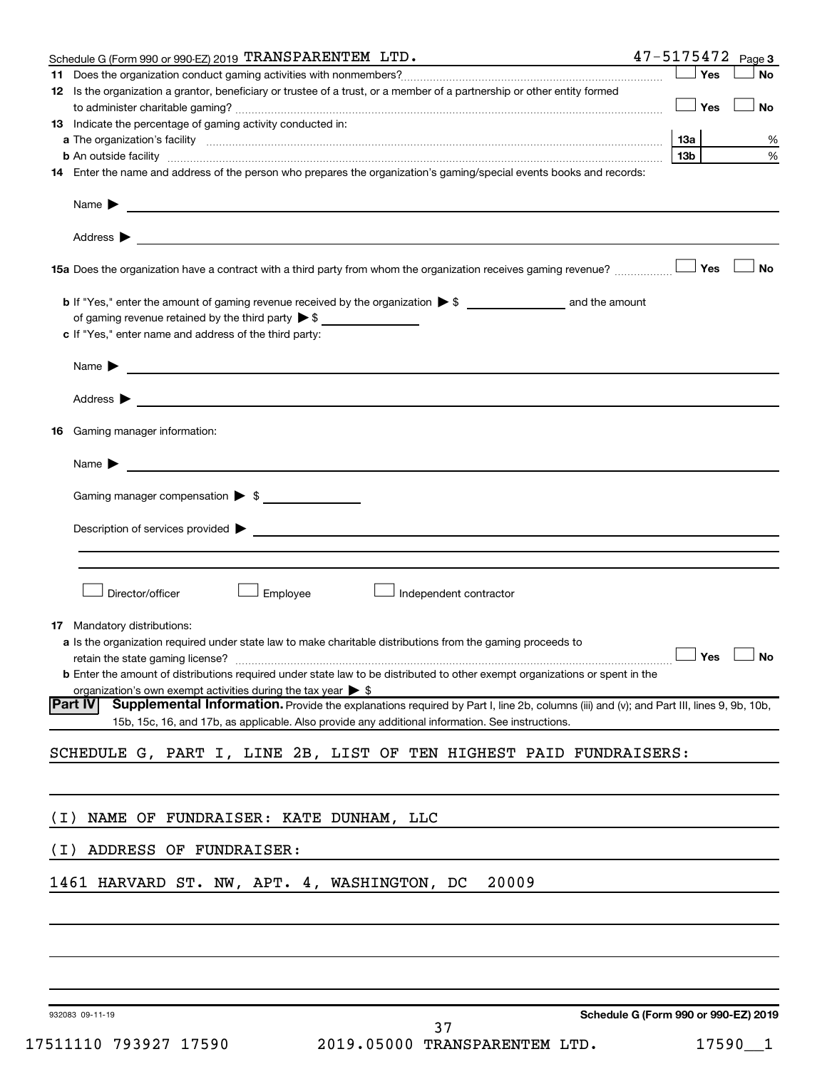| Schedule G (Form 990 or 990-EZ) 2019 TRANSPARENTEM LTD.                                                                                                                                                                                  | $47 - 5175472$ Page 3                       |                 |                      |
|------------------------------------------------------------------------------------------------------------------------------------------------------------------------------------------------------------------------------------------|---------------------------------------------|-----------------|----------------------|
|                                                                                                                                                                                                                                          |                                             | Yes             | <b>No</b>            |
| 12 Is the organization a grantor, beneficiary or trustee of a trust, or a member of a partnership or other entity formed                                                                                                                 |                                             | Yes             | No                   |
| 13 Indicate the percentage of gaming activity conducted in:                                                                                                                                                                              |                                             |                 |                      |
|                                                                                                                                                                                                                                          |                                             |                 | %                    |
|                                                                                                                                                                                                                                          |                                             | 13 <sub>b</sub> | %                    |
| 14 Enter the name and address of the person who prepares the organization's gaming/special events books and records:                                                                                                                     |                                             |                 |                      |
|                                                                                                                                                                                                                                          |                                             |                 |                      |
|                                                                                                                                                                                                                                          |                                             |                 |                      |
|                                                                                                                                                                                                                                          |                                             |                 | ∣ No                 |
| of gaming revenue retained by the third party $\triangleright$ \$<br>c If "Yes," enter name and address of the third party:                                                                                                              |                                             |                 |                      |
| Name $\blacktriangleright$<br><u> 1989 - Johann Harry Harry Harry Harry Harry Harry Harry Harry Harry Harry Harry Harry Harry Harry Harry Harry</u>                                                                                      |                                             |                 |                      |
|                                                                                                                                                                                                                                          |                                             |                 |                      |
| Gaming manager information:<br>16                                                                                                                                                                                                        |                                             |                 |                      |
| Name $\blacktriangleright$<br><u> 1989 - Johann Barbara, martin amerikan basal dan bahasa dan bahasa dalam basal dan bahasa dan bahasa dan bah</u>                                                                                       |                                             |                 |                      |
| Gaming manager compensation > \$                                                                                                                                                                                                         |                                             |                 |                      |
|                                                                                                                                                                                                                                          |                                             |                 |                      |
|                                                                                                                                                                                                                                          |                                             |                 |                      |
| Director/officer<br>Employee<br>Independent contractor                                                                                                                                                                                   |                                             |                 |                      |
| <b>17</b> Mandatory distributions:                                                                                                                                                                                                       |                                             |                 |                      |
| <b>a</b> Is the organization required under state law to make charitable distributions from the gaming proceeds to                                                                                                                       |                                             |                 |                      |
|                                                                                                                                                                                                                                          |                                             |                 | $\Box$ Yes $\Box$ No |
| <b>b</b> Enter the amount of distributions required under state law to be distributed to other exempt organizations or spent in the                                                                                                      |                                             |                 |                      |
| organization's own exempt activities during the tax year $\triangleright$ \$<br><b>Part IV</b><br>Supplemental Information. Provide the explanations required by Part I, line 2b, columns (iii) and (v); and Part III, lines 9, 9b, 10b, |                                             |                 |                      |
| 15b, 15c, 16, and 17b, as applicable. Also provide any additional information. See instructions.                                                                                                                                         |                                             |                 |                      |
| SCHEDULE G, PART I, LINE 2B, LIST OF TEN HIGHEST PAID FUNDRAISERS:                                                                                                                                                                       |                                             |                 |                      |
|                                                                                                                                                                                                                                          |                                             |                 |                      |
| NAME OF FUNDRAISER: KATE DUNHAM, LLC<br>( I )                                                                                                                                                                                            |                                             |                 |                      |
| ADDRESS OF FUNDRAISER:<br>( I )                                                                                                                                                                                                          |                                             |                 |                      |
| 20009<br>1461 HARVARD ST. NW, APT. 4, WASHINGTON, DC                                                                                                                                                                                     |                                             |                 |                      |
|                                                                                                                                                                                                                                          |                                             |                 |                      |
|                                                                                                                                                                                                                                          |                                             |                 |                      |
|                                                                                                                                                                                                                                          |                                             |                 |                      |
|                                                                                                                                                                                                                                          | <b>Cabadula C (Faum 000 av 000 EZ) 0040</b> |                 |                      |

932083 09-11-19

**Schedule G (Form 990 or 990-EZ) 2019**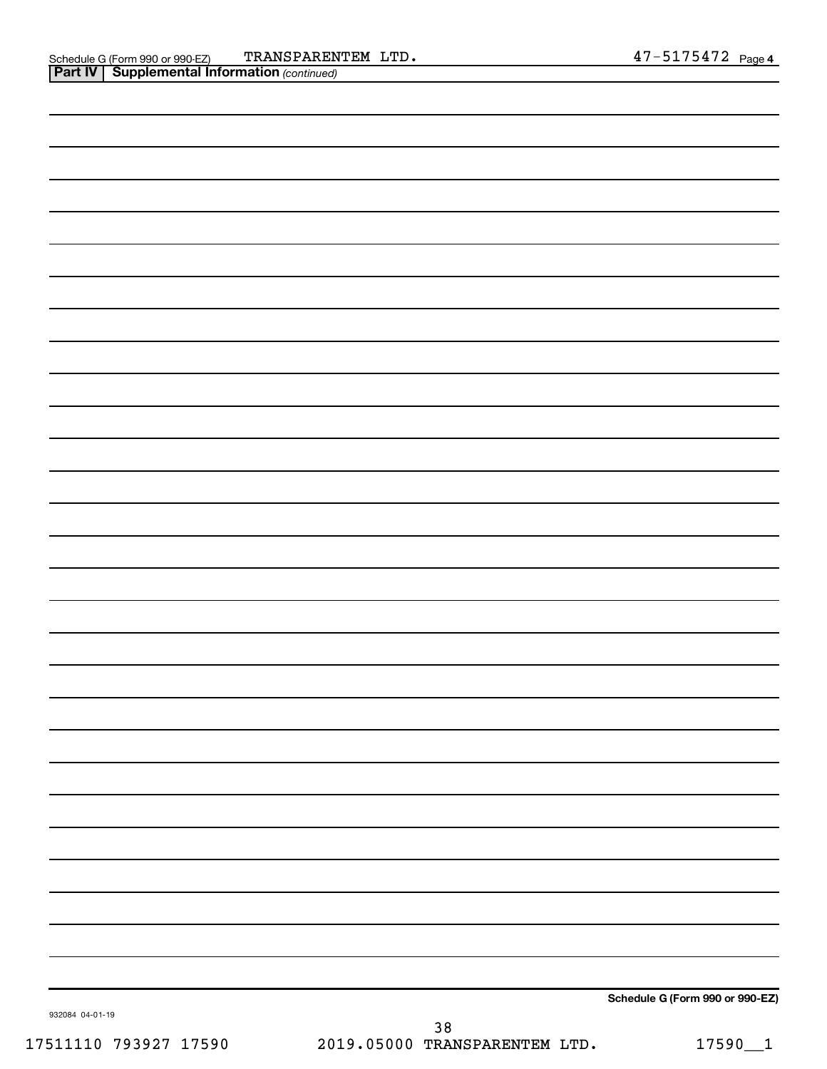| . .             |  |                                 |
|-----------------|--|---------------------------------|
|                 |  |                                 |
|                 |  |                                 |
|                 |  |                                 |
|                 |  |                                 |
|                 |  |                                 |
|                 |  |                                 |
|                 |  |                                 |
|                 |  |                                 |
|                 |  |                                 |
|                 |  |                                 |
|                 |  |                                 |
|                 |  |                                 |
|                 |  |                                 |
|                 |  |                                 |
|                 |  |                                 |
|                 |  |                                 |
|                 |  |                                 |
|                 |  |                                 |
|                 |  |                                 |
|                 |  |                                 |
|                 |  |                                 |
|                 |  |                                 |
|                 |  |                                 |
|                 |  |                                 |
|                 |  |                                 |
|                 |  |                                 |
|                 |  |                                 |
|                 |  |                                 |
|                 |  |                                 |
|                 |  |                                 |
|                 |  |                                 |
|                 |  |                                 |
|                 |  |                                 |
|                 |  |                                 |
|                 |  |                                 |
|                 |  |                                 |
|                 |  |                                 |
|                 |  |                                 |
|                 |  |                                 |
|                 |  |                                 |
|                 |  |                                 |
|                 |  |                                 |
|                 |  |                                 |
|                 |  | Schedule G (Form 990 or 990-EZ) |
| 932084 04-01-19 |  |                                 |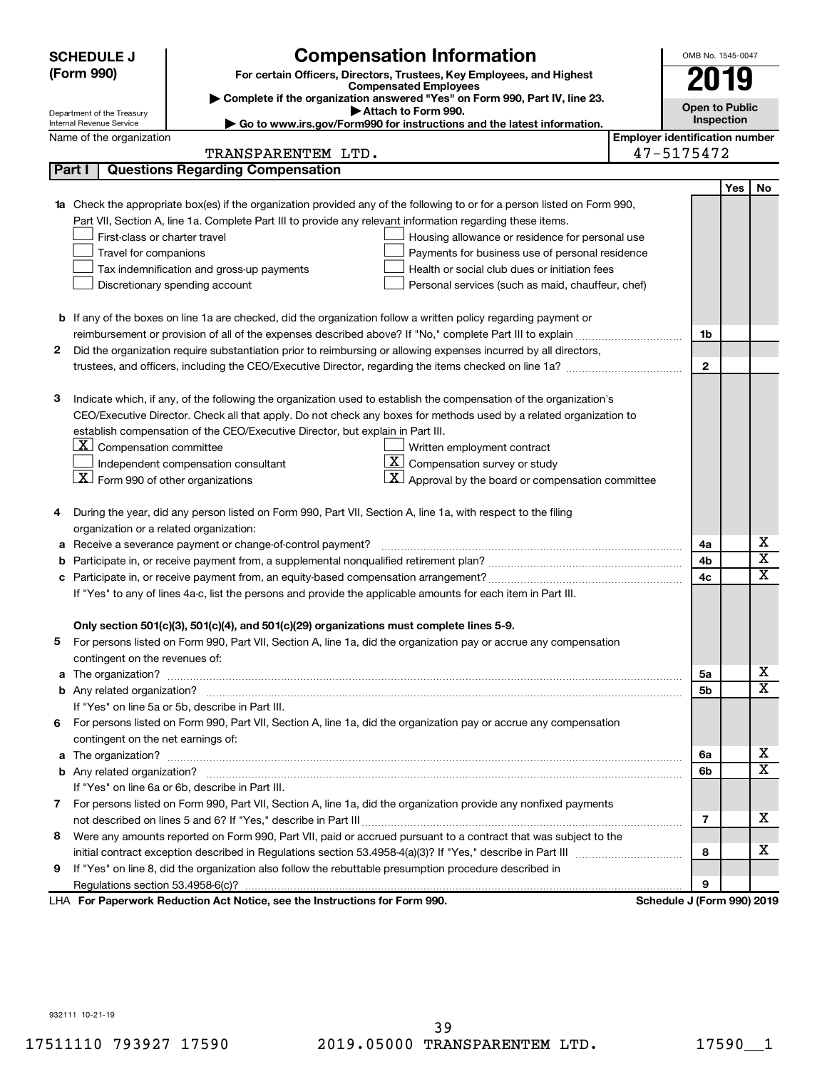|   | <b>SCHEDULE J</b>                              | <b>Compensation Information</b>                                                                                           |                                       | OMB No. 1545-0047          |     |                              |
|---|------------------------------------------------|---------------------------------------------------------------------------------------------------------------------------|---------------------------------------|----------------------------|-----|------------------------------|
|   | (Form 990)                                     | For certain Officers, Directors, Trustees, Key Employees, and Highest                                                     |                                       | 2019                       |     |                              |
|   |                                                | <b>Compensated Employees</b><br>Complete if the organization answered "Yes" on Form 990, Part IV, line 23.                |                                       |                            |     |                              |
|   | Department of the Treasury                     | Attach to Form 990.                                                                                                       |                                       | <b>Open to Public</b>      |     |                              |
|   | Internal Revenue Service                       | Go to www.irs.gov/Form990 for instructions and the latest information.                                                    |                                       | Inspection                 |     |                              |
|   | Name of the organization                       | TRANSPARENTEM LTD.                                                                                                        | <b>Employer identification number</b> | 47-5175472                 |     |                              |
|   | Part I                                         | <b>Questions Regarding Compensation</b>                                                                                   |                                       |                            |     |                              |
|   |                                                |                                                                                                                           |                                       |                            |     |                              |
|   |                                                | 1a Check the appropriate box(es) if the organization provided any of the following to or for a person listed on Form 990, |                                       |                            | Yes | No                           |
|   |                                                | Part VII, Section A, line 1a. Complete Part III to provide any relevant information regarding these items.                |                                       |                            |     |                              |
|   | First-class or charter travel                  | Housing allowance or residence for personal use                                                                           |                                       |                            |     |                              |
|   | Travel for companions                          | Payments for business use of personal residence                                                                           |                                       |                            |     |                              |
|   |                                                | Tax indemnification and gross-up payments<br>Health or social club dues or initiation fees                                |                                       |                            |     |                              |
|   |                                                | Discretionary spending account<br>Personal services (such as maid, chauffeur, chef)                                       |                                       |                            |     |                              |
|   |                                                |                                                                                                                           |                                       |                            |     |                              |
|   |                                                | <b>b</b> If any of the boxes on line 1a are checked, did the organization follow a written policy regarding payment or    |                                       |                            |     |                              |
|   |                                                |                                                                                                                           |                                       | 1b                         |     |                              |
| 2 |                                                | Did the organization require substantiation prior to reimbursing or allowing expenses incurred by all directors,          |                                       |                            |     |                              |
|   |                                                |                                                                                                                           |                                       | $\mathbf{2}$               |     |                              |
|   |                                                |                                                                                                                           |                                       |                            |     |                              |
| з |                                                | Indicate which, if any, of the following the organization used to establish the compensation of the organization's        |                                       |                            |     |                              |
|   |                                                | CEO/Executive Director. Check all that apply. Do not check any boxes for methods used by a related organization to        |                                       |                            |     |                              |
|   |                                                | establish compensation of the CEO/Executive Director, but explain in Part III.                                            |                                       |                            |     |                              |
|   | $\lfloor x \rfloor$ Compensation committee     | Written employment contract                                                                                               |                                       |                            |     |                              |
|   |                                                | $\overline{\mathbf{X}}$ Compensation survey or study<br>Independent compensation consultant                               |                                       |                            |     |                              |
|   | $ \mathbf{X} $ Form 990 of other organizations | $\mathbf{X}$<br>Approval by the board or compensation committee                                                           |                                       |                            |     |                              |
|   |                                                |                                                                                                                           |                                       |                            |     |                              |
| 4 |                                                | During the year, did any person listed on Form 990, Part VII, Section A, line 1a, with respect to the filing              |                                       |                            |     |                              |
|   | organization or a related organization:        |                                                                                                                           |                                       |                            |     |                              |
| а |                                                | Receive a severance payment or change-of-control payment?                                                                 |                                       | 4a                         |     | х<br>$\overline{\textbf{x}}$ |
| b |                                                |                                                                                                                           |                                       | 4b                         |     | $\overline{\textbf{x}}$      |
| c |                                                |                                                                                                                           |                                       | 4c                         |     |                              |
|   |                                                | If "Yes" to any of lines 4a-c, list the persons and provide the applicable amounts for each item in Part III.             |                                       |                            |     |                              |
|   |                                                | Only section 501(c)(3), 501(c)(4), and 501(c)(29) organizations must complete lines 5-9.                                  |                                       |                            |     |                              |
|   |                                                | For persons listed on Form 990, Part VII, Section A, line 1a, did the organization pay or accrue any compensation         |                                       |                            |     |                              |
|   | contingent on the revenues of:                 |                                                                                                                           |                                       |                            |     |                              |
|   |                                                |                                                                                                                           |                                       | 5a                         |     | X.                           |
|   |                                                |                                                                                                                           |                                       | 5b                         |     | $\overline{\mathbf{X}}$      |
|   |                                                | If "Yes" on line 5a or 5b, describe in Part III.                                                                          |                                       |                            |     |                              |
| 6 |                                                | For persons listed on Form 990, Part VII, Section A, line 1a, did the organization pay or accrue any compensation         |                                       |                            |     |                              |
|   | contingent on the net earnings of:             |                                                                                                                           |                                       |                            |     |                              |
|   |                                                |                                                                                                                           |                                       | 6a                         |     | X.                           |
|   |                                                |                                                                                                                           |                                       | 6b                         |     | $\overline{\text{X}}$        |
|   |                                                | If "Yes" on line 6a or 6b, describe in Part III.                                                                          |                                       |                            |     |                              |
|   |                                                | 7 For persons listed on Form 990, Part VII, Section A, line 1a, did the organization provide any nonfixed payments        |                                       |                            |     |                              |
|   |                                                |                                                                                                                           |                                       | 7                          |     | х                            |
| 8 |                                                | Were any amounts reported on Form 990, Part VII, paid or accrued pursuant to a contract that was subject to the           |                                       |                            |     |                              |
|   |                                                |                                                                                                                           |                                       | 8                          |     | x                            |
| 9 |                                                | If "Yes" on line 8, did the organization also follow the rebuttable presumption procedure described in                    |                                       |                            |     |                              |
|   |                                                |                                                                                                                           |                                       | 9                          |     |                              |
|   |                                                | LHA For Paperwork Reduction Act Notice, see the Instructions for Form 990.                                                |                                       | Schedule J (Form 990) 2019 |     |                              |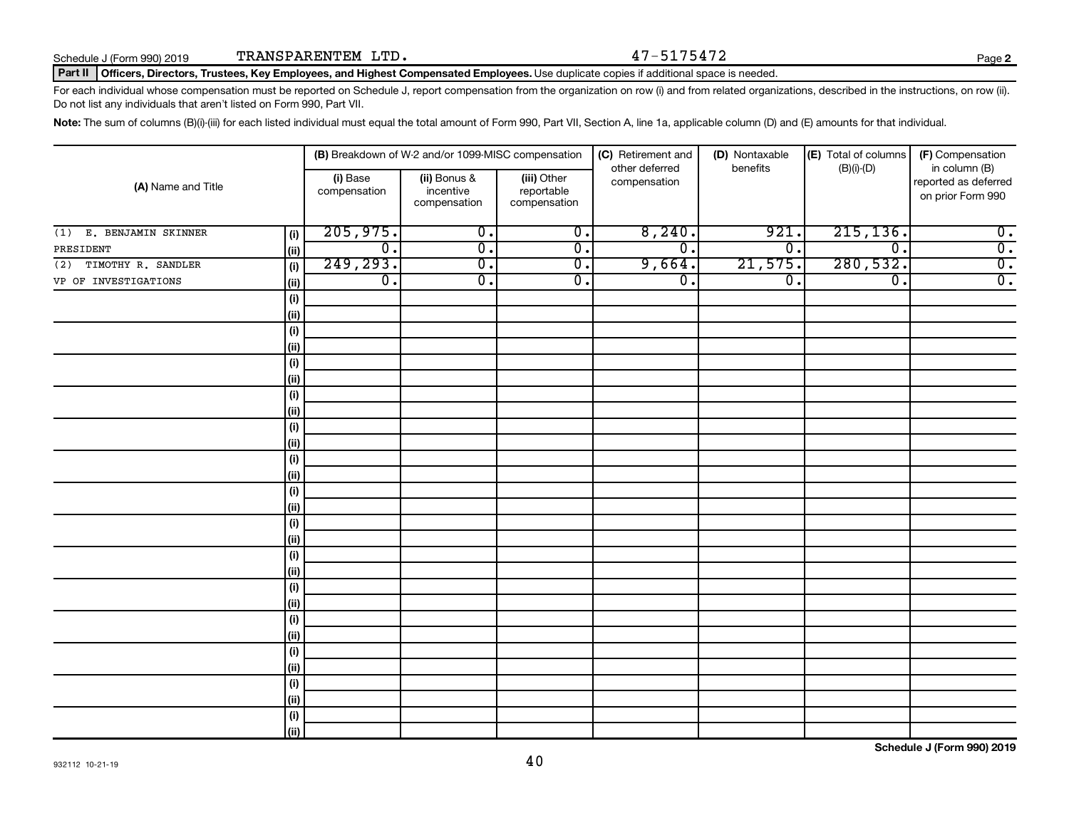**2**

#### Part II | Officers, Directors, Trustees, Key Employees, and Highest Compensated Employees. Use duplicate copies if additional space is needed.

For each individual whose compensation must be reported on Schedule J, report compensation from the organization on row (i) and from related organizations, described in the instructions, on row (ii). Do not list any individuals that aren't listed on Form 990, Part VII.

Note: The sum of columns (B)(i)-(iii) for each listed individual must equal the total amount of Form 990, Part VII, Section A, line 1a, applicable column (D) and (E) amounts for that individual.

| (A) Name and Title        |                              | (B) Breakdown of W-2 and/or 1099-MISC compensation |                                           |                                           | (C) Retirement and<br>(D) Nontaxable |                             | (E) Total of columns<br>(F) Compensation |                                                            |
|---------------------------|------------------------------|----------------------------------------------------|-------------------------------------------|-------------------------------------------|--------------------------------------|-----------------------------|------------------------------------------|------------------------------------------------------------|
|                           |                              | (i) Base<br>compensation                           | (ii) Bonus &<br>incentive<br>compensation | (iii) Other<br>reportable<br>compensation | other deferred<br>compensation       | benefits                    | $(B)(i)$ - $(D)$                         | in column (B)<br>reported as deferred<br>on prior Form 990 |
| (1) E. BENJAMIN SKINNER   | (i)                          | 205,975.                                           | $\overline{0}$ .                          | $\overline{0}$ .                          | 8,240.                               | 921                         | 215, 136.                                | $\overline{0}$ .                                           |
| PRESIDENT                 | (ii)                         | $\overline{0}$ .                                   | $\overline{\mathfrak{o}}$ .               | $\overline{0}$ .                          | $\overline{\mathfrak{o}}$ .          | $\overline{0}$ .            | $\overline{0}$ .                         | $\overline{0}$ .                                           |
| TIMOTHY R. SANDLER<br>(2) | (i)                          | 249, 293.                                          | $\overline{0}$ .                          | $\overline{0}$ .                          | 9,664.                               | 21,575.                     | 280,532.                                 | $\overline{0}$ .                                           |
| VP OF INVESTIGATIONS      | (ii)                         | $\overline{0}$ .                                   | $\overline{\mathfrak{o}}$ .               | $\overline{0}$ .                          | $\overline{0}$ .                     | $\overline{\mathfrak{o}}$ . | $\overline{0}$ .                         | $\overline{0}$ .                                           |
|                           | (i)                          |                                                    |                                           |                                           |                                      |                             |                                          |                                                            |
|                           | (ii)                         |                                                    |                                           |                                           |                                      |                             |                                          |                                                            |
|                           | (i)                          |                                                    |                                           |                                           |                                      |                             |                                          |                                                            |
|                           | (ii)                         |                                                    |                                           |                                           |                                      |                             |                                          |                                                            |
|                           | $\qquad \qquad \textbf{(i)}$ |                                                    |                                           |                                           |                                      |                             |                                          |                                                            |
|                           | (ii)                         |                                                    |                                           |                                           |                                      |                             |                                          |                                                            |
|                           | (i)                          |                                                    |                                           |                                           |                                      |                             |                                          |                                                            |
|                           | (ii)                         |                                                    |                                           |                                           |                                      |                             |                                          |                                                            |
|                           | (i)                          |                                                    |                                           |                                           |                                      |                             |                                          |                                                            |
|                           | (ii)                         |                                                    |                                           |                                           |                                      |                             |                                          |                                                            |
|                           | (i)                          |                                                    |                                           |                                           |                                      |                             |                                          |                                                            |
|                           | (ii)                         |                                                    |                                           |                                           |                                      |                             |                                          |                                                            |
|                           | (i)                          |                                                    |                                           |                                           |                                      |                             |                                          |                                                            |
|                           | (ii)                         |                                                    |                                           |                                           |                                      |                             |                                          |                                                            |
|                           | $\qquad \qquad \textbf{(i)}$ |                                                    |                                           |                                           |                                      |                             |                                          |                                                            |
|                           | (ii)                         |                                                    |                                           |                                           |                                      |                             |                                          |                                                            |
|                           | (i)<br>(ii)                  |                                                    |                                           |                                           |                                      |                             |                                          |                                                            |
|                           | $(\sf{i})$                   |                                                    |                                           |                                           |                                      |                             |                                          |                                                            |
|                           | (ii)                         |                                                    |                                           |                                           |                                      |                             |                                          |                                                            |
|                           | $(\sf{i})$                   |                                                    |                                           |                                           |                                      |                             |                                          |                                                            |
|                           | (ii)                         |                                                    |                                           |                                           |                                      |                             |                                          |                                                            |
|                           | $(\sf{i})$                   |                                                    |                                           |                                           |                                      |                             |                                          |                                                            |
|                           | (ii)                         |                                                    |                                           |                                           |                                      |                             |                                          |                                                            |
|                           | $\qquad \qquad \textbf{(i)}$ |                                                    |                                           |                                           |                                      |                             |                                          |                                                            |
|                           | (ii)                         |                                                    |                                           |                                           |                                      |                             |                                          |                                                            |
|                           | $\qquad \qquad \textbf{(i)}$ |                                                    |                                           |                                           |                                      |                             |                                          |                                                            |
|                           | (ii)                         |                                                    |                                           |                                           |                                      |                             |                                          |                                                            |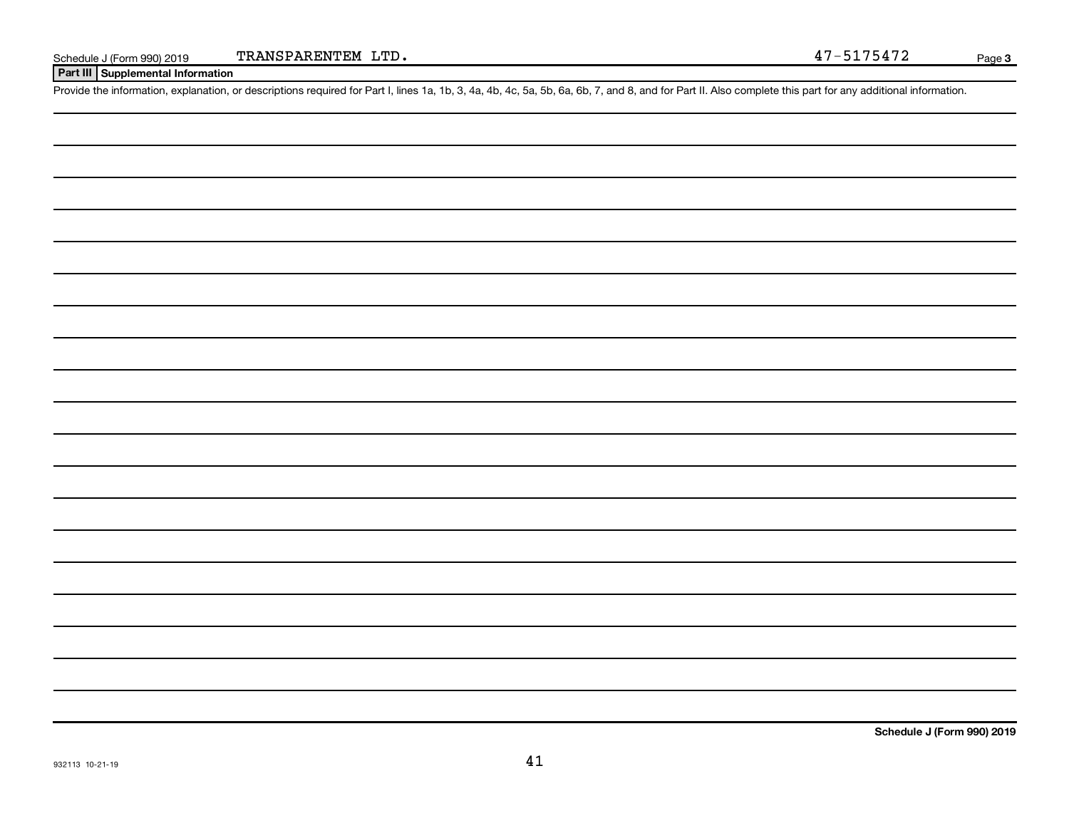**Part III Supplemental Information**

Provide the information, explanation, or descriptions required for Part I, lines 1a, 1b, 3, 4a, 4b, 4c, 5a, 5b, 6a, 6b, 7, and 8, and for Part II. Also complete this part for any additional information.

**Schedule J (Form 990) 2019**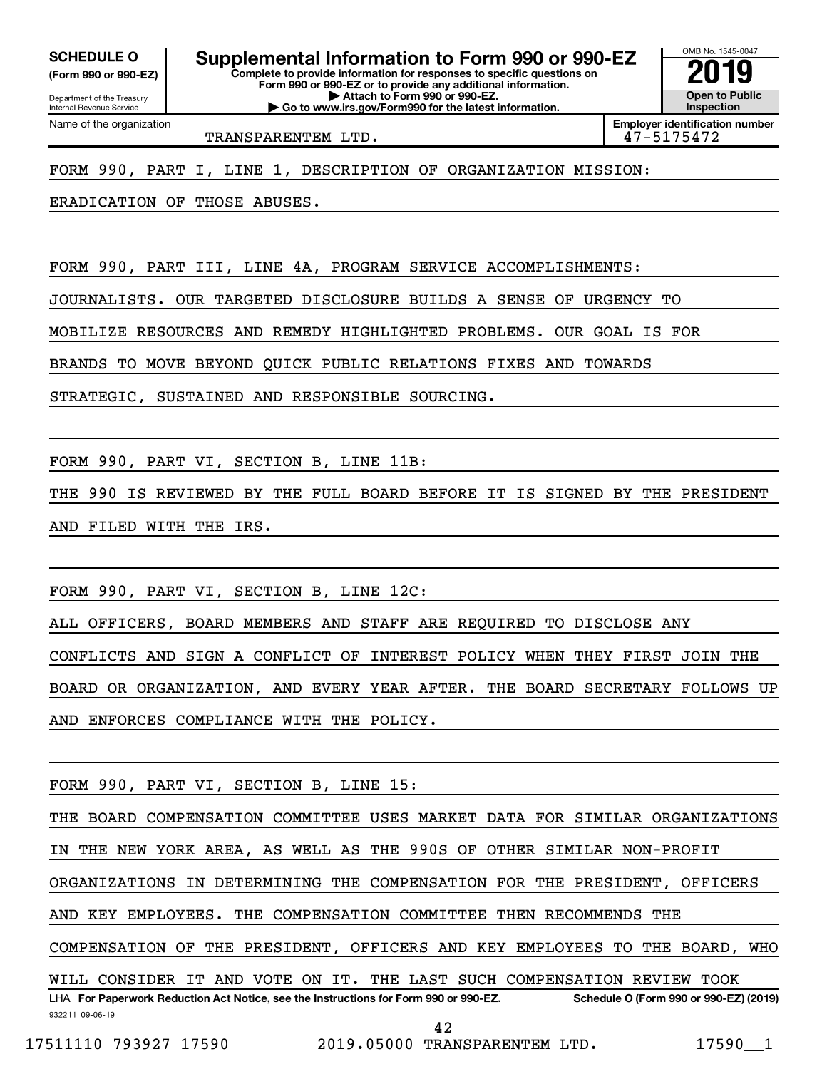**(Form 990 or 990-EZ)**

Department of the Treasury Internal Revenue Service

Name of the organization

**Complete to provide information for responses to specific questions on Form 990 or 990-EZ or to provide any additional information. | Attach to Form 990 or 990-EZ. SCHEDULE O Supplemental Information to Form 990 or 990-EZ 2019** 

**| Go to www.irs.gov/Form990 for the latest information.**

**Open to Public Inspection Employer identification number**

OMB No. 1545-0047

TRANSPARENTEM LTD. 47-5175472

FORM 990, PART I, LINE 1, DESCRIPTION OF ORGANIZATION MISSION:

ERADICATION OF THOSE ABUSES.

FORM 990, PART III, LINE 4A, PROGRAM SERVICE ACCOMPLISHMENTS:

JOURNALISTS. OUR TARGETED DISCLOSURE BUILDS A SENSE OF URGENCY TO

MOBILIZE RESOURCES AND REMEDY HIGHLIGHTED PROBLEMS. OUR GOAL IS FOR

BRANDS TO MOVE BEYOND QUICK PUBLIC RELATIONS FIXES AND TOWARDS

STRATEGIC, SUSTAINED AND RESPONSIBLE SOURCING.

FORM 990, PART VI, SECTION B, LINE 11B:

THE 990 IS REVIEWED BY THE FULL BOARD BEFORE IT IS SIGNED BY THE PRESIDENT AND FILED WITH THE IRS.

FORM 990, PART VI, SECTION B, LINE 12C:

ALL OFFICERS, BOARD MEMBERS AND STAFF ARE REQUIRED TO DISCLOSE ANY

CONFLICTS AND SIGN A CONFLICT OF INTEREST POLICY WHEN THEY FIRST JOIN THE

BOARD OR ORGANIZATION, AND EVERY YEAR AFTER. THE BOARD SECRETARY FOLLOWS UP AND ENFORCES COMPLIANCE WITH THE POLICY.

FORM 990, PART VI, SECTION B, LINE 15:

932211 09-06-19 LHA For Paperwork Reduction Act Notice, see the Instructions for Form 990 or 990-EZ. Schedule O (Form 990 or 990-EZ) (2019) THE BOARD COMPENSATION COMMITTEE USES MARKET DATA FOR SIMILAR ORGANIZATIONS IN THE NEW YORK AREA, AS WELL AS THE 990S OF OTHER SIMILAR NON-PROFIT ORGANIZATIONS IN DETERMINING THE COMPENSATION FOR THE PRESIDENT, OFFICERS AND KEY EMPLOYEES. THE COMPENSATION COMMITTEE THEN RECOMMENDS THE COMPENSATION OF THE PRESIDENT, OFFICERS AND KEY EMPLOYEES TO THE BOARD, WHO WILL CONSIDER IT AND VOTE ON IT. THE LAST SUCH COMPENSATION REVIEW TOOK 42